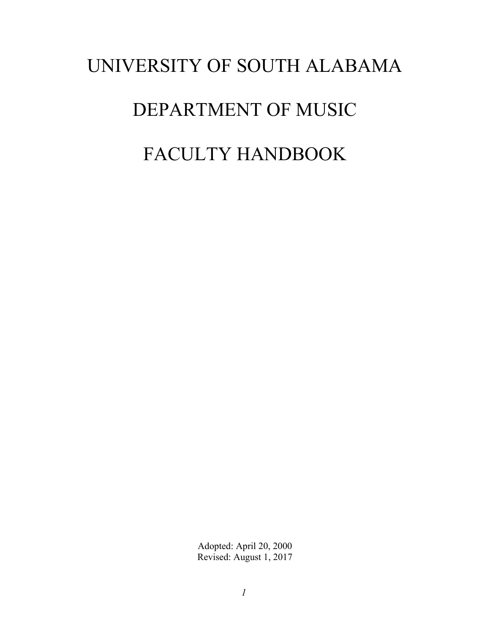# UNIVERSITY OF SOUTH ALABAMA DEPARTMENT OF MUSIC FACULTY HANDBOOK

Adopted: April 20, 2000 Revised: August 1, 2017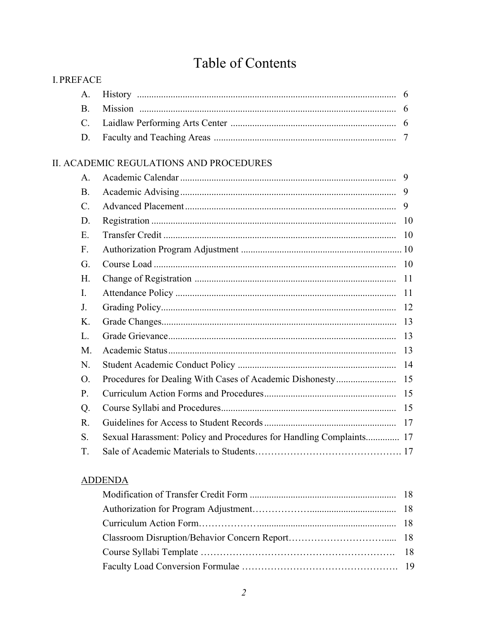# Table of Contents

| <b>I. PREFACE</b> |                                                                     |                |
|-------------------|---------------------------------------------------------------------|----------------|
| $A_{\cdot}$       |                                                                     | $\theta$       |
| <b>B.</b>         |                                                                     |                |
| $\mathbf{C}$ .    |                                                                     |                |
| D.                |                                                                     | $\overline{7}$ |
|                   | II. ACADEMIC REGULATIONS AND PROCEDURES                             |                |
| A.                |                                                                     | 9              |
| <b>B.</b>         |                                                                     | 9              |
| $\mathcal{C}$ .   |                                                                     | 9              |
| D.                |                                                                     | -10            |
| Ε.                |                                                                     |                |
| $F_{\cdot}$       |                                                                     |                |
| G.                |                                                                     |                |
| H.                |                                                                     |                |
| $\mathbf{I}$ .    |                                                                     | 11             |
| J.                |                                                                     |                |
| K.                |                                                                     | 13             |
| L.                |                                                                     | 13             |
| M.                |                                                                     |                |
| N.                |                                                                     |                |
| O.                |                                                                     |                |
| P.                |                                                                     |                |
| Q.                |                                                                     |                |
| $R_{\cdot}$       |                                                                     |                |
| S.                | Sexual Harassment: Policy and Procedures for Handling Complaints 17 |                |
| T.                |                                                                     |                |
|                   |                                                                     |                |

# **ADDENDA**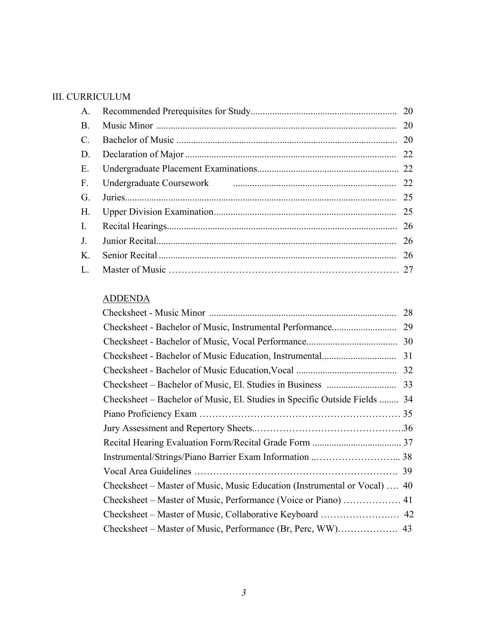## III. CURRICULUM

| A.              |                                                                                                                | 20 |
|-----------------|----------------------------------------------------------------------------------------------------------------|----|
| <b>B.</b>       |                                                                                                                | 20 |
| $\mathcal{C}$ . |                                                                                                                | 20 |
| D.              |                                                                                                                | 22 |
| E.              |                                                                                                                | 22 |
| $F_{\cdot}$     | Undergraduate Coursework [1994] [1994] [1994] [1994] [1994] [1994] [1994] [1994] [1994] [1994] [1994] [1994] [ | 22 |
| G.              |                                                                                                                | 25 |
| Н.              |                                                                                                                | 25 |
| I.              |                                                                                                                | 26 |
| $J_{-}$         |                                                                                                                | 26 |
| K.              |                                                                                                                | 26 |
| L.              |                                                                                                                |    |

## **ADDENDA**

| <b>ADDENDA</b>                                                             |    |
|----------------------------------------------------------------------------|----|
|                                                                            | 28 |
|                                                                            | 29 |
|                                                                            |    |
|                                                                            |    |
|                                                                            |    |
|                                                                            |    |
| Checksheet – Bachelor of Music, El. Studies in Specific Outside Fields  34 |    |
|                                                                            |    |
|                                                                            |    |
|                                                                            |    |
|                                                                            |    |
|                                                                            |    |
| Checksheet – Master of Music, Music Education (Instrumental or Vocal)  40  |    |
|                                                                            |    |
|                                                                            |    |
|                                                                            |    |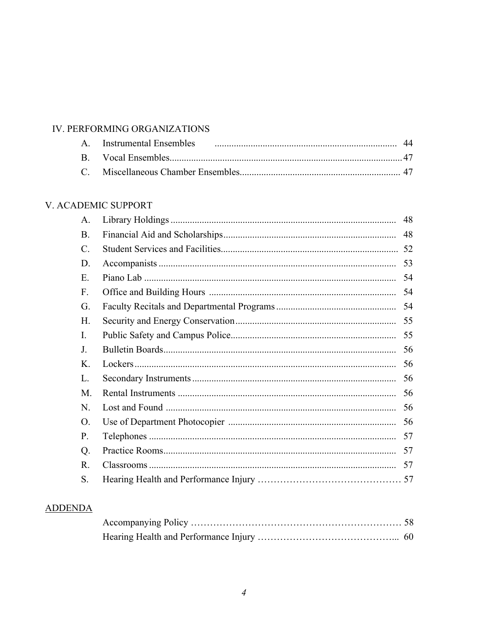## IV. PERFORMING ORGANIZATIONS

# V. ACADEMIC SUPPORT

| A.             | 48 |
|----------------|----|
| <b>B.</b>      | 48 |
| C.             | 52 |
| D.             | 53 |
| Е.             | 54 |
| F.             | 54 |
| G.             | 54 |
| H.             | 55 |
| $\mathbf{I}$ . | 55 |
| J.             | 56 |
| K.             | 56 |
| L.             | 56 |
| M.             | 56 |
| N.             | 56 |
| 0.             | 56 |
| P.             | 57 |
| Q.             | 57 |
| R.             | 57 |
| S.             | 57 |

# **ADDENDA**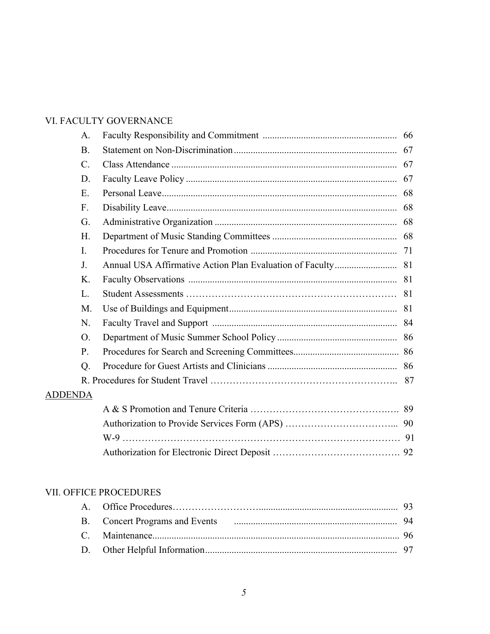# VI. FACULTY GOVERNANCE

|                | A.              |    |
|----------------|-----------------|----|
|                | <b>B</b> .      | 67 |
|                | $\mathcal{C}$ . |    |
|                | D.              |    |
|                | E.              |    |
|                | $F_{\cdot}$     |    |
|                | G.              |    |
|                | H.              |    |
|                | $\mathbf{I}$ .  |    |
|                | J.              |    |
|                | K.              |    |
|                | L.              |    |
|                | M.              |    |
|                | N.              |    |
|                | O.              |    |
|                | P.              |    |
|                | Q.              |    |
|                |                 |    |
| <b>ADDENDA</b> |                 |    |
|                |                 |    |
|                |                 |    |
|                |                 |    |
|                |                 |    |

# VII. OFFICE PROCEDURES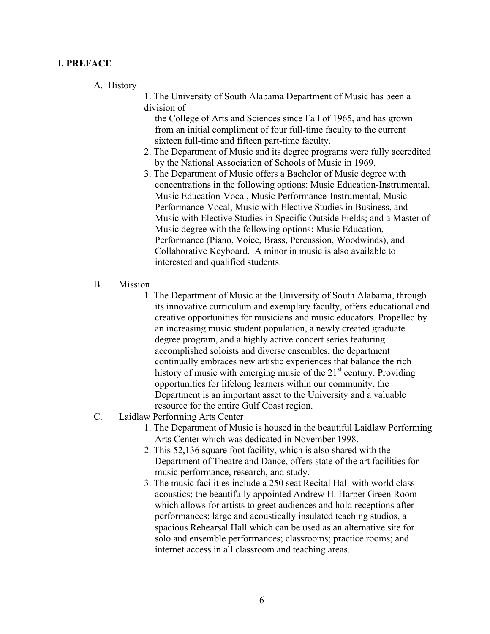#### <span id="page-5-0"></span>**I. PREFACE**

#### A. History

1. The University of South Alabama Department of Music has been a division of

the College of Arts and Sciences since Fall of 1965, and has grown from an initial compliment of four full-time faculty to the current sixteen full-time and fifteen part-time faculty.

- 2. The Department of Music and its degree programs were fully accredited by the National Association of Schools of Music in 1969.
- 3. The Department of Music offers a Bachelor of Music degree with concentrations in the following options: Music Education-Instrumental, Music Education-Vocal, Music Performance-Instrumental, Music Performance-Vocal, Music with Elective Studies in Business, and Music with Elective Studies in Specific Outside Fields; and a Master of Music degree with the following options: Music Education, Performance (Piano, Voice, Brass, Percussion, Woodwinds), and Collaborative Keyboard. A minor in music is also available to interested and qualified students.
- $B<sub>1</sub>$ **Mission** 
	- Department is an important asset to the University and a valuable 1. The Department of Music at the University of South Alabama, through its innovative curriculum and exemplary faculty, offers educational and creative opportunities for musicians and music educators. Propelled by an increasing music student population, a newly created graduate degree program, and a highly active concert series featuring accomplished soloists and diverse ensembles, the department continually embraces new artistic experiences that balance the rich history of music with emerging music of the  $21<sup>st</sup>$  century. Providing opportunities for lifelong learners within our community, the resource for the entire Gulf Coast region.
- C. Laidlaw Performing Arts Center
	- 1. The Department of Music is housed in the beautiful Laidlaw Performing Arts Center which was dedicated in November 1998.
	- 2. This 52,136 square foot facility, which is also shared with the Department of Theatre and Dance, offers state of the art facilities for music performance, research, and study.
	- 3. The music facilities include a 250 seat Recital Hall with world class acoustics; the beautifully appointed Andrew H. Harper Green Room which allows for artists to greet audiences and hold receptions after performances; large and acoustically insulated teaching studios, a spacious Rehearsal Hall which can be used as an alternative site for solo and ensemble performances; classrooms; practice rooms; and internet access in all classroom and teaching areas.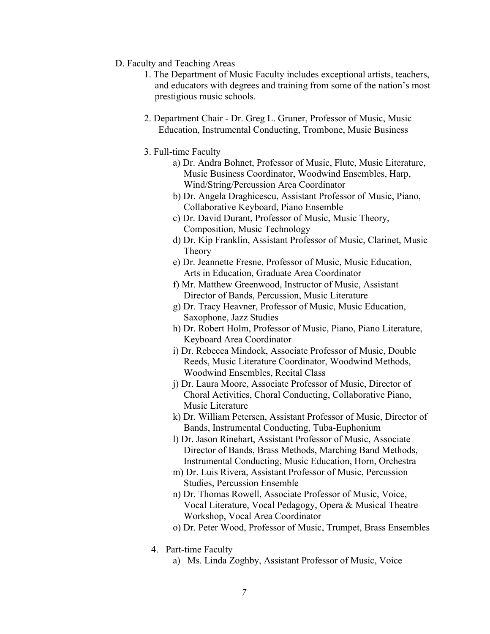- <span id="page-6-0"></span>D. Faculty and Teaching Areas
	- 1. The Department of Music Faculty includes exceptional artists, teachers, and educators with degrees and training from some of the nation's most prestigious music schools.
	- 2. Department Chair Dr. Greg L. Gruner, Professor of Music, Music Education, Instrumental Conducting, Trombone, Music Business
	- 3. Full-time Faculty
		- a) Dr. Andra Bohnet, Professor of Music, Flute, Music Literature, Music Business Coordinator, Woodwind Ensembles, Harp, Wind/String/Percussion Area Coordinator
		- b) Dr. Angela Draghicescu, Assistant Professor of Music, Piano, Collaborative Keyboard, Piano Ensemble
		- c) Dr. David Durant, Professor of Music, Music Theory, Composition, Music Technology
		- d) Dr. Kip Franklin, Assistant Professor of Music, Clarinet, Music Theory
		- e) Dr. Jeannette Fresne, Professor of Music, Music Education, Arts in Education, Graduate Area Coordinator
		- f) Mr. Matthew Greenwood, Instructor of Music, Assistant Director of Bands, Percussion, Music Literature
		- Saxophone, Jazz Studies g) Dr. Tracy Heavner, Professor of Music, Music Education,
		- h) Dr. Robert Holm, Professor of Music, Piano, Piano Literature, Keyboard Area Coordinator
		- i) Dr. Rebecca Mindock, Associate Professor of Music, Double Reeds, Music Literature Coordinator, Woodwind Methods, Woodwind Ensembles, Recital Class
		- j) Dr. Laura Moore, Associate Professor of Music, Director of Choral Activities, Choral Conducting, Collaborative Piano, Music Literature
		- k) Dr. William Petersen, Assistant Professor of Music, Director of Bands, Instrumental Conducting, Tuba-Euphonium
		- l) Dr. Jason Rinehart, Assistant Professor of Music, Associate Director of Bands, Brass Methods, Marching Band Methods, Instrumental Conducting, Music Education, Horn, Orchestra
		- m) Dr. Luis Rivera, Assistant Professor of Music, Percussion Studies, Percussion Ensemble
		- n) Dr. Thomas Rowell, Associate Professor of Music, Voice, Vocal Literature, Vocal Pedagogy, Opera & Musical Theatre Workshop, Vocal Area Coordinator
		- o) Dr. Peter Wood, Professor of Music, Trumpet, Brass Ensembles
		- 4. Part-time Faculty
			- a) Ms. Linda Zoghby, Assistant Professor of Music, Voice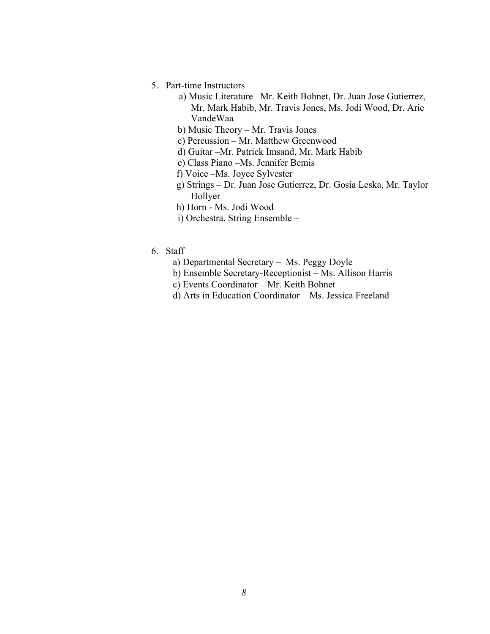- 5. Part-time Instructors
	- a) Music Literature –Mr. Keith Bohnet, Dr. Juan Jose Gutierrez, Mr. Mark Habib, Mr. Travis Jones, Ms. Jodi Wood, Dr. Arie VandeWaa
	- b) Music Theory Mr. Travis Jones
	- c) Percussion Mr. Matthew Greenwood
	- d) Guitar –Mr. Patrick Imsand, Mr. Mark Habib
	- e) Class Piano –Ms. Jennifer Bemis
	- f) Voice –Ms. Joyce Sylvester
	- g) Strings Dr. Juan Jose Gutierrez, Dr. Gosia Leska, Mr. Taylor Hollyer
	- h) Horn Ms. Jodi Wood
	- i) Orchestra, String Ensemble –
- 6. Staff
	- a) Departmental Secretary Ms. Peggy Doyle
	- b) Ensemble Secretary-Receptionist Ms. Allison Harris
	- c) Events Coordinator Mr. Keith Bohnet
	- d) Arts in Education Coordinator Ms. Jessica Freeland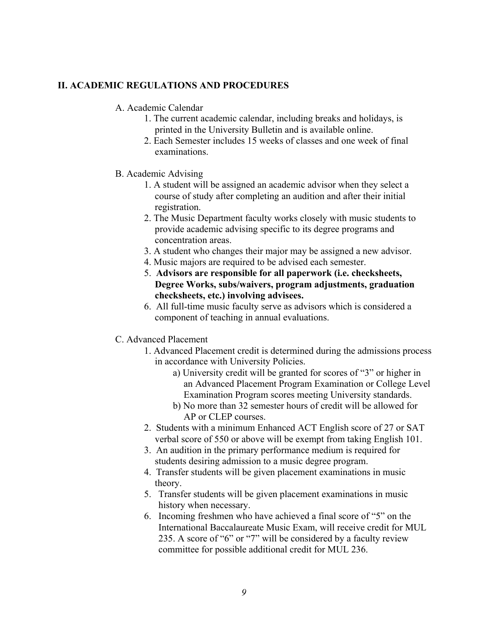#### <span id="page-8-0"></span>**II. ACADEMIC REGULATIONS AND PROCEDURES**

#### A. Academic Calendar

- 1. The current academic calendar, including breaks and holidays, is printed in the University Bulletin and is available online.
- 2. Each Semester includes 15 weeks of classes and one week of final examinations.
- B. Academic Advising
	- 1. A student will be assigned an academic advisor when they select a course of study after completing an audition and after their initial registration.
	- 2. The Music Department faculty works closely with music students to provide academic advising specific to its degree programs and concentration areas.
	- 3. A student who changes their major may be assigned a new advisor.
	- 4. Music majors are required to be advised each semester.
	- 5. **Advisors are responsible for all paperwork (i.e. checksheets, Degree Works, subs/waivers, program adjustments, graduation checksheets, etc.) involving advisees.**
	- 6. All full-time music faculty serve as advisors which is considered a component of teaching in annual evaluations.
- C. Advanced Placement
	- 1. Advanced Placement credit is determined during the admissions process in accordance with University Policies.
		- a) University credit will be granted for scores of "3" or higher in an Advanced Placement Program Examination or College Level Examination Program scores meeting University standards.
		- b) No more than 32 semester hours of credit will be allowed for AP or CLEP courses.
	- 2. Students with a minimum Enhanced ACT English score of 27 or SAT verbal score of 550 or above will be exempt from taking English 101.
	- 3. An audition in the primary performance medium is required for students desiring admission to a music degree program.
	- 4. Transfer students will be given placement examinations in music theory.
	- 5. Transfer students will be given placement examinations in music history when necessary.
	- 6. Incoming freshmen who have achieved a final score of "5" on the International Baccalaureate Music Exam, will receive credit for MUL 235. A score of "6" or "7" will be considered by a faculty review committee for possible additional credit for MUL 236.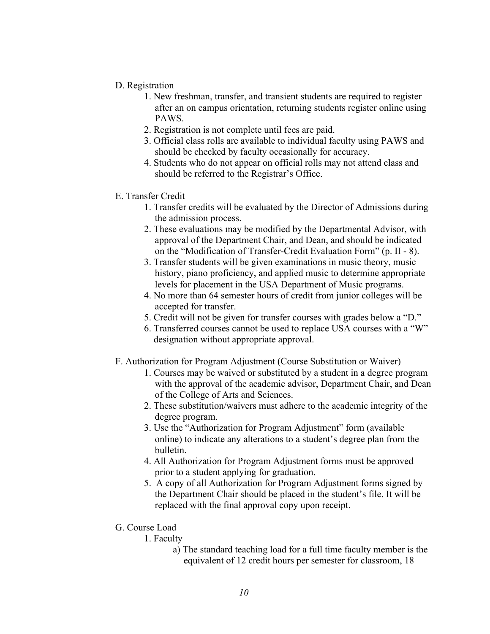- <span id="page-9-0"></span>D. Registration
	- 1. New freshman, transfer, and transient students are required to register after an on campus orientation, returning students register online using PAWS.
	- 2. Registration is not complete until fees are paid.
	- 3. Official class rolls are available to individual faculty using PAWS and should be checked by faculty occasionally for accuracy.
	- 4. Students who do not appear on official rolls may not attend class and should be referred to the Registrar's Office.
- E. Transfer Credit
	- 1. Transfer credits will be evaluated by the Director of Admissions during the admission process.
	- 2. These evaluations may be modified by the Departmental Advisor, with approval of the Department Chair, and Dean, and should be indicated on the "Modification of Transfer-Credit Evaluation Form" (p. II - 8).
	- 3. Transfer students will be given examinations in music theory, music history, piano proficiency, and applied music to determine appropriate levels for placement in the USA Department of Music programs.
	- 4. No more than 64 semester hours of credit from junior colleges will be accepted for transfer.
	- 5. Credit will not be given for transfer courses with grades below a "D."
	- 6. Transferred courses cannot be used to replace USA courses with a "W" designation without appropriate approval.
- F. Authorization for Program Adjustment (Course Substitution or Waiver)
	- 1. Courses may be waived or substituted by a student in a degree program with the approval of the academic advisor, Department Chair, and Dean of the College of Arts and Sciences.
	- 2. These substitution/waivers must adhere to the academic integrity of the degree program.
	- 3. Use the "Authorization for Program Adjustment" form (available online) to indicate any alterations to a student's degree plan from the bulletin.
	- 4. All Authorization for Program Adjustment forms must be approved prior to a student applying for graduation.
	- 5. A copy of all Authorization for Program Adjustment forms signed by the Department Chair should be placed in the student's file. It will be replaced with the final approval copy upon receipt.
- G. Course Load
	- 1. Faculty
		- a) The standard teaching load for a full time faculty member is the equivalent of 12 credit hours per semester for classroom, 18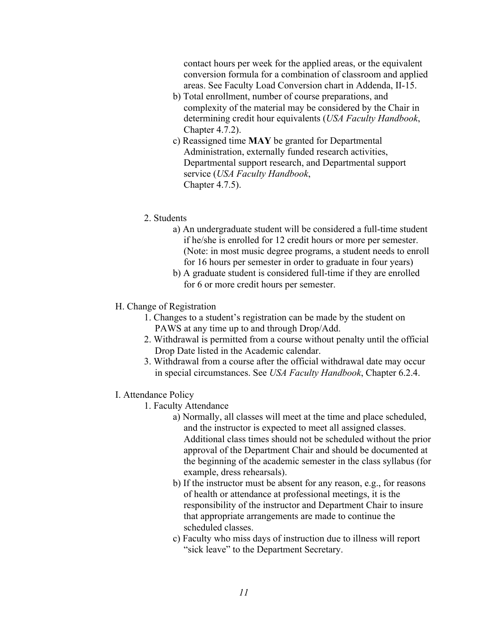<span id="page-10-0"></span>contact hours per week for the applied areas, or the equivalent conversion formula for a combination of classroom and applied areas. See Faculty Load Conversion chart in Addenda, II-15.

- b) Total enrollment, number of course preparations, and complexity of the material may be considered by the Chair in determining credit hour equivalents (*USA Faculty Handbook*, Chapter 4.7.2).
- c) Reassigned time **MAY** be granted for Departmental Administration, externally funded research activities, Departmental support research, and Departmental support service (*USA Faculty Handbook*, Chapter 4.7.5).
- 2. Students
	- a) An undergraduate student will be considered a full-time student if he/she is enrolled for 12 credit hours or more per semester. (Note: in most music degree programs, a student needs to enroll for 16 hours per semester in order to graduate in four years)
	- b) A graduate student is considered full-time if they are enrolled for 6 or more credit hours per semester.
- H. Change of Registration
	- 1. Changes to a student's registration can be made by the student on PAWS at any time up to and through Drop/Add.
	- 2. Withdrawal is permitted from a course without penalty until the official Drop Date listed in the Academic calendar.
	- 3. Withdrawal from a course after the official withdrawal date may occur in special circumstances. See *USA Faculty Handbook*, Chapter 6.2.4.
- I. Attendance Policy
	- 1. Faculty Attendance
		- a) Normally, all classes will meet at the time and place scheduled, and the instructor is expected to meet all assigned classes. Additional class times should not be scheduled without the prior approval of the Department Chair and should be documented at the beginning of the academic semester in the class syllabus (for example, dress rehearsals).
		- b) If the instructor must be absent for any reason, e.g., for reasons of health or attendance at professional meetings, it is the responsibility of the instructor and Department Chair to insure that appropriate arrangements are made to continue the scheduled classes.
		- c) Faculty who miss days of instruction due to illness will report "sick leave" to the Department Secretary.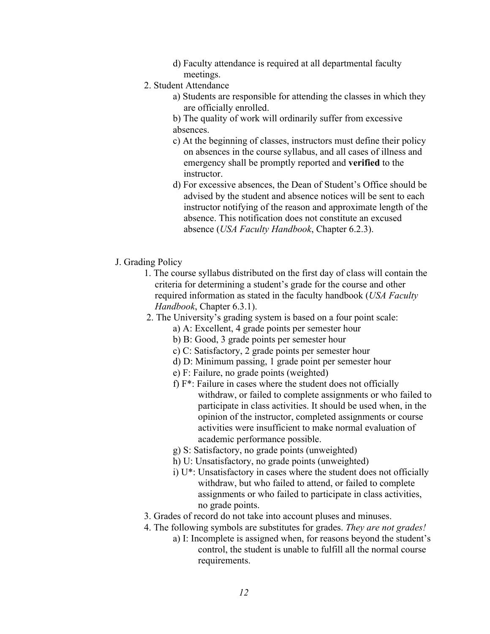- d) Faculty attendance is required at all departmental faculty meetings.
- <span id="page-11-0"></span>2. Student Attendance
	- a) Students are responsible for attending the classes in which they are officially enrolled.
	- b) The quality of work will ordinarily suffer from excessive absences.
	- c) At the beginning of classes, instructors must define their policy on absences in the course syllabus, and all cases of illness and emergency shall be promptly reported and **verified** to the instructor.
	- d) For excessive absences, the Dean of Student's Office should be advised by the student and absence notices will be sent to each instructor notifying of the reason and approximate length of the absence. This notification does not constitute an excused absence (*USA Faculty Handbook*, Chapter 6.2.3).
- J. Grading Policy
	- 1. The course syllabus distributed on the first day of class will contain the criteria for determining a student's grade for the course and other required information as stated in the faculty handbook (*USA Faculty Handbook*, Chapter 6.3.1).
	- 2. The University's grading system is based on a four point scale:
		- a) A: Excellent, 4 grade points per semester hour
		- b) B: Good, 3 grade points per semester hour
		- c) C: Satisfactory, 2 grade points per semester hour
		- d) D: Minimum passing, 1 grade point per semester hour
		- e) F: Failure, no grade points (weighted)
		- f) F\*: Failure in cases where the student does not officially withdraw, or failed to complete assignments or who failed to participate in class activities. It should be used when, in the opinion of the instructor, completed assignments or course activities were insufficient to make normal evaluation of academic performance possible.
		- g) S: Satisfactory, no grade points (unweighted)
		- h) U: Unsatisfactory, no grade points (unweighted)
		- i) U\*: Unsatisfactory in cases where the student does not officially withdraw, but who failed to attend, or failed to complete assignments or who failed to participate in class activities, no grade points.
	- 3. Grades of record do not take into account pluses and minuses.
	- 4. The following symbols are substitutes for grades. *They are not grades!* 
		- a) I: Incomplete is assigned when, for reasons beyond the student's control, the student is unable to fulfill all the normal course requirements.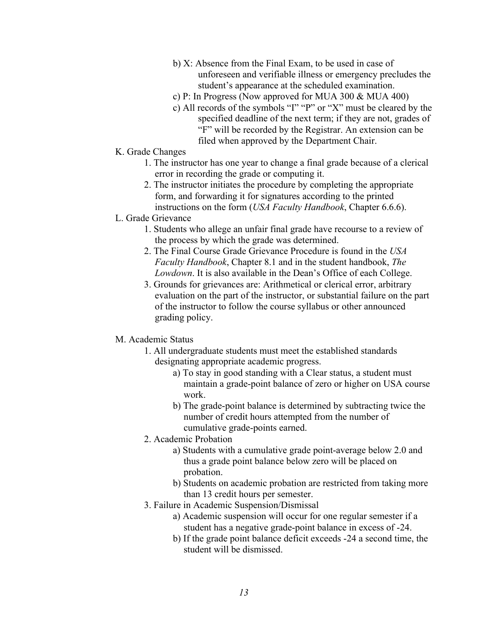- <span id="page-12-0"></span>b) X: Absence from the Final Exam, to be used in case of unforeseen and verifiable illness or emergency precludes the student's appearance at the scheduled examination.
- c) P: In Progress (Now approved for MUA 300 & MUA 400)
- c) All records of the symbols "I" "P" or "X" must be cleared by the specified deadline of the next term; if they are not, grades of "F" will be recorded by the Registrar. An extension can be filed when approved by the Department Chair.
- K. Grade Changes
	- 1. The instructor has one year to change a final grade because of a clerical error in recording the grade or computing it.
	- 2. The instructor initiates the procedure by completing the appropriate form, and forwarding it for signatures according to the printed instructions on the form (*USA Faculty Handbook*, Chapter 6.6.6).
- L. Grade Grievance
	- 1. Students who allege an unfair final grade have recourse to a review of the process by which the grade was determined.
	- 2. The Final Course Grade Grievance Procedure is found in the *USA Faculty Handbook*, Chapter 8.1 and in the student handbook, *The Lowdown*. It is also available in the Dean's Office of each College.
	- 3. Grounds for grievances are: Arithmetical or clerical error, arbitrary evaluation on the part of the instructor, or substantial failure on the part of the instructor to follow the course syllabus or other announced grading policy.

#### M. Academic Status

- 1. All undergraduate students must meet the established standards designating appropriate academic progress.
	- a) To stay in good standing with a Clear status, a student must maintain a grade-point balance of zero or higher on USA course work.
	- b) The grade-point balance is determined by subtracting twice the number of credit hours attempted from the number of cumulative grade-points earned.
- 2. Academic Probation
	- a) Students with a cumulative grade point-average below 2.0 and thus a grade point balance below zero will be placed on probation.
	- b) Students on academic probation are restricted from taking more than 13 credit hours per semester.
- 3. Failure in Academic Suspension/Dismissal
	- student has a negative grade-point balance in excess of -24. a) Academic suspension will occur for one regular semester if a
	- b) If the grade point balance deficit exceeds -24 a second time, the student will be dismissed.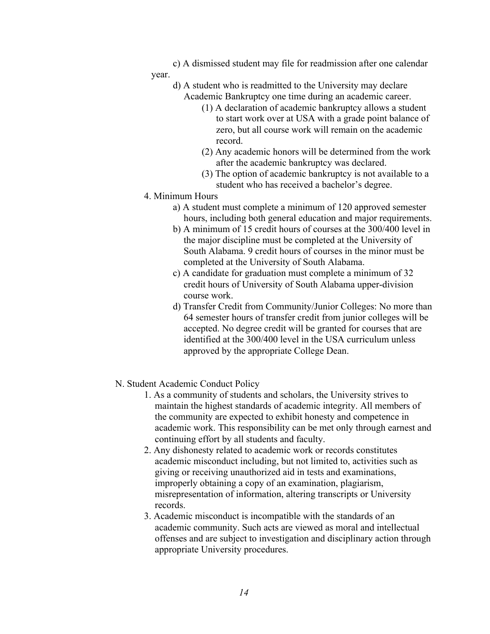- <span id="page-13-0"></span>c) A dismissed student may file for readmission after one calendar year.
	- d) A student who is readmitted to the University may declare Academic Bankruptcy one time during an academic career.
		- (1) A declaration of academic bankruptcy allows a student to start work over at USA with a grade point balance of zero, but all course work will remain on the academic record.
		- (2) Any academic honors will be determined from the work after the academic bankruptcy was declared.
		- (3) The option of academic bankruptcy is not available to a student who has received a bachelor's degree.
- 4. Minimum Hours
	- a) A student must complete a minimum of 120 approved semester hours, including both general education and major requirements.
	- b) A minimum of 15 credit hours of courses at the 300/400 level in the major discipline must be completed at the University of South Alabama. 9 credit hours of courses in the minor must be completed at the University of South Alabama.
	- c) A candidate for graduation must complete a minimum of 32 credit hours of University of South Alabama upper-division course work.
	- d) Transfer Credit from Community/Junior Colleges: No more than 64 semester hours of transfer credit from junior colleges will be accepted. No degree credit will be granted for courses that are identified at the 300/400 level in the USA curriculum unless approved by the appropriate College Dean.
- N. Student Academic Conduct Policy
	- 1. As a community of students and scholars, the University strives to maintain the highest standards of academic integrity. All members of the community are expected to exhibit honesty and competence in academic work. This responsibility can be met only through earnest and continuing effort by all students and faculty.
	- 2. Any dishonesty related to academic work or records constitutes academic misconduct including, but not limited to, activities such as giving or receiving unauthorized aid in tests and examinations, improperly obtaining a copy of an examination, plagiarism, misrepresentation of information, altering transcripts or University records.
	- 3. Academic misconduct is incompatible with the standards of an academic community. Such acts are viewed as moral and intellectual offenses and are subject to investigation and disciplinary action through appropriate University procedures.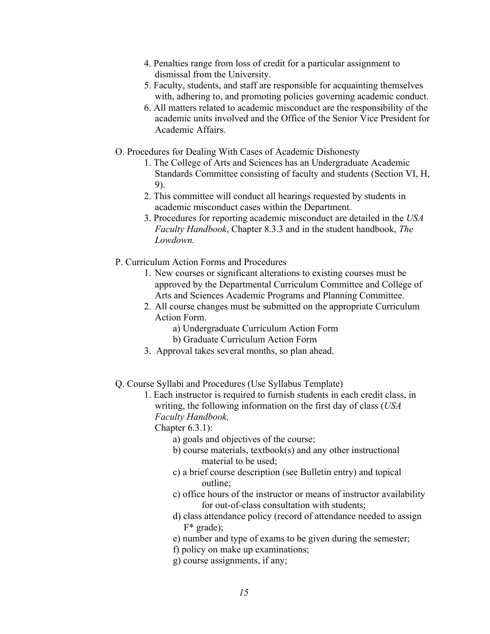- <span id="page-14-0"></span>4. Penalties range from loss of credit for a particular assignment to dismissal from the University.
- 5. Faculty, students, and staff are responsible for acquainting themselves with, adhering to, and promoting policies governing academic conduct.
- 6. All matters related to academic misconduct are the responsibility of the academic units involved and the Office of the Senior Vice President for Academic Affairs.
- O. Procedures for Dealing With Cases of Academic Dishonesty
	- 1. The College of Arts and Sciences has an Undergraduate Academic Standards Committee consisting of faculty and students (Section VI, H, 9).
	- 2. This committee will conduct all hearings requested by students in academic misconduct cases within the Department.
	- 3. Procedures for reporting academic misconduct are detailed in the *USA Faculty Handbook*, Chapter 8.3.3 and in the student handbook, *The Lowdown.*
- P. Curriculum Action Forms and Procedures
	- 1. New courses or significant alterations to existing courses must be approved by the Departmental Curriculum Committee and College of Arts and Sciences Academic Programs and Planning Committee.
	- 2. All course changes must be submitted on the appropriate Curriculum Action Form.
		- a) Undergraduate Curriculum Action Form
		- b) Graduate Curriculum Action Form
	- 3. Approval takes several months, so plan ahead.
- Q. Course Syllabi and Procedures (Use Syllabus Template)
	- *Faculty Handbook,* 1. Each instructor is required to furnish students in each credit class, in writing, the following information on the first day of class (*USA*

Chapter 6.3.1):

- a) goals and objectives of the course;
- material to be used: b) course materials, textbook(s) and any other instructional
- c) a brief course description (see Bulletin entry) and topical outline;
- c) office hours of the instructor or means of instructor availability for out-of-class consultation with students;
- d) class attendance policy (record of attendance needed to assign F\* grade);
- e) number and type of exams to be given during the semester;
- f) policy on make up examinations;
- g) course assignments, if any;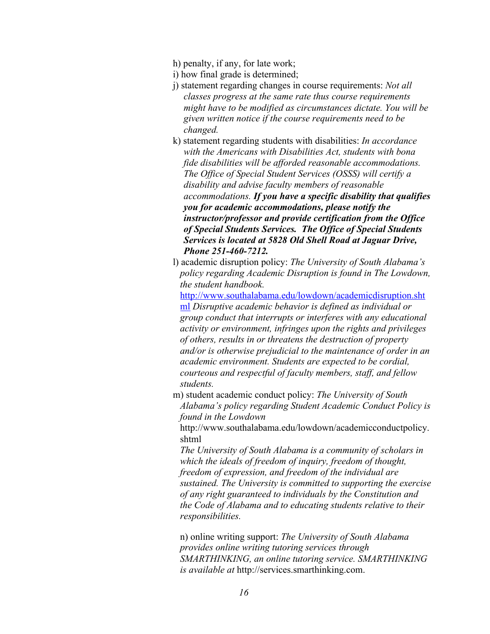- h) penalty, if any, for late work;
- i) how final grade is determined;
- j) statement regarding changes in course requirements: *Not all classes progress at the same rate thus course requirements might have to be modified as circumstances dictate. You will be given written notice if the course requirements need to be changed.*
- k) statement regarding students with disabilities: *In accordance with the Americans with Disabilities Act, students with bona fide disabilities will be afforded reasonable accommodations. The Office of Special Student Services (OSSS) will certify a disability and advise faculty members of reasonable accommodations. If you have a specific disability that qualifies you for academic accommodations, please notify the instructor/professor and provide certification from the Office of Special Students Services. The Office of Special Students Services is located at 5828 Old Shell Road at Jaguar Drive, Phone 251-460-7212.*
- l) academic disruption policy: *The University of South Alabama's policy regarding Academic Disruption is found in The Lowdown, the student handbook.*

http://www.southalabama.edu/lowdown/academicdisruption.sht ml *Disruptive academic behavior is defined as individual or group conduct that interrupts or interferes with any educational activity or environment, infringes upon the rights and privileges of others, results in or threatens the destruction of property and/or is otherwise prejudicial to the maintenance of order in an academic environment. Students are expected to be cordial, courteous and respectful of faculty members, staff, and fellow students.* 

m) student academic conduct policy: *The University of South Alabama's policy regarding Student Academic Conduct Policy is found in the Lowdown* 

http://www.southalabama.edu/lowdown/academicconductpolicy. shtml

*The University of South Alabama is a community of scholars in which the ideals of freedom of inquiry, freedom of thought, freedom of expression, and freedom of the individual are sustained. The University is committed to supporting the exercise of any right guaranteed to individuals by the Constitution and the Code of Alabama and to educating students relative to their responsibilities.* 

n) online writing support: *The University of South Alabama provides online writing tutoring services through SMARTHINKING, an online tutoring service. SMARTHINKING is available at* http://services.smarthinking.com.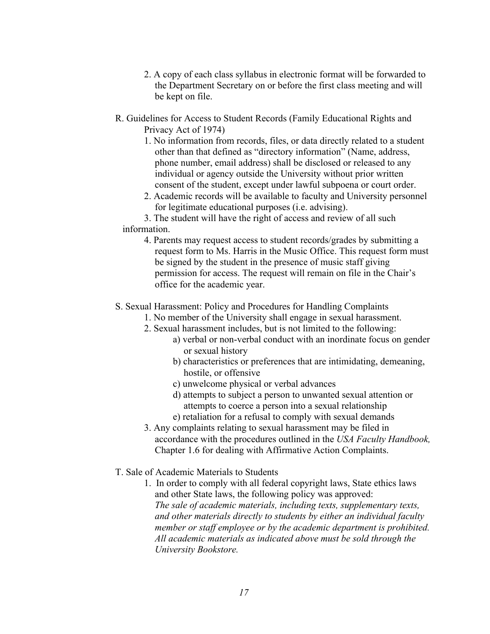- <span id="page-16-0"></span>2. A copy of each class syllabus in electronic format will be forwarded to the Department Secretary on or before the first class meeting and will be kept on file.
- R. Guidelines for Access to Student Records (Family Educational Rights and Privacy Act of 1974)
	- 1. No information from records, files, or data directly related to a student other than that defined as "directory information" (Name, address, phone number, email address) shall be disclosed or released to any individual or agency outside the University without prior written consent of the student, except under lawful subpoena or court order.
	- 2. Academic records will be available to faculty and University personnel for legitimate educational purposes (i.e. advising).

3. The student will have the right of access and review of all such information.

4. Parents may request access to student records/grades by submitting a request form to Ms. Harris in the Music Office. This request form must be signed by the student in the presence of music staff giving permission for access. The request will remain on file in the Chair's office for the academic year.

S. Sexual Harassment: Policy and Procedures for Handling Complaints

- 1. No member of the University shall engage in sexual harassment.
- 2. Sexual harassment includes, but is not limited to the following:
	- a) verbal or non-verbal conduct with an inordinate focus on gender or sexual history
	- b) characteristics or preferences that are intimidating, demeaning, hostile, or offensive
	- c) unwelcome physical or verbal advances
	- d) attempts to subject a person to unwanted sexual attention or attempts to coerce a person into a sexual relationship
	- e) retaliation for a refusal to comply with sexual demands
- 3. Any complaints relating to sexual harassment may be filed in accordance with the procedures outlined in the *USA Faculty Handbook,*  Chapter 1.6 for dealing with Affirmative Action Complaints.
- T. Sale of Academic Materials to Students
	- 1. In order to comply with all federal copyright laws, State ethics laws and other State laws, the following policy was approved: *The sale of academic materials, including texts, supplementary texts, and other materials directly to students by either an individual faculty member or staff employee or by the academic department is prohibited. All academic materials as indicated above must be sold through the University Bookstore.*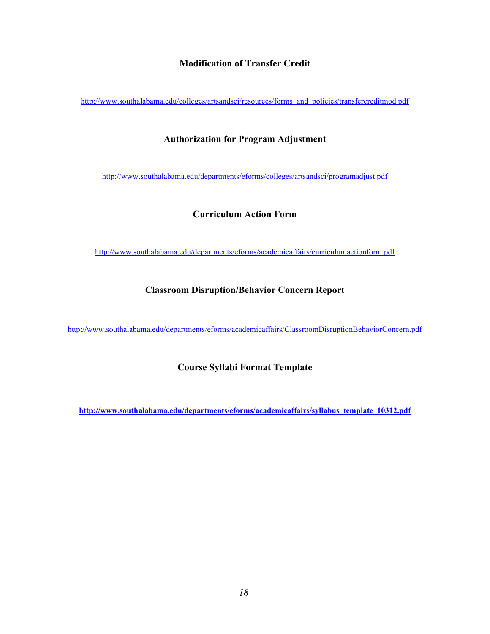#### **Modification of Transfer Credit**

<span id="page-17-0"></span>http://www.southalabama.edu/colleges/artsandsci/resources/forms\_and\_policies/transfercreditmod.pdf

#### **Authorization for Program Adjustment**

http://www.southalabama.edu/departments/eforms/colleges/artsandsci/programadjust.pdf

#### **Curriculum Action Form**

http://www.southalabama.edu/departments/eforms/academicaffairs/curriculumactionform.pdf

#### **Classroom Disruption/Behavior Concern Report**

http://www.southalabama.edu/departments/eforms/academicaffairs/ClassroomDisruptionBehaviorConcern.pdf

**Course Syllabi Format Template** 

**http://www.southalabama.edu/departments/eforms/academicaffairs/syllabus\_template\_10312.pdf**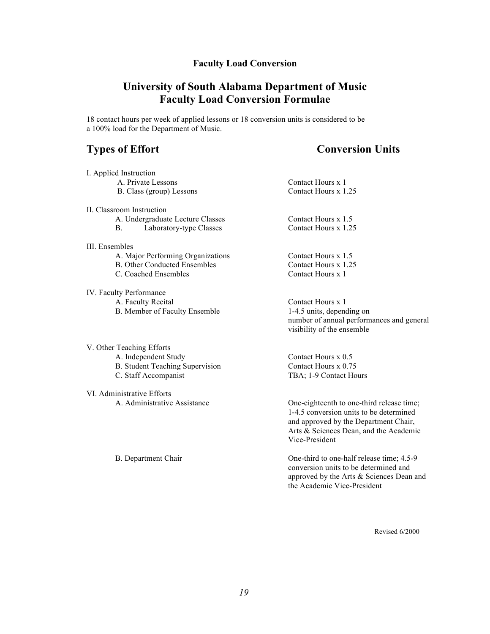## **Faculty Load Conversion**

# **University of South Alabama Department of Music Faculty Load Conversion Formulae**

<span id="page-18-0"></span> 18 contact hours per week of applied lessons or 18 conversion units is considered to be a 100% load for the Department of Music.

## **Types of Effort**

# **Conversion Units**

| I. Applied Instruction                 |                                           |
|----------------------------------------|-------------------------------------------|
| A. Private Lessons                     | Contact Hours x 1                         |
| B. Class (group) Lessons               | Contact Hours x 1.25                      |
| II. Classroom Instruction              |                                           |
| A. Undergraduate Lecture Classes       | Contact Hours x 1.5                       |
| Laboratory-type Classes<br>В.          | Contact Hours x 1.25                      |
| III. Ensembles                         |                                           |
| A. Major Performing Organizations      | Contact Hours $x$ 1.5                     |
| <b>B.</b> Other Conducted Ensembles    | Contact Hours x 1.25                      |
| C. Coached Ensembles                   | Contact Hours x 1                         |
| IV. Faculty Performance                |                                           |
| A. Faculty Recital                     | Contact Hours x 1                         |
| B. Member of Faculty Ensemble          | 1-4.5 units, depending on                 |
|                                        | number of annual performances and general |
|                                        | visibility of the ensemble                |
| V. Other Teaching Efforts              |                                           |
| A. Independent Study                   | Contact Hours x 0.5                       |
| <b>B.</b> Student Teaching Supervision | Contact Hours x 0.75                      |
| C. Staff Accompanist                   | TBA; 1-9 Contact Hours                    |
| VI. Administrative Efforts             |                                           |
| A. Administrative Assistance           | One-eighteenth to one-third release time; |
|                                        | 1-4.5 conversion units to be determined   |
|                                        | and approved by the Department Chair,     |
|                                        | Arts & Sciences Dean, and the Academic    |
|                                        | Vice-President                            |
| B. Department Chair                    | One-third to one-half release time; 4.5-9 |
|                                        | conversion units to be determined and     |
|                                        | approved by the Arts & Sciences Dean and  |
|                                        | the Academic Vice-President               |

Revised 6/2000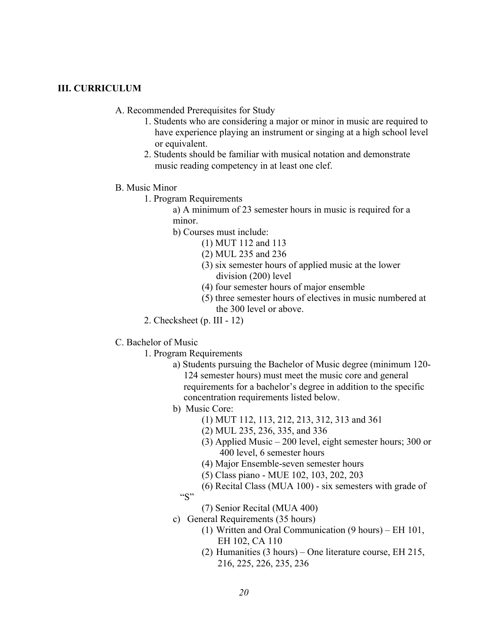#### <span id="page-19-0"></span>**III. CURRICULUM**

- A. Recommended Prerequisites for Study
	- 1. Students who are considering a major or minor in music are required to have experience playing an instrument or singing at a high school level or equivalent.
	- 2. Students should be familiar with musical notation and demonstrate music reading competency in at least one clef.
- B. Music Minor
	- 1. Program Requirements

a) A minimum of 23 semester hours in music is required for a minor.

- b) Courses must include: (1) MUT 112 and 113
	-
	- (2) MUL 235 and 236
	- (3) six semester hours of applied music at the lower division (200) level
	- (4) four semester hours of major ensemble
	- (5) three semester hours of electives in music numbered at the 300 level or above.
- 2. Checksheet (p. III 12)
- C. Bachelor of Music
	- 1. Program Requirements
		- a) Students pursuing the Bachelor of Music degree (minimum 120- 124 semester hours) must meet the music core and general requirements for a bachelor's degree in addition to the specific concentration requirements listed below.
		- b) Music Core:
			- (1) MUT 112, 113, 212, 213, 312, 313 and 361
			- (2) MUL 235, 236, 335, and 336
			- (3) Applied Music 200 level, eight semester hours; 300 or 400 level, 6 semester hours
			- (4) Major Ensemble-seven semester hours
			- (5) Class piano MUE 102, 103, 202, 203
			- (6) Recital Class (MUA 100) six semesters with grade of  $``S"$ 
				- (7) Senior Recital (MUA 400)
		- c) General Requirements (35 hours)
			- (1) Written and Oral Communication (9 hours) EH 101, EH 102, CA 110
			- (2) Humanities (3 hours) One literature course, EH 215, 216, 225, 226, 235, 236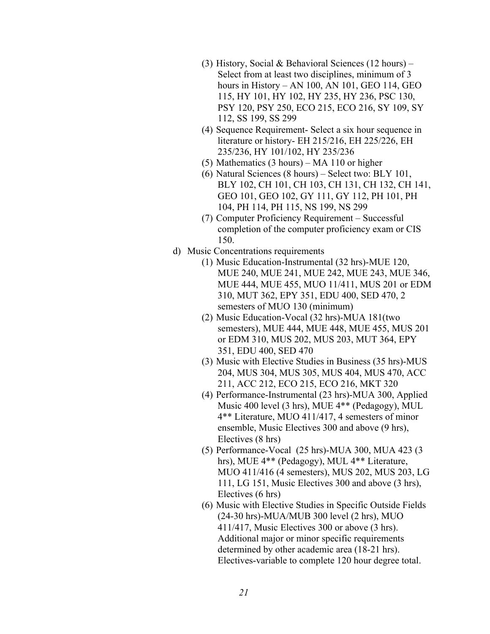- (3) History, Social & Behavioral Sciences (12 hours) Select from at least two disciplines, minimum of 3 hours in History – AN 100, AN 101, GEO 114, GEO 115, HY 101, HY 102, HY 235, HY 236, PSC 130, PSY 120, PSY 250, ECO 215, ECO 216, SY 109, SY 112, SS 199, SS 299
- (4) Sequence Requirement- Select a six hour sequence in literature or history- EH 215/216, EH 225/226, EH 235/236, HY 101/102, HY 235/236
- (5) Mathematics (3 hours) MA 110 or higher
- (6) Natural Sciences (8 hours) Select two: BLY 101, BLY 102, CH 101, CH 103, CH 131, CH 132, CH 141, GEO 101, GEO 102, GY 111, GY 112, PH 101, PH 104, PH 114, PH 115, NS 199, NS 299
- (7) Computer Proficiency Requirement Successful completion of the computer proficiency exam or CIS 150.
- d) Music Concentrations requirements
	- (1) Music Education-Instrumental (32 hrs)-MUE 120, MUE 240, MUE 241, MUE 242, MUE 243, MUE 346, MUE 444, MUE 455, MUO 11/411, MUS 201 or EDM 310, MUT 362, EPY 351, EDU 400, SED 470, 2 semesters of MUO 130 (minimum)
	- (2) Music Education-Vocal (32 hrs)-MUA 181(two semesters), MUE 444, MUE 448, MUE 455, MUS 201 or EDM 310, MUS 202, MUS 203, MUT 364, EPY 351, EDU 400, SED 470
	- (3) Music with Elective Studies in Business (35 hrs)-MUS 204, MUS 304, MUS 305, MUS 404, MUS 470, ACC 211, ACC 212, ECO 215, ECO 216, MKT 320
	- (4) Performance-Instrumental (23 hrs)-MUA 300, Applied Music 400 level (3 hrs), MUE 4\*\* (Pedagogy), MUL 4\*\* Literature, MUO 411/417, 4 semesters of minor ensemble, Music Electives 300 and above (9 hrs), Electives (8 hrs)
	- (5) Performance-Vocal (25 hrs)-MUA 300, MUA 423 (3 hrs), MUE 4\*\* (Pedagogy), MUL 4\*\* Literature, MUO 411/416 (4 semesters), MUS 202, MUS 203, LG 111, LG 151, Music Electives 300 and above (3 hrs), Electives (6 hrs)
	- (6) Music with Elective Studies in Specific Outside Fields (24-30 hrs)-MUA/MUB 300 level (2 hrs), MUO 411/417, Music Electives 300 or above (3 hrs). Additional major or minor specific requirements determined by other academic area (18-21 hrs). Electives-variable to complete 120 hour degree total.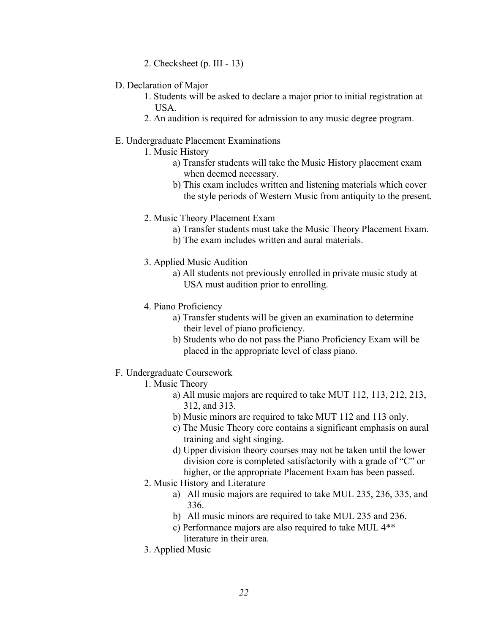- 2. Checksheet (p. III 13)
- <span id="page-21-0"></span>D. Declaration of Major
	- 1. Students will be asked to declare a major prior to initial registration at USA.
	- 2. An audition is required for admission to any music degree program.

#### E. Undergraduate Placement Examinations

- 1. Music History
	- a) Transfer students will take the Music History placement exam when deemed necessary.
	- b) This exam includes written and listening materials which cover the style periods of Western Music from antiquity to the present.
- 2. Music Theory Placement Exam
	- a) Transfer students must take the Music Theory Placement Exam.
	- b) The exam includes written and aural materials.
- 3. Applied Music Audition
	- a) All students not previously enrolled in private music study at USA must audition prior to enrolling.
- 4. Piano Proficiency
	- a) Transfer students will be given an examination to determine their level of piano proficiency.
	- b) Students who do not pass the Piano Proficiency Exam will be placed in the appropriate level of class piano.
- F. Undergraduate Coursework
	- 1. Music Theory
		- a) All music majors are required to take MUT 112, 113, 212, 213, 312, and 313.
		- b) Music minors are required to take MUT 112 and 113 only.
		- c) The Music Theory core contains a significant emphasis on aural training and sight singing.
		- d) Upper division theory courses may not be taken until the lower division core is completed satisfactorily with a grade of "C" or higher, or the appropriate Placement Exam has been passed.
	- 2. Music History and Literature
		- a) All music majors are required to take MUL 235, 236, 335, and 336.
		- b) All music minors are required to take MUL 235 and 236.
		- c) Performance majors are also required to take MUL 4\*\* literature in their area.
	- 3. Applied Music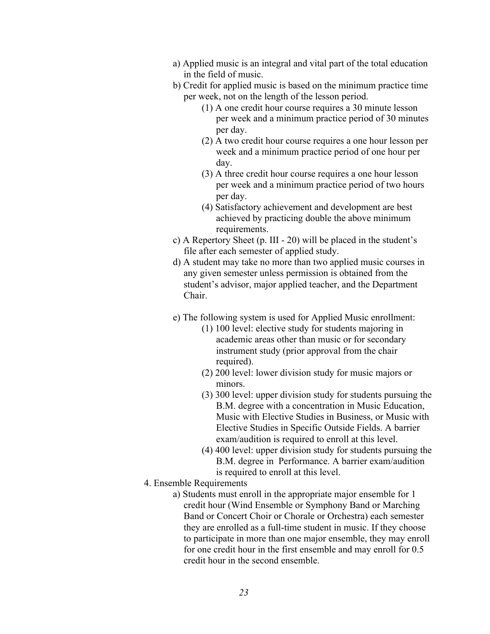- a) Applied music is an integral and vital part of the total education in the field of music.
- b) Credit for applied music is based on the minimum practice time per week, not on the length of the lesson period.
	- (1) A one credit hour course requires a 30 minute lesson per week and a minimum practice period of 30 minutes per day.
	- (2) A two credit hour course requires a one hour lesson per week and a minimum practice period of one hour per day.
	- (3) A three credit hour course requires a one hour lesson per week and a minimum practice period of two hours per day.
	- (4) Satisfactory achievement and development are best achieved by practicing double the above minimum requirements.
- c) A Repertory Sheet (p. III 20) will be placed in the student's file after each semester of applied study.
- d) A student may take no more than two applied music courses in any given semester unless permission is obtained from the student's advisor, major applied teacher, and the Department Chair.
- e) The following system is used for Applied Music enrollment:
	- (1) 100 level: elective study for students majoring in academic areas other than music or for secondary instrument study (prior approval from the chair required).
	- (2) 200 level: lower division study for music majors or minors.
	- (3) 300 level: upper division study for students pursuing the B.M. degree with a concentration in Music Education, Music with Elective Studies in Business, or Music with Elective Studies in Specific Outside Fields. A barrier exam/audition is required to enroll at this level.
	- (4) 400 level: upper division study for students pursuing the B.M. degree in Performance. A barrier exam/audition is required to enroll at this level.
- 4. Ensemble Requirements
	- a) Students must enroll in the appropriate major ensemble for 1 credit hour (Wind Ensemble or Symphony Band or Marching Band or Concert Choir or Chorale or Orchestra) each semester they are enrolled as a full-time student in music. If they choose to participate in more than one major ensemble, they may enroll for one credit hour in the first ensemble and may enroll for 0.5 credit hour in the second ensemble.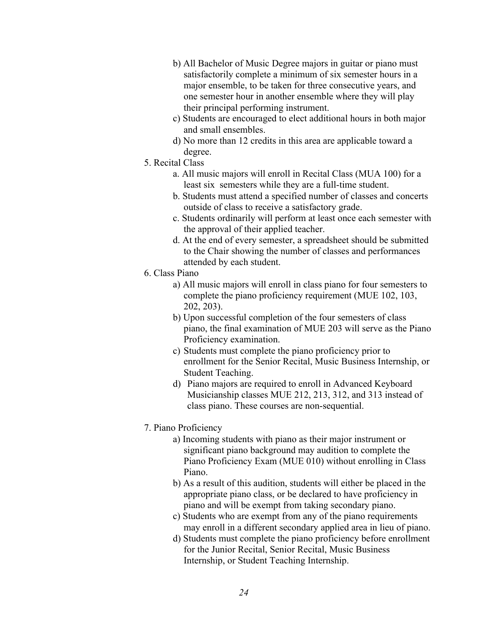- b) All Bachelor of Music Degree majors in guitar or piano must satisfactorily complete a minimum of six semester hours in a major ensemble, to be taken for three consecutive years, and one semester hour in another ensemble where they will play their principal performing instrument.
- c) Students are encouraged to elect additional hours in both major and small ensembles.
- d) No more than 12 credits in this area are applicable toward a degree.
- 5. Recital Class
	- a. All music majors will enroll in Recital Class (MUA 100) for a least six semesters while they are a full-time student.
	- b. Students must attend a specified number of classes and concerts outside of class to receive a satisfactory grade.
	- c. Students ordinarily will perform at least once each semester with the approval of their applied teacher.
	- d. At the end of every semester, a spreadsheet should be submitted to the Chair showing the number of classes and performances attended by each student.
- 6. Class Piano
	- a) All music majors will enroll in class piano for four semesters to complete the piano proficiency requirement (MUE 102, 103, 202, 203).
	- b) Upon successful completion of the four semesters of class piano, the final examination of MUE 203 will serve as the Piano Proficiency examination.
	- c) Students must complete the piano proficiency prior to enrollment for the Senior Recital, Music Business Internship, or Student Teaching.
	- d) Piano majors are required to enroll in Advanced Keyboard Musicianship classes MUE 212, 213, 312, and 313 instead of class piano. These courses are non-sequential.
- 7. Piano Proficiency
	- a) Incoming students with piano as their major instrument or significant piano background may audition to complete the Piano Proficiency Exam (MUE 010) without enrolling in Class Piano.
	- b) As a result of this audition, students will either be placed in the appropriate piano class, or be declared to have proficiency in piano and will be exempt from taking secondary piano.
	- c) Students who are exempt from any of the piano requirements may enroll in a different secondary applied area in lieu of piano.
	- d) Students must complete the piano proficiency before enrollment for the Junior Recital, Senior Recital, Music Business Internship, or Student Teaching Internship.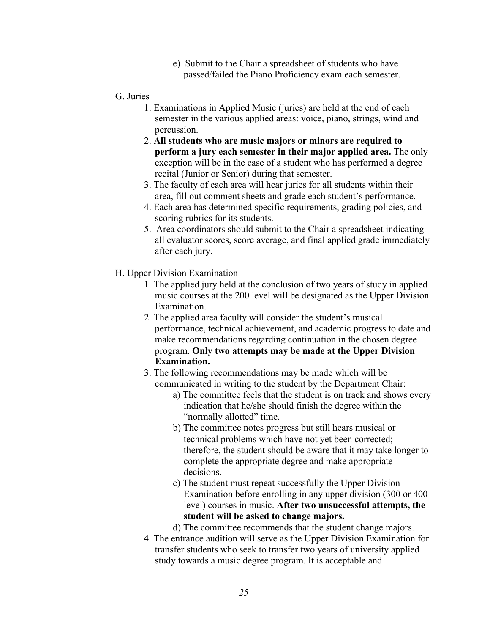- e) Submit to the Chair a spreadsheet of students who have passed/failed the Piano Proficiency exam each semester.
- <span id="page-24-0"></span>G. Juries
	- 1. Examinations in Applied Music (juries) are held at the end of each semester in the various applied areas: voice, piano, strings, wind and percussion.
	- 2. **All students who are music majors or minors are required to perform a jury each semester in their major applied area.** The only exception will be in the case of a student who has performed a degree recital (Junior or Senior) during that semester.
	- 3. The faculty of each area will hear juries for all students within their area, fill out comment sheets and grade each student's performance.
	- 4. Each area has determined specific requirements, grading policies, and scoring rubrics for its students.
	- 5. Area coordinators should submit to the Chair a spreadsheet indicating all evaluator scores, score average, and final applied grade immediately after each jury.
- H. Upper Division Examination
	- 1. The applied jury held at the conclusion of two years of study in applied music courses at the 200 level will be designated as the Upper Division Examination.
	- 2. The applied area faculty will consider the student's musical performance, technical achievement, and academic progress to date and make recommendations regarding continuation in the chosen degree program. **Only two attempts may be made at the Upper Division Examination.**
	- 3. The following recommendations may be made which will be communicated in writing to the student by the Department Chair:
		- a) The committee feels that the student is on track and shows every indication that he/she should finish the degree within the "normally allotted" time.
		- b) The committee notes progress but still hears musical or technical problems which have not yet been corrected; therefore, the student should be aware that it may take longer to complete the appropriate degree and make appropriate decisions.
		- c) The student must repeat successfully the Upper Division Examination before enrolling in any upper division (300 or 400 level) courses in music. **After two unsuccessful attempts, the student will be asked to change majors.**
		- d) The committee recommends that the student change majors.
	- 4. The entrance audition will serve as the Upper Division Examination for transfer students who seek to transfer two years of university applied study towards a music degree program. It is acceptable and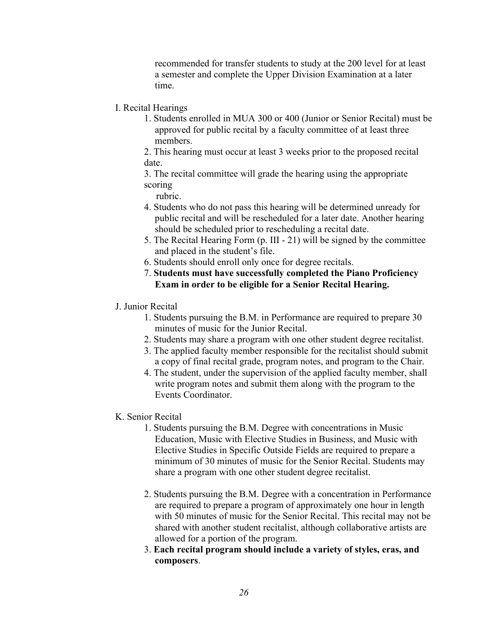recommended for transfer students to study at the 200 level for at least a semester and complete the Upper Division Examination at a later time.

- <span id="page-25-0"></span>I. Recital Hearings
	- 1. Students enrolled in MUA 300 or 400 (Junior or Senior Recital) must be approved for public recital by a faculty committee of at least three members.

2. This hearing must occur at least 3 weeks prior to the proposed recital date.

3. The recital committee will grade the hearing using the appropriate scoring

rubric.

- 4. Students who do not pass this hearing will be determined unready for public recital and will be rescheduled for a later date. Another hearing should be scheduled prior to rescheduling a recital date.
- 5. The Recital Hearing Form (p. III 21) will be signed by the committee and placed in the student's file.
- 6. Students should enroll only once for degree recitals.
- 7. **Students must have successfully completed the Piano Proficiency Exam in order to be eligible for a Senior Recital Hearing.**
- J. Junior Recital
	- 1. Students pursuing the B.M. in Performance are required to prepare 30 minutes of music for the Junior Recital.
	- 2. Students may share a program with one other student degree recitalist.
	- 3. The applied faculty member responsible for the recitalist should submit a copy of final recital grade, program notes, and program to the Chair.
	- 4. The student, under the supervision of the applied faculty member, shall write program notes and submit them along with the program to the Events Coordinator.
- K. Senior Recital
	- 1. Students pursuing the B.M. Degree with concentrations in Music Education, Music with Elective Studies in Business, and Music with Elective Studies in Specific Outside Fields are required to prepare a minimum of 30 minutes of music for the Senior Recital. Students may share a program with one other student degree recitalist.
	- 2. Students pursuing the B.M. Degree with a concentration in Performance are required to prepare a program of approximately one hour in length with 50 minutes of music for the Senior Recital. This recital may not be shared with another student recitalist, although collaborative artists are allowed for a portion of the program.
	- 3. **Each recital program should include a variety of styles, eras, and composers**.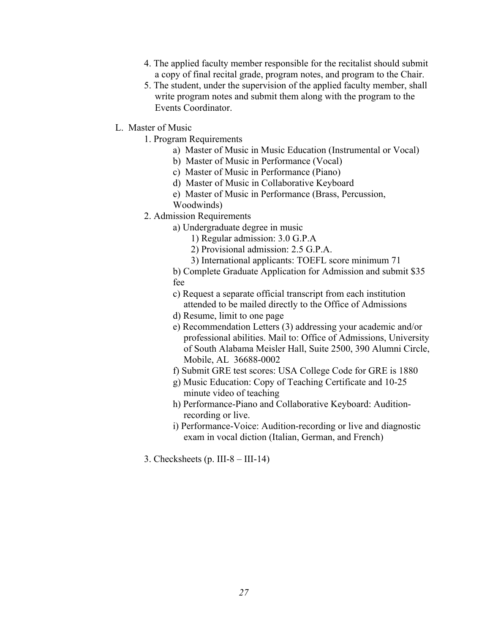- <span id="page-26-0"></span>4. The applied faculty member responsible for the recitalist should submit a copy of final recital grade, program notes, and program to the Chair.
- 5. The student, under the supervision of the applied faculty member, shall write program notes and submit them along with the program to the Events Coordinator.
- L. Master of Music
	- 1. Program Requirements
		- a) Master of Music in Music Education (Instrumental or Vocal)
		- b) Master of Music in Performance (Vocal)
		- c) Master of Music in Performance (Piano)
		- d) Master of Music in Collaborative Keyboard
		- e) Master of Music in Performance (Brass, Percussion,
		- Woodwinds)
	- 2. Admission Requirements
		- a) Undergraduate degree in music
			- 1) Regular admission: 3.0 G.P.A
			- 2) Provisional admission: 2.5 G.P.A.
			- 3) International applicants: TOEFL score minimum 71

b) Complete Graduate Application for Admission and submit \$35 fee

- c) Request a separate official transcript from each institution attended to be mailed directly to the Office of Admissions
- d) Resume, limit to one page
- e) Recommendation Letters (3) addressing your academic and/or professional abilities. Mail to: Office of Admissions, University of South Alabama Meisler Hall, Suite 2500, 390 Alumni Circle, Mobile, AL 36688-0002
- f) Submit GRE test scores: USA College Code for GRE is 1880
- g) Music Education: Copy of Teaching Certificate and 10-25 minute video of teaching
- h) Performance-Piano and Collaborative Keyboard: Auditionrecording or live.
- i) Performance-Voice: Audition-recording or live and diagnostic exam in vocal diction (Italian, German, and French)
- 3. Checksheets (p. III-8 III-14)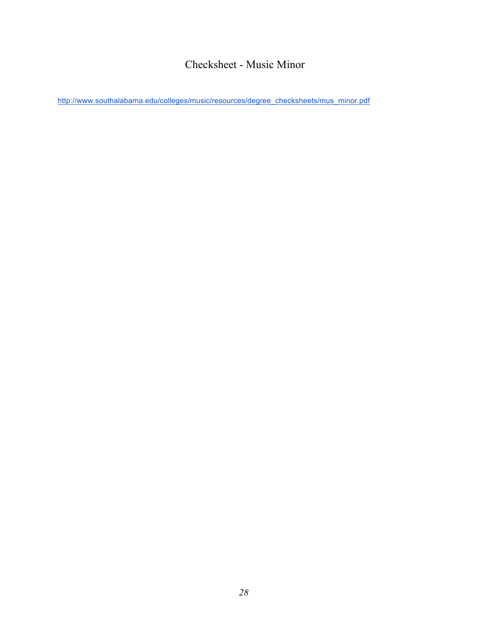# Checksheet - Music Minor

<span id="page-27-0"></span>http://www.southalabama.edu/colleges/music/resources/degree\_checksheets/mus\_minor.pdf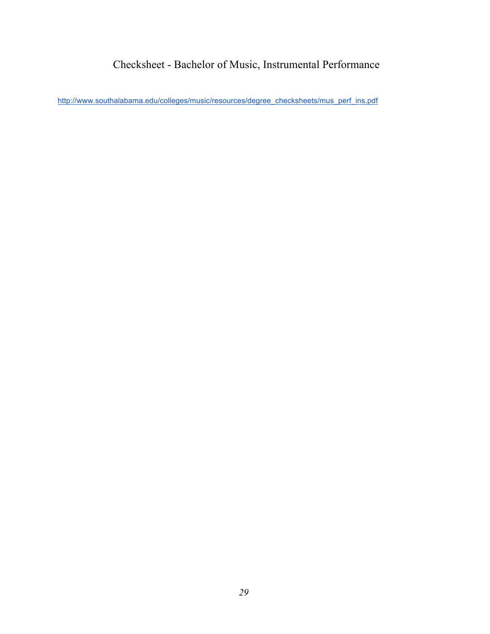# Checksheet - Bachelor of Music, Instrumental Performance

<span id="page-28-0"></span>http://www.southalabama.edu/colleges/music/resources/degree\_checksheets/mus\_perf\_ins.pdf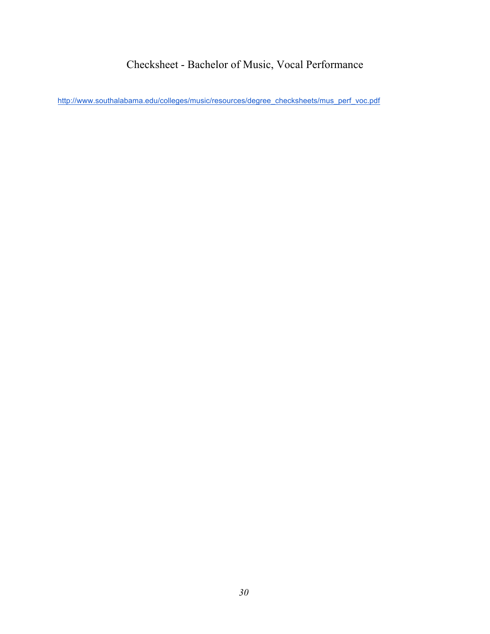# Checksheet - Bachelor of Music, Vocal Performance

<span id="page-29-0"></span>http://www.southalabama.edu/colleges/music/resources/degree\_checksheets/mus\_perf\_voc.pdf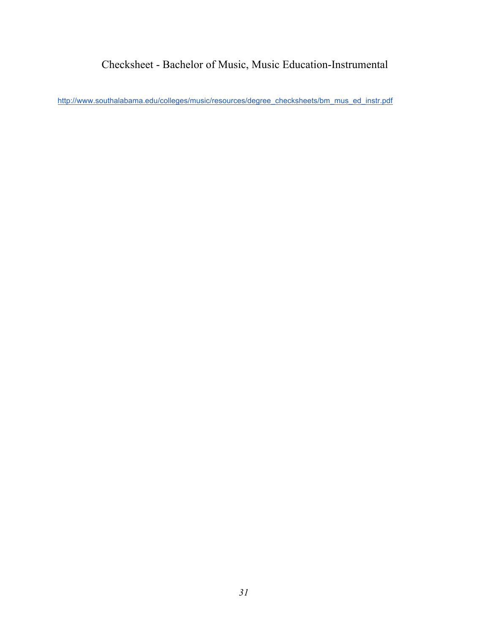# Checksheet - Bachelor of Music, Music Education-Instrumental

<span id="page-30-0"></span>http://www.southalabama.edu/colleges/music/resources/degree\_checksheets/bm\_mus\_ed\_instr.pdf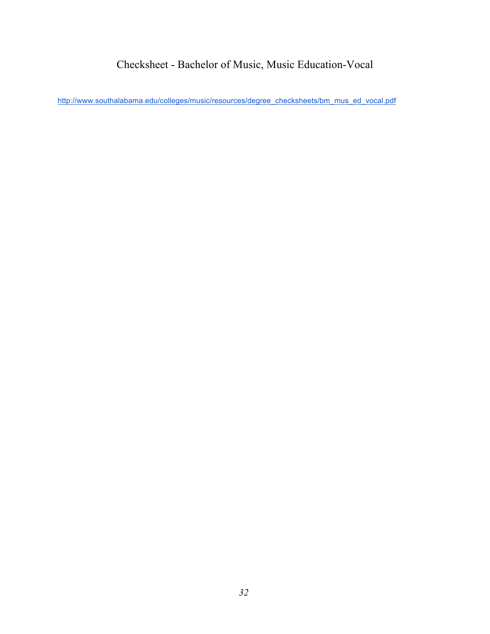# Checksheet - Bachelor of Music, Music Education-Vocal

<span id="page-31-0"></span>http://www.southalabama.edu/colleges/music/resources/degree\_checksheets/bm\_mus\_ed\_vocal.pdf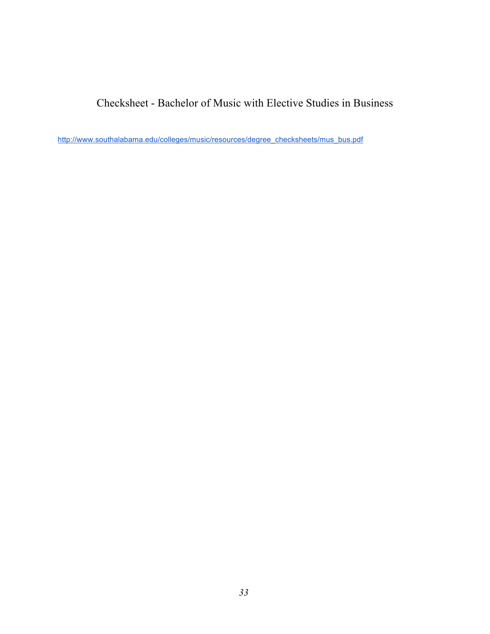<span id="page-32-0"></span>Checksheet - Bachelor of Music with Elective Studies in Business

http://www.southalabama.edu/colleges/music/resources/degree\_checksheets/mus\_bus.pdf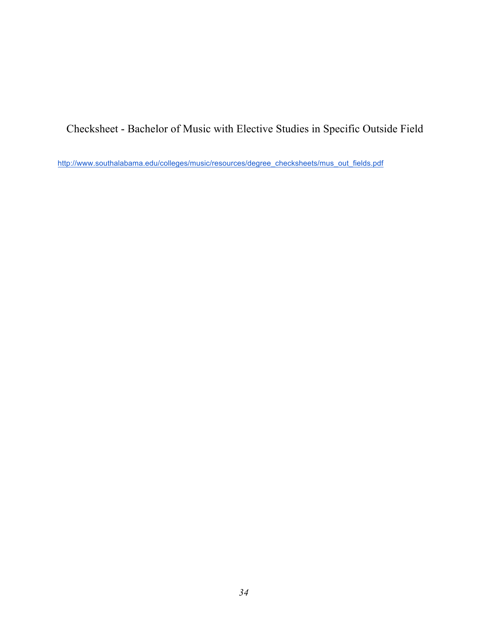<span id="page-33-0"></span>Checksheet - Bachelor of Music with Elective Studies in Specific Outside Field

http://www.southalabama.edu/colleges/music/resources/degree\_checksheets/mus\_out\_fields.pdf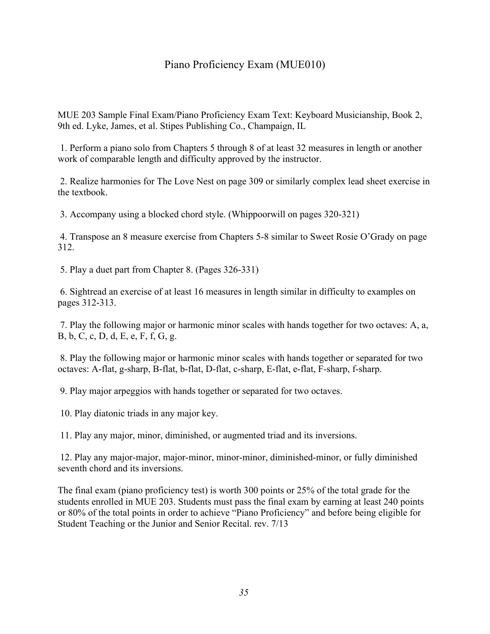# Piano Proficiency Exam (MUE010)

<span id="page-34-0"></span>MUE 203 Sample Final Exam/Piano Proficiency Exam Text: Keyboard Musicianship, Book 2, 9th ed. Lyke, James, et al. Stipes Publishing Co., Champaign, IL

 1. Perform a piano solo from Chapters 5 through 8 of at least 32 measures in length or another work of comparable length and difficulty approved by the instructor.

 2. Realize harmonies for The Love Nest on page 309 or similarly complex lead sheet exercise in the textbook.

3. Accompany using a blocked chord style. (Whippoorwill on pages 320-321)

 4. Transpose an 8 measure exercise from Chapters 5-8 similar to Sweet Rosie O'Grady on page 312.

5. Play a duet part from Chapter 8. (Pages 326-331)

 pages 312-313. 6. Sightread an exercise of at least 16 measures in length similar in difficulty to examples on

 7. Play the following major or harmonic minor scales with hands together for two octaves: A, a, B, b, C, c, D, d, E, e, F, f, G, g.

 8. Play the following major or harmonic minor scales with hands together or separated for two octaves: A-flat, g-sharp, B-flat, b-flat, D-flat, c-sharp, E-flat, e-flat, F-sharp, f-sharp.

9. Play major arpeggios with hands together or separated for two octaves.

10. Play diatonic triads in any major key.

11. Play any major, minor, diminished, or augmented triad and its inversions.

 12. Play any major-major, major-minor, minor-minor, diminished-minor, or fully diminished seventh chord and its inversions.

The final exam (piano proficiency test) is worth 300 points or 25% of the total grade for the students enrolled in MUE 203. Students must pass the final exam by earning at least 240 points or 80% of the total points in order to achieve "Piano Proficiency" and before being eligible for Student Teaching or the Junior and Senior Recital. rev. 7/13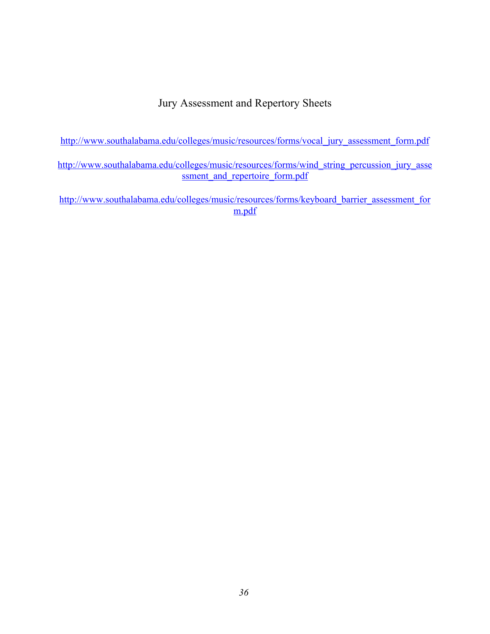# Jury Assessment and Repertory Sheets

<span id="page-35-0"></span>http://www.southalabama.edu/colleges/music/resources/forms/vocal\_jury\_assessment\_form.pdf

http://www.southalabama.edu/colleges/music/resources/forms/wind\_string\_percussion\_jury\_asse ssment and repertoire form.pdf

http://www.southalabama.edu/colleges/music/resources/forms/keyboard\_barrier\_assessment\_for m.pdf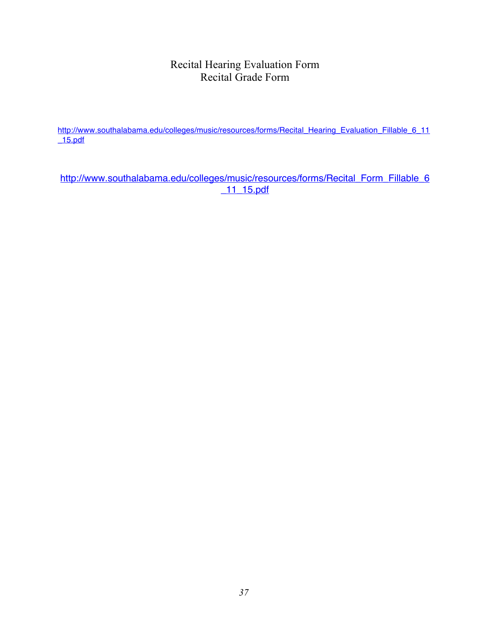# Recital Hearing Evaluation Form Recital Grade Form

http://www.southalabama.edu/colleges/music/resources/forms/Recital\_Hearing\_Evaluation\_Fillable\_6\_11 \_15.pdf

http://www.southalabama.edu/colleges/music/resources/forms/Recital\_Form\_Fillable\_6 \_11\_15.pdf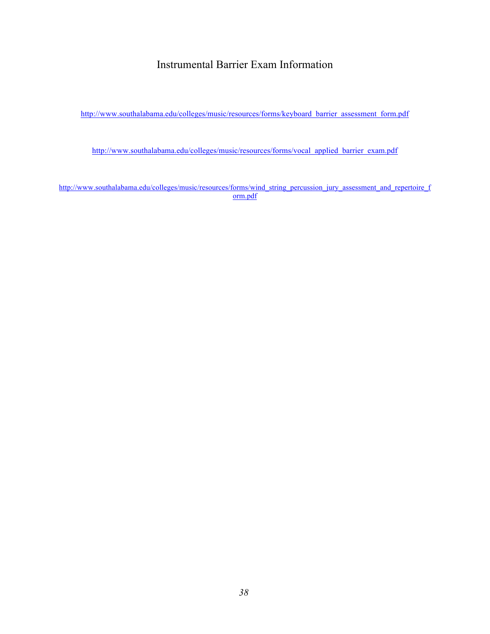# Instrumental Barrier Exam Information

http://www.southalabama.edu/colleges/music/resources/forms/keyboard\_barrier\_assessment\_form.pdf

http://www.southalabama.edu/colleges/music/resources/forms/vocal\_applied\_barrier\_exam.pdf

http://www.southalabama.edu/colleges/music/resources/forms/wind\_string\_percussion\_jury\_assessment\_and\_repertoire\_f orm.pdf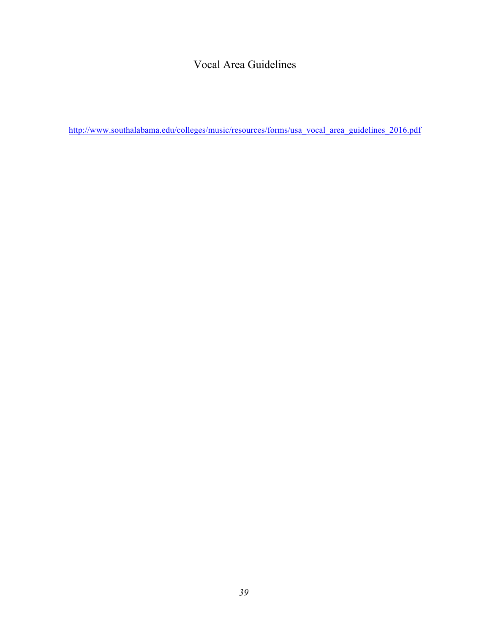# Vocal Area Guidelines

http://www.southalabama.edu/colleges/music/resources/forms/usa\_vocal\_area\_guidelines\_2016.pdf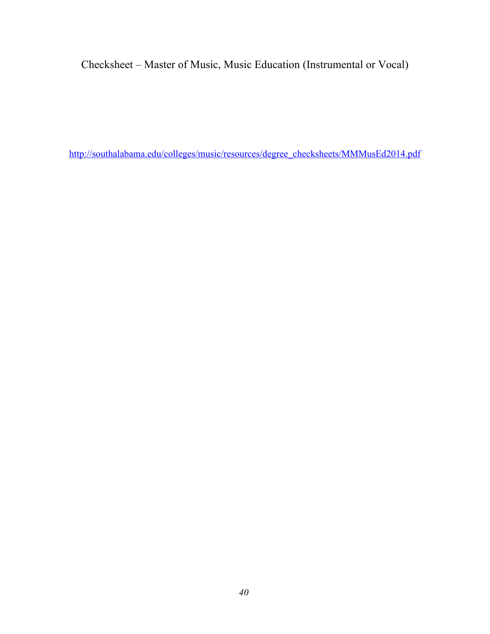Checksheet – Master of Music, Music Education (Instrumental or Vocal)

http://southalabama.edu/colleges/music/resources/degree\_checksheets/MMMusEd2014.pdf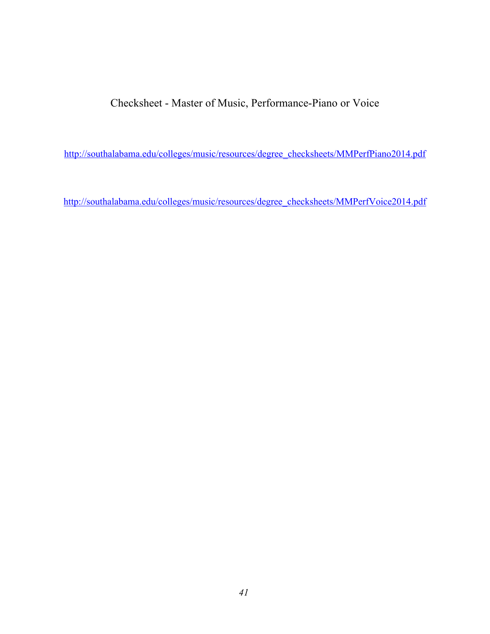Checksheet - Master of Music, Performance-Piano or Voice

http://southalabama.edu/colleges/music/resources/degree\_checksheets/MMPerfPiano2014.pdf

http://southalabama.edu/colleges/music/resources/degree\_checksheets/MMPerfVoice2014.pdf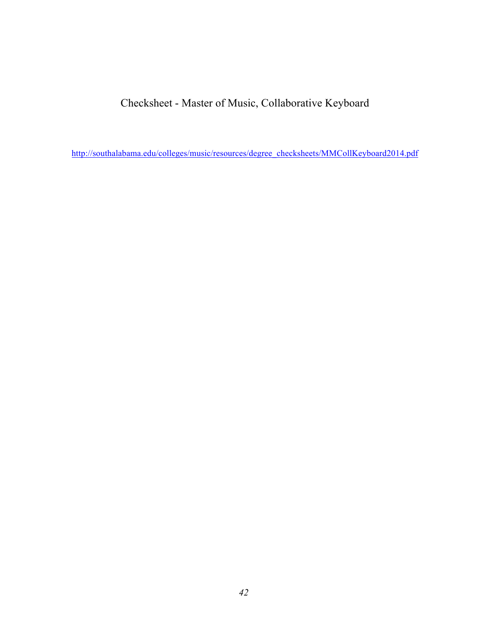Checksheet - Master of Music, Collaborative Keyboard

http://southalabama.edu/colleges/music/resources/degree\_checksheets/MMCollKeyboard2014.pdf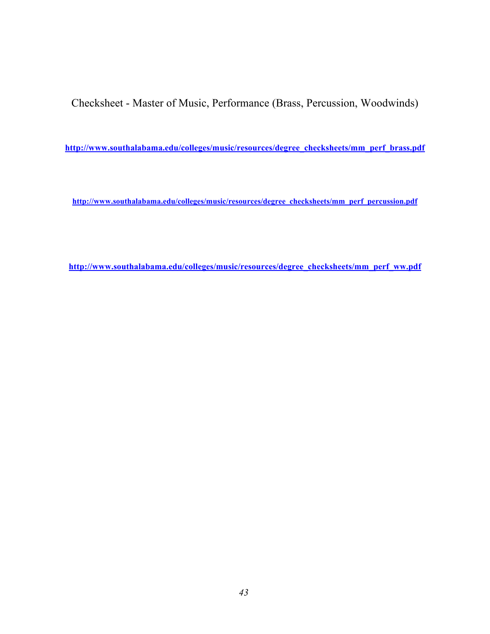Checksheet - Master of Music, Performance (Brass, Percussion, Woodwinds)

**http://www.southalabama.edu/colleges/music/resources/degree\_checksheets/mm\_perf\_brass.pdf** 

**http://www.southalabama.edu/colleges/music/resources/degree\_checksheets/mm\_perf\_percussion.pdf** 

**http://www.southalabama.edu/colleges/music/resources/degree\_checksheets/mm\_perf\_ww.pdf**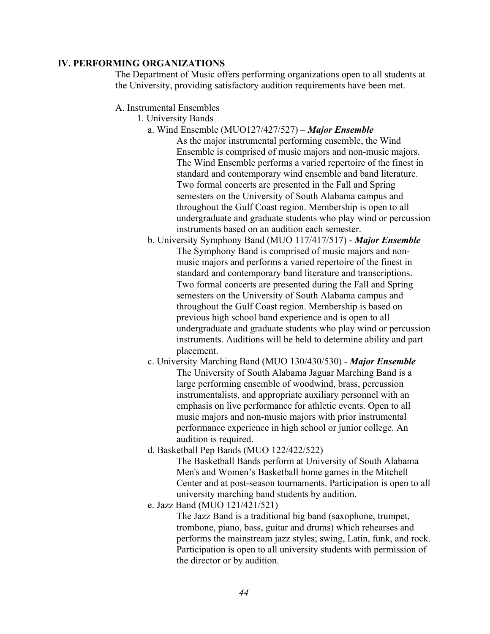### **IV. PERFORMING ORGANIZATIONS**

The Department of Music offers performing organizations open to all students at the University, providing satisfactory audition requirements have been met.

- A. Instrumental Ensembles
	- 1. University Bands
		- a. Wind Ensemble (MUO127/427/527) *Major Ensemble*

As the major instrumental performing ensemble, the Wind Ensemble is comprised of music majors and non-music majors. The Wind Ensemble performs a varied repertoire of the finest in standard and contemporary wind ensemble and band literature. Two formal concerts are presented in the Fall and Spring semesters on the University of South Alabama campus and throughout the Gulf Coast region. Membership is open to all undergraduate and graduate students who play wind or percussion instruments based on an audition each semester.

b. University Symphony Band (MUO 117/417/517) - *Major Ensemble*  The Symphony Band is comprised of music majors and nonmusic majors and performs a varied repertoire of the finest in standard and contemporary band literature and transcriptions. Two formal concerts are presented during the Fall and Spring semesters on the University of South Alabama campus and throughout the Gulf Coast region. Membership is based on previous high school band experience and is open to all undergraduate and graduate students who play wind or percussion instruments. Auditions will be held to determine ability and part placement.

c. University Marching Band (MUO 130/430/530) - *Major Ensemble*  The University of South Alabama Jaguar Marching Band is a large performing ensemble of woodwind, brass, percussion instrumentalists, and appropriate auxiliary personnel with an emphasis on live performance for athletic events. Open to all music majors and non-music majors with prior instrumental performance experience in high school or junior college. An audition is required.

d. Basketball Pep Bands (MUO 122/422/522)

The Basketball Bands perform at University of South Alabama Men's and Women's Basketball home games in the Mitchell Center and at post-season tournaments. Participation is open to all university marching band students by audition.

e. Jazz Band (MUO 121/421/521)

The Jazz Band is a traditional big band (saxophone, trumpet, trombone, piano, bass, guitar and drums) which rehearses and performs the mainstream jazz styles; swing, Latin, funk, and rock. Participation is open to all university students with permission of the director or by audition.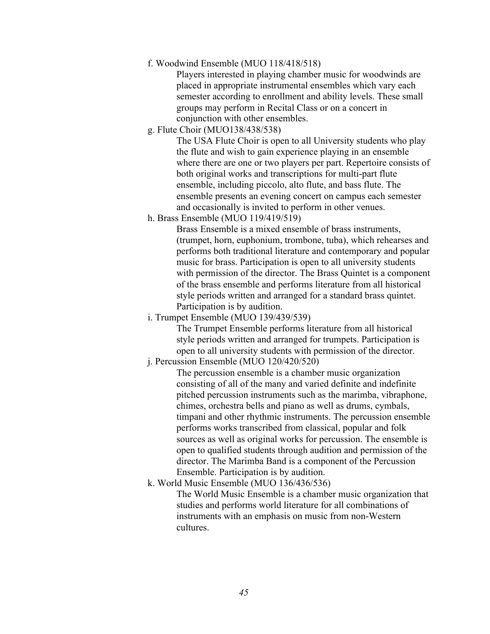f. Woodwind Ensemble (MUO 118/418/518)

Players interested in playing chamber music for woodwinds are placed in appropriate instrumental ensembles which vary each semester according to enrollment and ability levels. These small groups may perform in Recital Class or on a concert in conjunction with other ensembles.

g. Flute Choir (MUO138/438/538)

The USA Flute Choir is open to all University students who play the flute and wish to gain experience playing in an ensemble where there are one or two players per part. Repertoire consists of both original works and transcriptions for multi-part flute ensemble, including piccolo, alto flute, and bass flute. The ensemble presents an evening concert on campus each semester and occasionally is invited to perform in other venues.

h. Brass Ensemble (MUO 119/419/519)

Brass Ensemble is a mixed ensemble of brass instruments, (trumpet, horn, euphonium, trombone, tuba), which rehearses and performs both traditional literature and contemporary and popular music for brass. Participation is open to all university students with permission of the director. The Brass Quintet is a component of the brass ensemble and performs literature from all historical style periods written and arranged for a standard brass quintet. Participation is by audition.

i. Trumpet Ensemble (MUO 139/439/539)

The Trumpet Ensemble performs literature from all historical style periods written and arranged for trumpets. Participation is open to all university students with permission of the director.

j. Percussion Ensemble (MUO 120/420/520)

The percussion ensemble is a chamber music organization consisting of all of the many and varied definite and indefinite pitched percussion instruments such as the marimba, vibraphone, chimes, orchestra bells and piano as well as drums, cymbals, timpani and other rhythmic instruments. The percussion ensemble performs works transcribed from classical, popular and folk sources as well as original works for percussion. The ensemble is open to qualified students through audition and permission of the director. The Marimba Band is a component of the Percussion Ensemble. Participation is by audition.

k. World Music Ensemble (MUO 136/436/536)

The World Music Ensemble is a chamber music organization that studies and performs world literature for all combinations of instruments with an emphasis on music from non-Western cultures.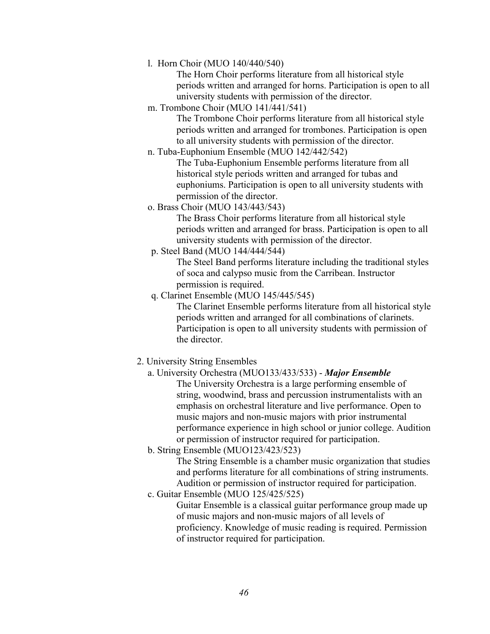l. Horn Choir (MUO 140/440/540)

The Horn Choir performs literature from all historical style periods written and arranged for horns. Participation is open to all university students with permission of the director.

m. Trombone Choir (MUO 141/441/541)

The Trombone Choir performs literature from all historical style periods written and arranged for trombones. Participation is open to all university students with permission of the director.

n. Tuba-Euphonium Ensemble (MUO 142/442/542)

 The Tuba-Euphonium Ensemble performs literature from all historical style periods written and arranged for tubas and euphoniums. Participation is open to all university students with permission of the director.

o. Brass Choir (MUO 143/443/543)

The Brass Choir performs literature from all historical style periods written and arranged for brass. Participation is open to all university students with permission of the director.

p. Steel Band (MUO 144/444/544)

The Steel Band performs literature including the traditional styles of soca and calypso music from the Carribean. Instructor permission is required.

q. Clarinet Ensemble (MUO 145/445/545)

The Clarinet Ensemble performs literature from all historical style periods written and arranged for all combinations of clarinets. Participation is open to all university students with permission of the director.

- 2. University String Ensembles
	- a. University Orchestra (MUO133/433/533) *Major Ensemble*

The University Orchestra is a large performing ensemble of string, woodwind, brass and percussion instrumentalists with an emphasis on orchestral literature and live performance. Open to music majors and non-music majors with prior instrumental performance experience in high school or junior college. Audition or permission of instructor required for participation.

b. String Ensemble (MUO123/423/523)

The String Ensemble is a chamber music organization that studies and performs literature for all combinations of string instruments. Audition or permission of instructor required for participation.

c. Guitar Ensemble (MUO 125/425/525)

Guitar Ensemble is a classical guitar performance group made up of music majors and non-music majors of all levels of proficiency. Knowledge of music reading is required. Permission of instructor required for participation.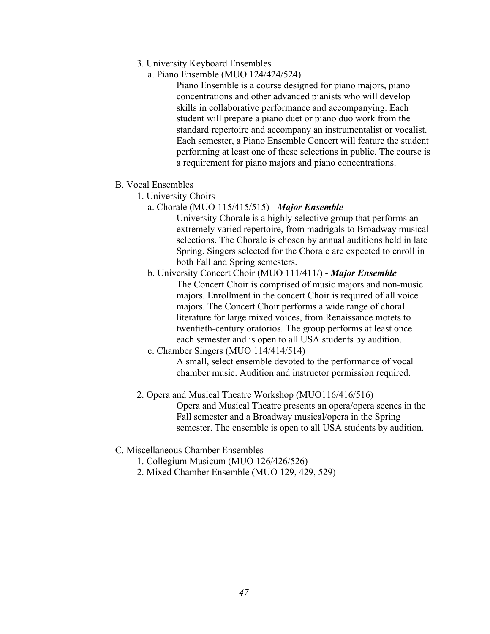- 3. University Keyboard Ensembles
	- a. Piano Ensemble (MUO 124/424/524)

Piano Ensemble is a course designed for piano majors, piano concentrations and other advanced pianists who will develop skills in collaborative performance and accompanying. Each student will prepare a piano duet or piano duo work from the standard repertoire and accompany an instrumentalist or vocalist. Each semester, a Piano Ensemble Concert will feature the student performing at least one of these selections in public. The course is a requirement for piano majors and piano concentrations.

- B. Vocal Ensembles
	- 1. University Choirs
		- a. Chorale (MUO 115/415/515) *Major Ensemble*

University Chorale is a highly selective group that performs an extremely varied repertoire, from madrigals to Broadway musical selections. The Chorale is chosen by annual auditions held in late Spring. Singers selected for the Chorale are expected to enroll in both Fall and Spring semesters.

- b. University Concert Choir (MUO 111/411/) *Major Ensemble*  The Concert Choir is comprised of music majors and non-music majors. Enrollment in the concert Choir is required of all voice majors. The Concert Choir performs a wide range of choral literature for large mixed voices, from Renaissance motets to twentieth-century oratorios. The group performs at least once each semester and is open to all USA students by audition.
- c. Chamber Singers (MUO 114/414/514)

A small, select ensemble devoted to the performance of vocal chamber music. Audition and instructor permission required.

2. Opera and Musical Theatre Workshop (MUO116/416/516)

Opera and Musical Theatre presents an opera/opera scenes in the Fall semester and a Broadway musical/opera in the Spring semester. The ensemble is open to all USA students by audition.

- C. Miscellaneous Chamber Ensembles
	- 1. Collegium Musicum (MUO 126/426/526)
	- 2. Mixed Chamber Ensemble (MUO 129, 429, 529)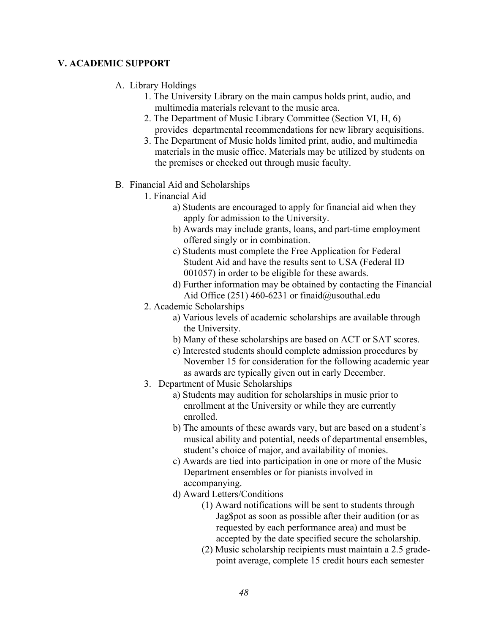### **V. ACADEMIC SUPPORT**

### A. Library Holdings

- 1. The University Library on the main campus holds print, audio, and multimedia materials relevant to the music area.
- 2. The Department of Music Library Committee (Section VI, H, 6) provides departmental recommendations for new library acquisitions.
- 3. The Department of Music holds limited print, audio, and multimedia materials in the music office. Materials may be utilized by students on the premises or checked out through music faculty.

### B. Financial Aid and Scholarships

- 1. Financial Aid
	- a) Students are encouraged to apply for financial aid when they apply for admission to the University.
	- b) Awards may include grants, loans, and part-time employment offered singly or in combination.
	- c) Students must complete the Free Application for Federal Student Aid and have the results sent to USA (Federal ID 001057) in order to be eligible for these awards.
	- d) Further information may be obtained by contacting the Financial Aid Office (251) 460-6231 or finaid@usouthal.edu
- 2. Academic Scholarships
	- a) Various levels of academic scholarships are available through the University.
	- b) Many of these scholarships are based on ACT or SAT scores.
	- c) Interested students should complete admission procedures by November 15 for consideration for the following academic year as awards are typically given out in early December.
- 3. Department of Music Scholarships
	- a) Students may audition for scholarships in music prior to enrollment at the University or while they are currently enrolled.
	- b) The amounts of these awards vary, but are based on a student's musical ability and potential, needs of departmental ensembles, student's choice of major, and availability of monies.
	- c) Awards are tied into participation in one or more of the Music Department ensembles or for pianists involved in accompanying.
	- d) Award Letters/Conditions
		- (1) Award notifications will be sent to students through Jag\$pot as soon as possible after their audition (or as requested by each performance area) and must be accepted by the date specified secure the scholarship.
		- (2) Music scholarship recipients must maintain a 2.5 gradepoint average, complete 15 credit hours each semester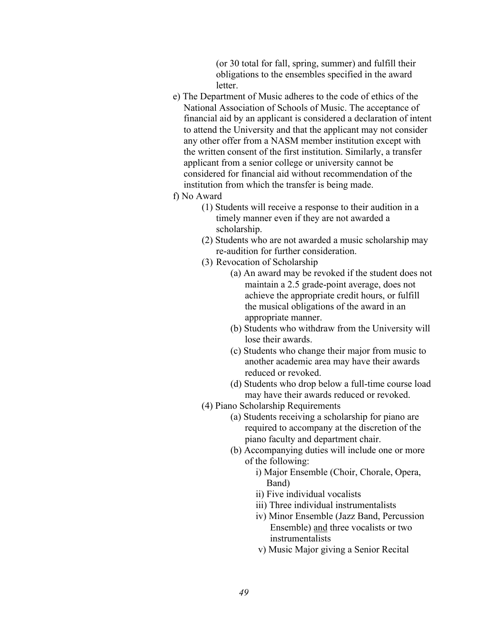(or 30 total for fall, spring, summer) and fulfill their obligations to the ensembles specified in the award letter.

- e) The Department of Music adheres to the code of ethics of the National Association of Schools of Music. The acceptance of financial aid by an applicant is considered a declaration of intent to attend the University and that the applicant may not consider any other offer from a NASM member institution except with the written consent of the first institution. Similarly, a transfer applicant from a senior college or university cannot be considered for financial aid without recommendation of the institution from which the transfer is being made.
- f) No Award
	- (1) Students will receive a response to their audition in a timely manner even if they are not awarded a scholarship.
	- (2) Students who are not awarded a music scholarship may re-audition for further consideration.
	- (3) Revocation of Scholarship
		- (a) An award may be revoked if the student does not maintain a 2.5 grade-point average, does not achieve the appropriate credit hours, or fulfill the musical obligations of the award in an appropriate manner.
		- (b) Students who withdraw from the University will lose their awards.
		- (c) Students who change their major from music to another academic area may have their awards reduced or revoked.
		- (d) Students who drop below a full-time course load may have their awards reduced or revoked.
	- (4) Piano Scholarship Requirements
		- (a) Students receiving a scholarship for piano are required to accompany at the discretion of the piano faculty and department chair.
		- (b) Accompanying duties will include one or more of the following:
			- i) Major Ensemble (Choir, Chorale, Opera, Band)
			- ii) Five individual vocalists
			- iii) Three individual instrumentalists
			- iv) Minor Ensemble (Jazz Band, Percussion Ensemble) and three vocalists or two instrumentalists
			- v) Music Major giving a Senior Recital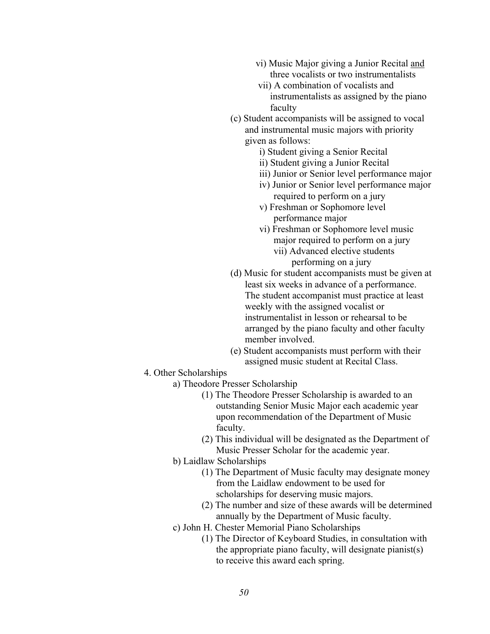- vi) Music Major giving a Junior Recital and three vocalists or two instrumentalists
- vii) A combination of vocalists and instrumentalists as assigned by the piano faculty
- (c) Student accompanists will be assigned to vocal and instrumental music majors with priority given as follows:
	- i) Student giving a Senior Recital
	- ii) Student giving a Junior Recital
	- iii) Junior or Senior level performance major
	- iv) Junior or Senior level performance major required to perform on a jury
	- v) Freshman or Sophomore level performance major
	- vi) Freshman or Sophomore level music major required to perform on a jury
		- vii) Advanced elective students performing on a jury
- (d) Music for student accompanists must be given at least six weeks in advance of a performance. The student accompanist must practice at least weekly with the assigned vocalist or instrumentalist in lesson or rehearsal to be arranged by the piano faculty and other faculty member involved.
- (e) Student accompanists must perform with their assigned music student at Recital Class.
- 4. Other Scholarships
	- a) Theodore Presser Scholarship
		- (1) The Theodore Presser Scholarship is awarded to an outstanding Senior Music Major each academic year upon recommendation of the Department of Music faculty.
		- (2) This individual will be designated as the Department of Music Presser Scholar for the academic year.
	- b) Laidlaw Scholarships
		- (1) The Department of Music faculty may designate money from the Laidlaw endowment to be used for scholarships for deserving music majors.
		- (2) The number and size of these awards will be determined annually by the Department of Music faculty.
	- c) John H. Chester Memorial Piano Scholarships
		- (1) The Director of Keyboard Studies, in consultation with the appropriate piano faculty, will designate pianist(s) to receive this award each spring.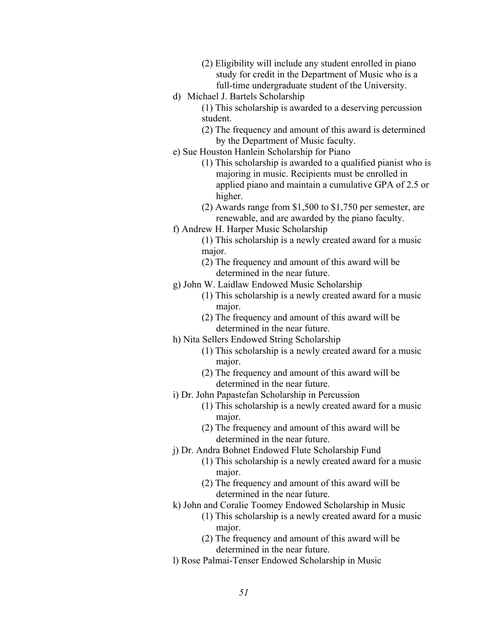- (2) Eligibility will include any student enrolled in piano study for credit in the Department of Music who is a full-time undergraduate student of the University.
- d) Michael J. Bartels Scholarship
	- (1) This scholarship is awarded to a deserving percussion student.
	- (2) The frequency and amount of this award is determined by the Department of Music faculty.
- e) Sue Houston Hanlein Scholarship for Piano
	- (1) This scholarship is awarded to a qualified pianist who is majoring in music. Recipients must be enrolled in applied piano and maintain a cumulative GPA of 2.5 or higher.
	- (2) Awards range from \$1,500 to \$1,750 per semester, are renewable, and are awarded by the piano faculty.
- f) Andrew H. Harper Music Scholarship
	- (1) This scholarship is a newly created award for a music major.
	- (2) The frequency and amount of this award will be determined in the near future.
- g) John W. Laidlaw Endowed Music Scholarship
	- (1) This scholarship is a newly created award for a music major.
	- (2) The frequency and amount of this award will be determined in the near future.
- h) Nita Sellers Endowed String Scholarship
	- (1) This scholarship is a newly created award for a music major.
	- (2) The frequency and amount of this award will be determined in the near future.
- i) Dr. John Papastefan Scholarship in Percussion
	- (1) This scholarship is a newly created award for a music major.
	- (2) The frequency and amount of this award will be determined in the near future.
- j) Dr. Andra Bohnet Endowed Flute Scholarship Fund
	- (1) This scholarship is a newly created award for a music major.
	- (2) The frequency and amount of this award will be determined in the near future.
- k) John and Coralie Toomey Endowed Scholarship in Music
	- (1) This scholarship is a newly created award for a music major.
	- (2) The frequency and amount of this award will be determined in the near future.
- l) Rose Palmai-Tenser Endowed Scholarship in Music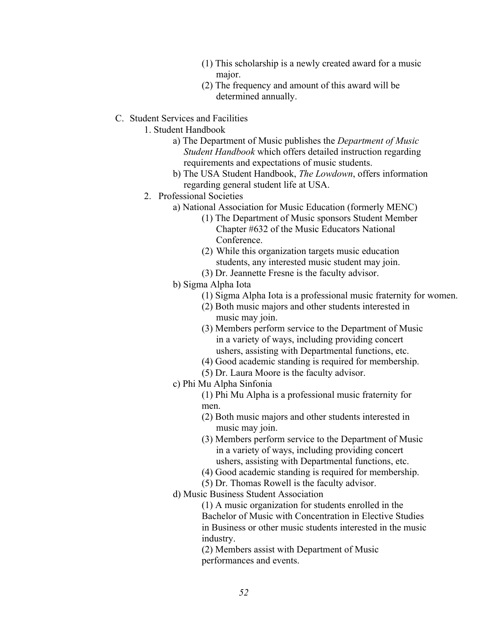- (1) This scholarship is a newly created award for a music major.
- (2) The frequency and amount of this award will be determined annually.
- C. Student Services and Facilities

1. Student Handbook

- a) The Department of Music publishes the *Department of Music Student Handbook* which offers detailed instruction regarding requirements and expectations of music students.
- regarding general student life at USA. b) The USA Student Handbook, *The Lowdown*, offers information
- 2. Professional Societies
	- a) National Association for Music Education (formerly MENC)
		- (1) The Department of Music sponsors Student Member Chapter #632 of the Music Educators National Conference.
		- (2) While this organization targets music education students, any interested music student may join.
		- (3) Dr. Jeannette Fresne is the faculty advisor.
	- b) Sigma Alpha Iota
		- (1) Sigma Alpha Iota is a professional music fraternity for women.
		- (2) Both music majors and other students interested in music may join.
		- (3) Members perform service to the Department of Music in a variety of ways, including providing concert ushers, assisting with Departmental functions, etc.
		- (4) Good academic standing is required for membership.
		- (5) Dr. Laura Moore is the faculty advisor.
	- c) Phi Mu Alpha Sinfonia

(1) Phi Mu Alpha is a professional music fraternity for men.

- (2) Both music majors and other students interested in music may join.
- (3) Members perform service to the Department of Music in a variety of ways, including providing concert ushers, assisting with Departmental functions, etc.
- (4) Good academic standing is required for membership.
- (5) Dr. Thomas Rowell is the faculty advisor.
- d) Music Business Student Association

(1) A music organization for students enrolled in the Bachelor of Music with Concentration in Elective Studies in Business or other music students interested in the music industry.

(2) Members assist with Department of Music performances and events.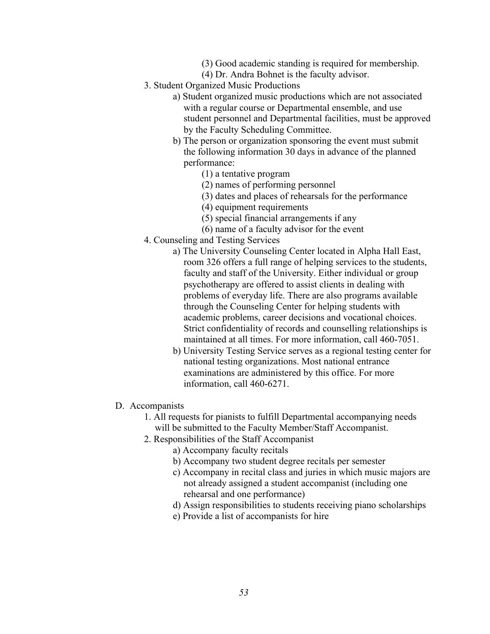- (3) Good academic standing is required for membership.
- (4) Dr. Andra Bohnet is the faculty advisor.
- 3. Student Organized Music Productions
	- a) Student organized music productions which are not associated with a regular course or Departmental ensemble, and use student personnel and Departmental facilities, must be approved by the Faculty Scheduling Committee.
	- b) The person or organization sponsoring the event must submit the following information 30 days in advance of the planned performance:
		- (1) a tentative program
		- (2) names of performing personnel
		- (3) dates and places of rehearsals for the performance
		- (4) equipment requirements
		- (5) special financial arrangements if any
		- (6) name of a faculty advisor for the event
- 4. Counseling and Testing Services
	- a) The University Counseling Center located in Alpha Hall East, room 326 offers a full range of helping services to the students, faculty and staff of the University. Either individual or group psychotherapy are offered to assist clients in dealing with problems of everyday life. There are also programs available through the Counseling Center for helping students with academic problems, career decisions and vocational choices. Strict confidentiality of records and counselling relationships is maintained at all times. For more information, call 460-7051.
	- b) University Testing Service serves as a regional testing center for national testing organizations. Most national entrance examinations are administered by this office. For more information, call 460-6271.
- D. Accompanists
	- 1. All requests for pianists to fulfill Departmental accompanying needs will be submitted to the Faculty Member/Staff Accompanist.
	- 2. Responsibilities of the Staff Accompanist
		- a) Accompany faculty recitals
		- b) Accompany two student degree recitals per semester
		- c) Accompany in recital class and juries in which music majors are not already assigned a student accompanist (including one rehearsal and one performance)
		- d) Assign responsibilities to students receiving piano scholarships
		- e) Provide a list of accompanists for hire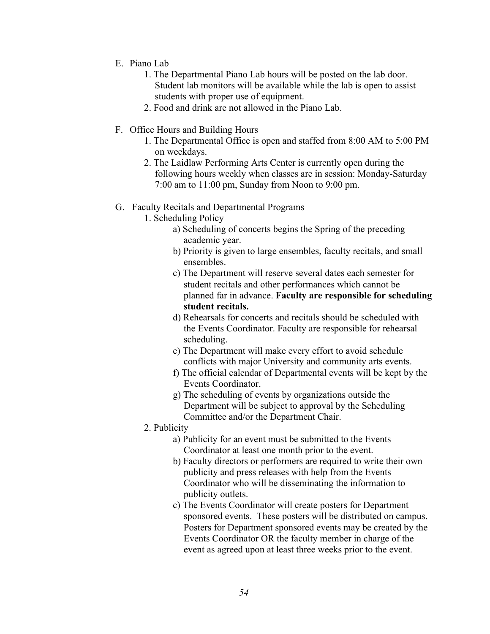- E. Piano Lab
	- 1. The Departmental Piano Lab hours will be posted on the lab door. Student lab monitors will be available while the lab is open to assist students with proper use of equipment.
	- 2. Food and drink are not allowed in the Piano Lab.
- F. Office Hours and Building Hours
	- 1. The Departmental Office is open and staffed from 8:00 AM to 5:00 PM on weekdays.
	- 2. The Laidlaw Performing Arts Center is currently open during the following hours weekly when classes are in session: Monday-Saturday 7:00 am to 11:00 pm, Sunday from Noon to 9:00 pm.

### G. Faculty Recitals and Departmental Programs

- 1. Scheduling Policy
	- a) Scheduling of concerts begins the Spring of the preceding academic year.
	- b) Priority is given to large ensembles, faculty recitals, and small ensembles.
	- c) The Department will reserve several dates each semester for student recitals and other performances which cannot be planned far in advance. **Faculty are responsible for scheduling student recitals.**
	- d) Rehearsals for concerts and recitals should be scheduled with the Events Coordinator. Faculty are responsible for rehearsal scheduling.
	- e) The Department will make every effort to avoid schedule conflicts with major University and community arts events.
	- f) The official calendar of Departmental events will be kept by the Events Coordinator.
	- g) The scheduling of events by organizations outside the Department will be subject to approval by the Scheduling Committee and/or the Department Chair.
- 2. Publicity
	- a) Publicity for an event must be submitted to the Events Coordinator at least one month prior to the event.
	- b) Faculty directors or performers are required to write their own publicity and press releases with help from the Events Coordinator who will be disseminating the information to publicity outlets.
	- c) The Events Coordinator will create posters for Department sponsored events. These posters will be distributed on campus. Posters for Department sponsored events may be created by the Events Coordinator OR the faculty member in charge of the event as agreed upon at least three weeks prior to the event.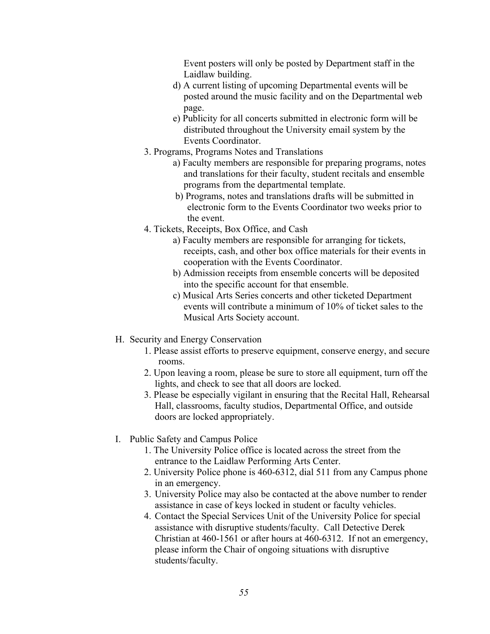Event posters will only be posted by Department staff in the Laidlaw building.

- d) A current listing of upcoming Departmental events will be posted around the music facility and on the Departmental web page.
- e) Publicity for all concerts submitted in electronic form will be distributed throughout the University email system by the Events Coordinator.
- 3. Programs, Programs Notes and Translations
	- a) Faculty members are responsible for preparing programs, notes and translations for their faculty, student recitals and ensemble programs from the departmental template.
	- b) Programs, notes and translations drafts will be submitted in electronic form to the Events Coordinator two weeks prior to the event.
- 4. Tickets, Receipts, Box Office, and Cash
	- a) Faculty members are responsible for arranging for tickets, receipts, cash, and other box office materials for their events in cooperation with the Events Coordinator.
	- b) Admission receipts from ensemble concerts will be deposited into the specific account for that ensemble.
	- c) Musical Arts Series concerts and other ticketed Department events will contribute a minimum of 10% of ticket sales to the Musical Arts Society account.
- H. Security and Energy Conservation
	- 1. Please assist efforts to preserve equipment, conserve energy, and secure rooms.
	- 2. Upon leaving a room, please be sure to store all equipment, turn off the lights, and check to see that all doors are locked.
	- 3. Please be especially vigilant in ensuring that the Recital Hall, Rehearsal Hall, classrooms, faculty studios, Departmental Office, and outside doors are locked appropriately.
- I. Public Safety and Campus Police
	- 1. The University Police office is located across the street from the entrance to the Laidlaw Performing Arts Center.
	- 2. University Police phone is 460-6312, dial 511 from any Campus phone in an emergency.
	- 3. University Police may also be contacted at the above number to render assistance in case of keys locked in student or faculty vehicles.
	- 4. Contact the Special Services Unit of the University Police for special assistance with disruptive students/faculty. Call Detective Derek Christian at 460-1561 or after hours at 460-6312. If not an emergency, please inform the Chair of ongoing situations with disruptive students/faculty.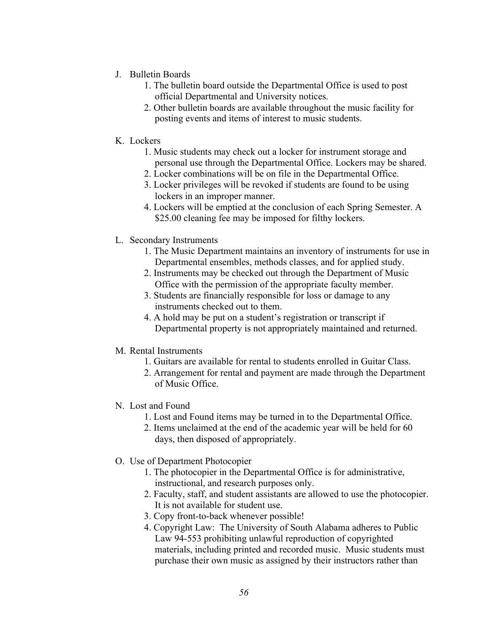- J. Bulletin Boards
	- 1. The bulletin board outside the Departmental Office is used to post official Departmental and University notices.
	- 2. Other bulletin boards are available throughout the music facility for posting events and items of interest to music students.
- K. Lockers
	- 1. Music students may check out a locker for instrument storage and personal use through the Departmental Office. Lockers may be shared.
	- 2. Locker combinations will be on file in the Departmental Office.
	- 3. Locker privileges will be revoked if students are found to be using lockers in an improper manner.
	- \$25.00 cleaning fee may be imposed for filthy lockers. 4. Lockers will be emptied at the conclusion of each Spring Semester. A
- L. Secondary Instruments
	- 1. The Music Department maintains an inventory of instruments for use in Departmental ensembles, methods classes, and for applied study.
	- 2. Instruments may be checked out through the Department of Music Office with the permission of the appropriate faculty member.
	- 3. Students are financially responsible for loss or damage to any instruments checked out to them.
	- 4. A hold may be put on a student's registration or transcript if Departmental property is not appropriately maintained and returned.
- M. Rental Instruments
	- 1. Guitars are available for rental to students enrolled in Guitar Class.
	- 2. Arrangement for rental and payment are made through the Department of Music Office.
- N. Lost and Found
	- 1. Lost and Found items may be turned in to the Departmental Office.
	- 2. Items unclaimed at the end of the academic year will be held for 60 days, then disposed of appropriately.
- O. Use of Department Photocopier
	- 1. The photocopier in the Departmental Office is for administrative, instructional, and research purposes only.
	- 2. Faculty, staff, and student assistants are allowed to use the photocopier. It is not available for student use.
	- 3. Copy front-to-back whenever possible!
	- 4. Copyright Law: The University of South Alabama adheres to Public Law 94-553 prohibiting unlawful reproduction of copyrighted materials, including printed and recorded music. Music students must purchase their own music as assigned by their instructors rather than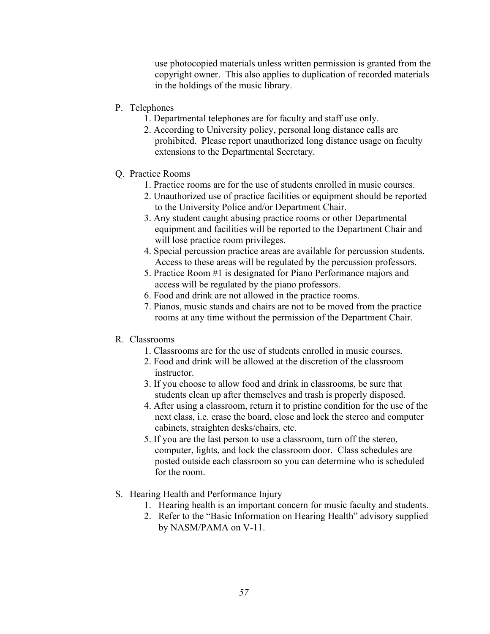use photocopied materials unless written permission is granted from the copyright owner. This also applies to duplication of recorded materials in the holdings of the music library.

- P. Telephones
	- 1. Departmental telephones are for faculty and staff use only.
	- 2. According to University policy, personal long distance calls are prohibited. Please report unauthorized long distance usage on faculty extensions to the Departmental Secretary.
- Q. Practice Rooms
	- 1. Practice rooms are for the use of students enrolled in music courses.
	- 2. Unauthorized use of practice facilities or equipment should be reported to the University Police and/or Department Chair.
	- 3. Any student caught abusing practice rooms or other Departmental equipment and facilities will be reported to the Department Chair and will lose practice room privileges.
	- 4. Special percussion practice areas are available for percussion students. Access to these areas will be regulated by the percussion professors.
	- 5. Practice Room #1 is designated for Piano Performance majors and access will be regulated by the piano professors.
	- 6. Food and drink are not allowed in the practice rooms.
	- 7. Pianos, music stands and chairs are not to be moved from the practice rooms at any time without the permission of the Department Chair.

### R. Classrooms

- 1. Classrooms are for the use of students enrolled in music courses.
- 2. Food and drink will be allowed at the discretion of the classroom instructor.
- 3. If you choose to allow food and drink in classrooms, be sure that students clean up after themselves and trash is properly disposed.
- 4. After using a classroom, return it to pristine condition for the use of the next class, i.e. erase the board, close and lock the stereo and computer cabinets, straighten desks/chairs, etc.
- 5. If you are the last person to use a classroom, turn off the stereo, computer, lights, and lock the classroom door. Class schedules are posted outside each classroom so you can determine who is scheduled for the room.
- S. Hearing Health and Performance Injury
	- 1. Hearing health is an important concern for music faculty and students.
	- 2. Refer to the "Basic Information on Hearing Health" advisory supplied by NASM/PAMA on V-11.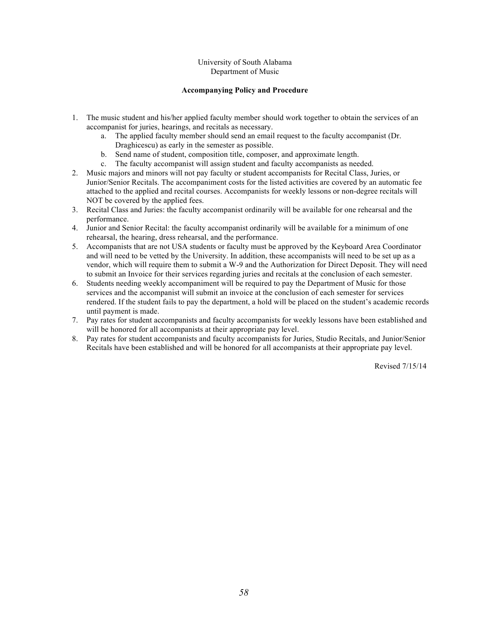#### University of South Alabama Department of Music

#### **Accompanying Policy and Procedure**

- 1. The music student and his/her applied faculty member should work together to obtain the services of an accompanist for juries, hearings, and recitals as necessary.
	- a. The applied faculty member should send an email request to the faculty accompanist (Dr. Draghicescu) as early in the semester as possible.
	- b. Send name of student, composition title, composer, and approximate length.
	- c. The faculty accompanist will assign student and faculty accompanists as needed.
- 2. Music majors and minors will not pay faculty or student accompanists for Recital Class, Juries, or Junior/Senior Recitals. The accompaniment costs for the listed activities are covered by an automatic fee attached to the applied and recital courses. Accompanists for weekly lessons or non-degree recitals will NOT be covered by the applied fees.
- 3. Recital Class and Juries: the faculty accompanist ordinarily will be available for one rehearsal and the performance.
- rehearsal, the hearing, dress rehearsal, and the performance. 4. Junior and Senior Recital: the faculty accompanist ordinarily will be available for a minimum of one
- 5. Accompanists that are not USA students or faculty must be approved by the Keyboard Area Coordinator vendor, which will require them to submit a W-9 and the Authorization for Direct Deposit. They will need to submit an Invoice for their services regarding juries and recitals at the conclusion of each semester. and will need to be vetted by the University. In addition, these accompanists will need to be set up as a
- 6. Students needing weekly accompaniment will be required to pay the Department of Music for those services and the accompanist will submit an invoice at the conclusion of each semester for services rendered. If the student fails to pay the department, a hold will be placed on the student's academic records until payment is made.
- 7. Pay rates for student accompanists and faculty accompanists for weekly lessons have been established and will be honored for all accompanists at their appropriate pay level.
- 8. Pay rates for student accompanists and faculty accompanists for Juries, Studio Recitals, and Junior/Senior Recitals have been established and will be honored for all accompanists at their appropriate pay level.

Revised 7/15/14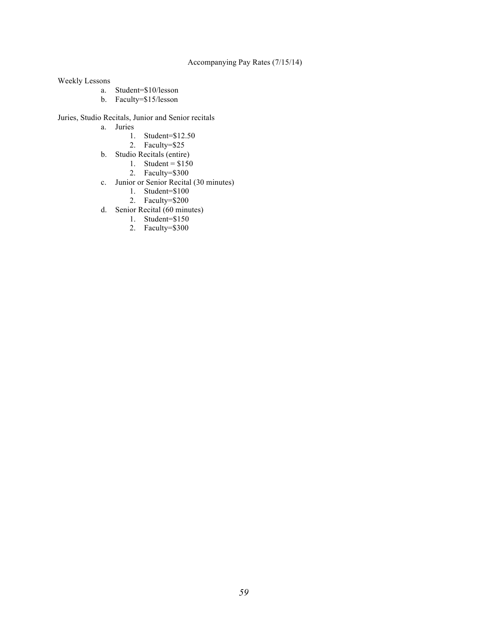#### Accompanying Pay Rates (7/15/14)

Weekly Lessons

- a. Student=\$10/lesson
- b. Faculty=\$15/lesson

#### Juries, Studio Recitals, Junior and Senior recitals

- a. Juries
	- 1. Student=\$12.50
	- 2. Faculty=\$25
	- b. Studio Recitals (entire)
		- 1. Student =  $$150$
		- 2. Faculty=\$300
	- c. Junior or Senior Recital (30 minutes)
		- 1. Student=\$100
		- 2. Faculty=\$200
- d. Senior Recital (60 minutes)
	- 1. Student=\$150
	- 2. Faculty=\$300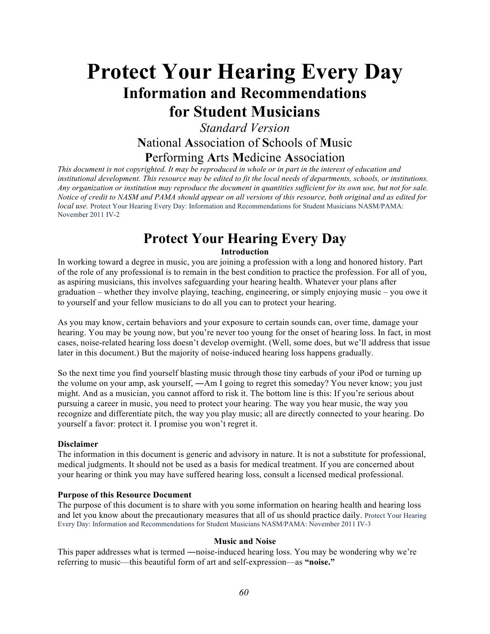# **Protect Your Hearing Every Day Information and Recommendations for Student Musicians**

# *Standard Version*  **N**ational **A**ssociation of **S**chools of **M**usic **P**erforming **A**rts **M**edicine **A**ssociation

 *This document is not copyrighted. It may be reproduced in whole or in part in the interest of education and Any organization or institution may reproduce the document in quantities sufficient for its own use, but not for sale. Notice of credit to NASM and PAMA should appear on all versions of this resource, both original and as edited for local use.* Protect Your Hearing Every Day: Information and Recommendations for Student Musicians NASM/PAMA: November 2011 IV-2 *institutional development. This resource may be edited to fit the local needs of departments, schools, or institutions.* 

# **Protect Your Hearing Every Day**

#### **Introduction**

 In working toward a degree in music, you are joining a profession with a long and honored history. Part of the role of any professional is to remain in the best condition to practice the profession. For all of you, as aspiring musicians, this involves safeguarding your hearing health. Whatever your plans after graduation – whether they involve playing, teaching, engineering, or simply enjoying music – you owe it to yourself and your fellow musicians to do all you can to protect your hearing.

 As you may know, certain behaviors and your exposure to certain sounds can, over time, damage your hearing. You may be young now, but you're never too young for the onset of hearing loss. In fact, in most cases, noise-related hearing loss doesn't develop overnight. (Well, some does, but we'll address that issue later in this document.) But the majority of noise-induced hearing loss happens gradually.

 So the next time you find yourself blasting music through those tiny earbuds of your iPod or turning up the volume on your amp, ask yourself, ―Am I going to regret this someday? You never know; you just might. And as a musician, you cannot afford to risk it. The bottom line is this: If you're serious about pursuing a career in music, you need to protect your hearing. The way you hear music, the way you recognize and differentiate pitch, the way you play music; all are directly connected to your hearing. Do yourself a favor: protect it. I promise you won't regret it.

#### **Disclaimer**

 The information in this document is generic and advisory in nature. It is not a substitute for professional, medical judgments. It should not be used as a basis for medical treatment. If you are concerned about your hearing or think you may have suffered hearing loss, consult a licensed medical professional.

#### **Purpose of this Resource Document**

 The purpose of this document is to share with you some information on hearing health and hearing loss and let you know about the precautionary measures that all of us should practice daily. Protect Your Hearing Every Day: Information and Recommendations for Student Musicians NASM/PAMA: November 2011 IV-3

#### **Music and Noise**

This paper addresses what is termed —noise-induced hearing loss. You may be wondering why we're referring to music—this beautiful form of art and self-expression—as **"noise."**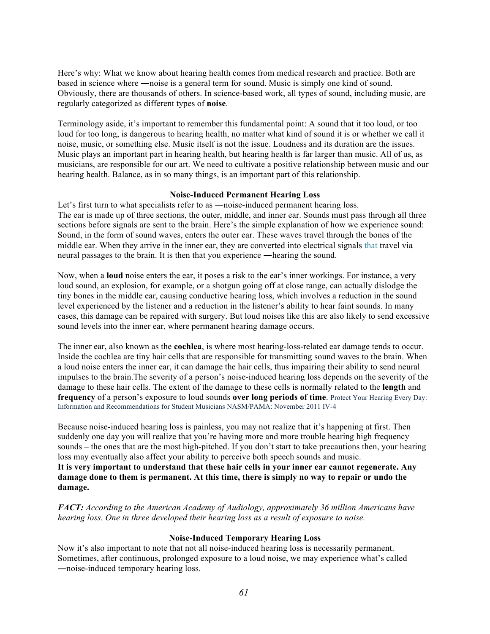Here's why: What we know about hearing health comes from medical research and practice. Both are based in science where ―noise is a general term for sound. Music is simply one kind of sound. Obviously, there are thousands of others. In science-based work, all types of sound, including music, are regularly categorized as different types of **noise**.

 Terminology aside, it's important to remember this fundamental point: A sound that it too loud, or too loud for too long, is dangerous to hearing health, no matter what kind of sound it is or whether we call it noise, music, or something else. Music itself is not the issue. Loudness and its duration are the issues. Music plays an important part in hearing health, but hearing health is far larger than music. All of us, as musicians, are responsible for our art. We need to cultivate a positive relationship between music and our hearing health. Balance, as in so many things, is an important part of this relationship.

#### **Noise-Induced Permanent Hearing Loss**

Let's first turn to what specialists refer to as —noise-induced permanent hearing loss. The ear is made up of three sections, the outer, middle, and inner ear. Sounds must pass through all three sections before signals are sent to the brain. Here's the simple explanation of how we experience sound: Sound, in the form of sound waves, enters the outer ear. These waves travel through the bones of the middle ear. When they arrive in the inner ear, they are converted into electrical signals that travel via neural passages to the brain. It is then that you experience ―hearing the sound.

 Now, when a **loud** noise enters the ear, it poses a risk to the ear's inner workings. For instance, a very cases, this damage can be repaired with surgery. But loud noises like this are also likely to send excessive sound levels into the inner ear, where permanent hearing damage occurs. loud sound, an explosion, for example, or a shotgun going off at close range, can actually dislodge the tiny bones in the middle ear, causing conductive hearing loss, which involves a reduction in the sound level experienced by the listener and a reduction in the listener's ability to hear faint sounds. In many

 The inner ear, also known as the **cochlea**, is where most hearing-loss-related ear damage tends to occur. Inside the cochlea are tiny hair cells that are responsible for transmitting sound waves to the brain. When a loud noise enters the inner ear, it can damage the hair cells, thus impairing their ability to send neural impulses to the brain.The severity of a person's noise-induced hearing loss depends on the severity of the damage to these hair cells. The extent of the damage to these cells is normally related to the **length** and **frequency** of a person's exposure to loud sounds **over long periods of time**. Protect Your Hearing Every Day: Information and Recommendations for Student Musicians NASM/PAMA: November 2011 IV-4

 suddenly one day you will realize that you're having more and more trouble hearing high frequency sounds – the ones that are the most high-pitched. If you don't start to take precautions then, your hearing  **It is very important to understand that these hair cells in your inner ear cannot regenerate. Any damage done to them is permanent. At this time, there is simply no way to repair or undo the**  Because noise-induced hearing loss is painless, you may not realize that it's happening at first. Then loss may eventually also affect your ability to perceive both speech sounds and music. **damage.** 

*FACT: According to the American Academy of Audiology, approximately 36 million Americans have hearing loss. One in three developed their hearing loss as a result of exposure to noise.* 

#### **Noise-Induced Temporary Hearing Loss**

 Now it's also important to note that not all noise-induced hearing loss is necessarily permanent. Sometimes, after continuous, prolonged exposure to a loud noise, we may experience what's called ―noise-induced temporary hearing loss.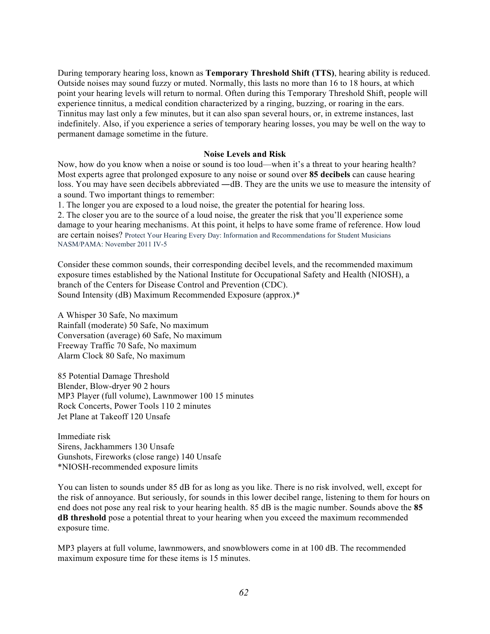During temporary hearing loss, known as **Temporary Threshold Shift (TTS)**, hearing ability is reduced. Outside noises may sound fuzzy or muted. Normally, this lasts no more than 16 to 18 hours, at which point your hearing levels will return to normal. Often during this Temporary Threshold Shift, people will experience tinnitus, a medical condition characterized by a ringing, buzzing, or roaring in the ears. Tinnitus may last only a few minutes, but it can also span several hours, or, in extreme instances, last permanent damage sometime in the future. indefinitely. Also, if you experience a series of temporary hearing losses, you may be well on the way to

#### **Noise Levels and Risk**

 Now, how do you know when a noise or sound is too loud—when it's a threat to your hearing health? Most experts agree that prolonged exposure to any noise or sound over **85 decibels** can cause hearing a sound. Two important things to remember: loss. You may have seen decibels abbreviated —dB. They are the units we use to measure the intensity of

1. The longer you are exposed to a loud noise, the greater the potential for hearing loss.

 2. The closer you are to the source of a loud noise, the greater the risk that you'll experience some damage to your hearing mechanisms. At this point, it helps to have some frame of reference. How loud are certain noises? Protect Your Hearing Every Day: Information and Recommendations for Student Musicians NASM/PAMA: November 2011 IV-5

 Consider these common sounds, their corresponding decibel levels, and the recommended maximum exposure times established by the National Institute for Occupational Safety and Health (NIOSH), a branch of the Centers for Disease Control and Prevention (CDC). Sound Intensity (dB) Maximum Recommended Exposure (approx.)\*

 A Whisper 30 Safe, No maximum Rainfall (moderate) 50 Safe, No maximum Conversation (average) 60 Safe, No maximum Freeway Traffic 70 Safe, No maximum Alarm Clock 80 Safe, No maximum

 85 Potential Damage Threshold Blender, Blow-dryer 90 2 hours MP3 Player (full volume), Lawnmower 100 15 minutes Rock Concerts, Power Tools 110 2 minutes Jet Plane at Takeoff 120 Unsafe

 Immediate risk Sirens, Jackhammers 130 Unsafe Gunshots, Fireworks (close range) 140 Unsafe \*NIOSH-recommended exposure limits

 You can listen to sounds under 85 dB for as long as you like. There is no risk involved, well, except for end does not pose any real risk to your hearing health. 85 dB is the magic number. Sounds above the **85 dB threshold** pose a potential threat to your hearing when you exceed the maximum recommended the risk of annoyance. But seriously, for sounds in this lower decibel range, listening to them for hours on exposure time.

 MP3 players at full volume, lawnmowers, and snowblowers come in at 100 dB. The recommended maximum exposure time for these items is 15 minutes.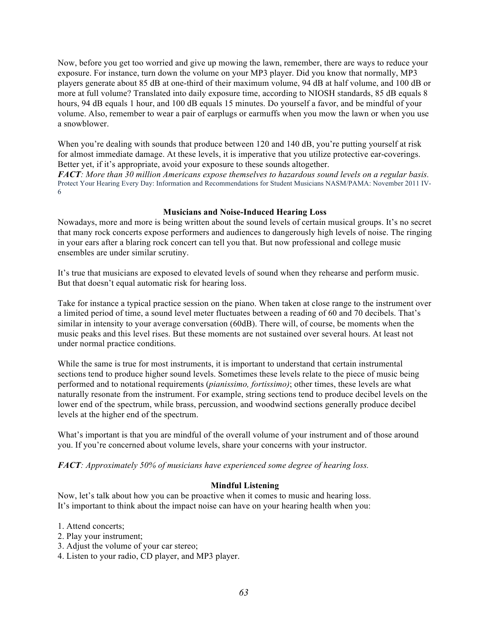Now, before you get too worried and give up mowing the lawn, remember, there are ways to reduce your exposure. For instance, turn down the volume on your MP3 player. Did you know that normally, MP3 players generate about 85 dB at one-third of their maximum volume, 94 dB at half volume, and 100 dB or more at full volume? Translated into daily exposure time, according to NIOSH standards, 85 dB equals 8 hours, 94 dB equals 1 hour, and 100 dB equals 15 minutes. Do yourself a favor, and be mindful of your volume. Also, remember to wear a pair of earplugs or earmuffs when you mow the lawn or when you use a snowblower.

When you're dealing with sounds that produce between 120 and 140 dB, you're putting yourself at risk for almost immediate damage. At these levels, it is imperative that you utilize protective ear-coverings. Better yet, if it's appropriate, avoid your exposure to these sounds altogether.

 *FACT: More than 30 million Americans expose themselves to hazardous sound levels on a regular basis.*  Protect Your Hearing Every Day: Information and Recommendations for Student Musicians NASM/PAMA: November 2011 IV-6

#### **Musicians and Noise-Induced Hearing Loss**

 Nowadays, more and more is being written about the sound levels of certain musical groups. It's no secret ensembles are under similar scrutiny. that many rock concerts expose performers and audiences to dangerously high levels of noise. The ringing in your ears after a blaring rock concert can tell you that. But now professional and college music

 It's true that musicians are exposed to elevated levels of sound when they rehearse and perform music. But that doesn't equal automatic risk for hearing loss.

 Take for instance a typical practice session on the piano. When taken at close range to the instrument over a limited period of time, a sound level meter fluctuates between a reading of 60 and 70 decibels. That's similar in intensity to your average conversation (60dB). There will, of course, be moments when the music peaks and this level rises. But these moments are not sustained over several hours. At least not under normal practice conditions.

 While the same is true for most instruments, it is important to understand that certain instrumental sections tend to produce higher sound levels. Sometimes these levels relate to the piece of music being performed and to notational requirements (*pianissimo, fortissimo)*; other times, these levels are what naturally resonate from the instrument. For example, string sections tend to produce decibel levels on the lower end of the spectrum, while brass, percussion, and woodwind sections generally produce decibel levels at the higher end of the spectrum.

 What's important is that you are mindful of the overall volume of your instrument and of those around you. If you're concerned about volume levels, share your concerns with your instructor.

 *FACT: Approximately 50% of musicians have experienced some degree of hearing loss.* 

#### **Mindful Listening**

 Now, let's talk about how you can be proactive when it comes to music and hearing loss. It's important to think about the impact noise can have on your hearing health when you:

- 1. Attend concerts;
- 2. Play your instrument;
- 3. Adjust the volume of your car stereo;
- 4. Listen to your radio, CD player, and MP3 player.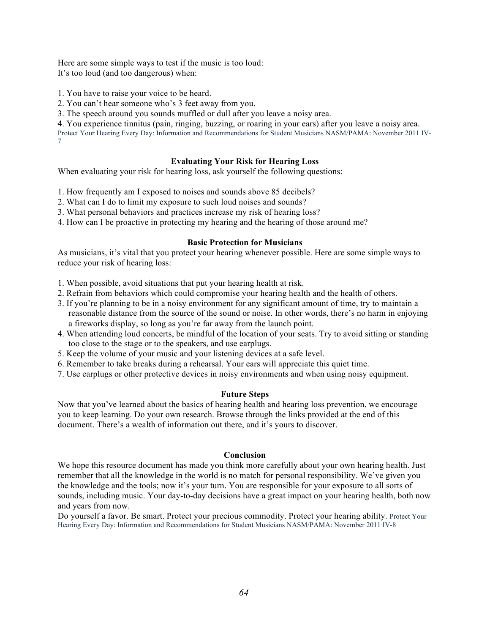Here are some simple ways to test if the music is too loud: It's too loud (and too dangerous) when:

1. You have to raise your voice to be heard.

2. You can't hear someone who's 3 feet away from you.

3. The speech around you sounds muffled or dull after you leave a noisy area.

 4. You experience tinnitus (pain, ringing, buzzing, or roaring in your ears) after you leave a noisy area. Protect Your Hearing Every Day: Information and Recommendations for Student Musicians NASM/PAMA: November 2011 IV-7

#### **Evaluating Your Risk for Hearing Loss**

When evaluating your risk for hearing loss, ask yourself the following questions:

1. How frequently am I exposed to noises and sounds above 85 decibels?

- 2. What can I do to limit my exposure to such loud noises and sounds?
- 3. What personal behaviors and practices increase my risk of hearing loss?
- 4. How can I be proactive in protecting my hearing and the hearing of those around me?

#### **Basic Protection for Musicians**

 As musicians, it's vital that you protect your hearing whenever possible. Here are some simple ways to reduce your risk of hearing loss:

1. When possible, avoid situations that put your hearing health at risk.

- 2. Refrain from behaviors which could compromise your hearing health and the health of others.
- 3. If you're planning to be in a noisy environment for any significant amount of time, try to maintain a reasonable distance from the source of the sound or noise. In other words, there's no harm in enjoying a fireworks display, so long as you're far away from the launch point.
- 4. When attending loud concerts, be mindful of the location of your seats. Try to avoid sitting or standing too close to the stage or to the speakers, and use earplugs.
- 5. Keep the volume of your music and your listening devices at a safe level.
- 6. Remember to take breaks during a rehearsal. Your ears will appreciate this quiet time.
- 7. Use earplugs or other protective devices in noisy environments and when using noisy equipment.

#### **Future Steps**

 Now that you've learned about the basics of hearing health and hearing loss prevention, we encourage you to keep learning. Do your own research. Browse through the links provided at the end of this document. There's a wealth of information out there, and it's yours to discover.

#### **Conclusion**

 We hope this resource document has made you think more carefully about your own hearing health. Just remember that all the knowledge in the world is no match for personal responsibility. We've given you the knowledge and the tools; now it's your turn. You are responsible for your exposure to all sorts of sounds, including music. Your day-to-day decisions have a great impact on your hearing health, both now and years from now.

 Do yourself a favor. Be smart. Protect your precious commodity. Protect your hearing ability. Protect Your Hearing Every Day: Information and Recommendations for Student Musicians NASM/PAMA: November 2011 IV-8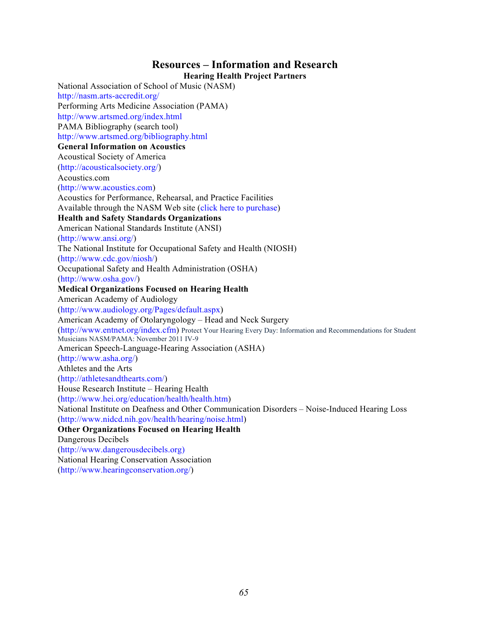# **Resources – Information and Research**

 **Hearing Health Project Partners**  National Association of School of Music (NASM) Performing Arts Medicine Association (PAMA) PAMA Bibliography (search tool)  **General Information on Acoustics**  Acoustical Society of America Acoustics for Performance, Rehearsal, and Practice Facilities Available through the NASM Web site (click here to purchase)  **Health and Safety Standards Organizations**  American National Standards Institute (ANSI) The National Institute for Occupational Safety and Health (NIOSH) Occupational Safety and Health Administration (OSHA)  **Medical Organizations Focused on Hearing Health**  American Academy of Audiology American Academy of Otolaryngology – Head and Neck Surgery (http://www.entnet.org/index.cfm) Protect Your Hearing Every Day: Information and Recommendations for Student Musicians NASM/PAMA: November 2011 IV-9 American Speech-Language-Hearing Association (ASHA) Athletes and the Arts House Research Institute – Hearing Health National Institute on Deafness and Other Communication Disorders – Noise-Induced Hearing Loss  **Other Organizations Focused on Hearing Health**  National Hearing Conservation Association http://nasm.arts-accredit.org/ http://www.artsmed.org/index.html http://www.artsmed.org/bibliography.html (http://acousticalsociety.org/) Acoustics.com (http://www.acoustics.com) (http://www.ansi.org/) (http://www.cdc.gov/niosh/) (http://www.osha.gov/) (http://www.audiology.org/Pages/default.aspx) (http://www.asha.org/) (http://athletesandthearts.com/) (http://www.hei.org/education/health/health.htm) (http://www.nidcd.nih.gov/health/hearing/noise.html) Dangerous Decibels (http://www.dangerousdecibels.org) (http://www.hearingconservation.org/)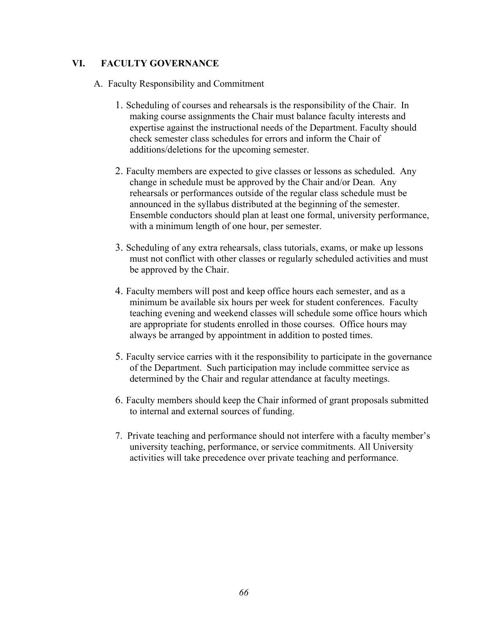## **VI. FACULTY GOVERNANCE**

- A. Faculty Responsibility and Commitment
	- 1. Scheduling of courses and rehearsals is the responsibility of the Chair. In making course assignments the Chair must balance faculty interests and expertise against the instructional needs of the Department. Faculty should check semester class schedules for errors and inform the Chair of additions/deletions for the upcoming semester.
	- 2. Faculty members are expected to give classes or lessons as scheduled. Any change in schedule must be approved by the Chair and/or Dean. Any rehearsals or performances outside of the regular class schedule must be announced in the syllabus distributed at the beginning of the semester. Ensemble conductors should plan at least one formal, university performance, with a minimum length of one hour, per semester.
	- 3. Scheduling of any extra rehearsals, class tutorials, exams, or make up lessons must not conflict with other classes or regularly scheduled activities and must be approved by the Chair.
	- 4. Faculty members will post and keep office hours each semester, and as a minimum be available six hours per week for student conferences. Faculty teaching evening and weekend classes will schedule some office hours which are appropriate for students enrolled in those courses. Office hours may always be arranged by appointment in addition to posted times.
	- 5. Faculty service carries with it the responsibility to participate in the governance of the Department. Such participation may include committee service as determined by the Chair and regular attendance at faculty meetings.
	- 6. Faculty members should keep the Chair informed of grant proposals submitted to internal and external sources of funding.
	- 7. Private teaching and performance should not interfere with a faculty member's university teaching, performance, or service commitments. All University activities will take precedence over private teaching and performance.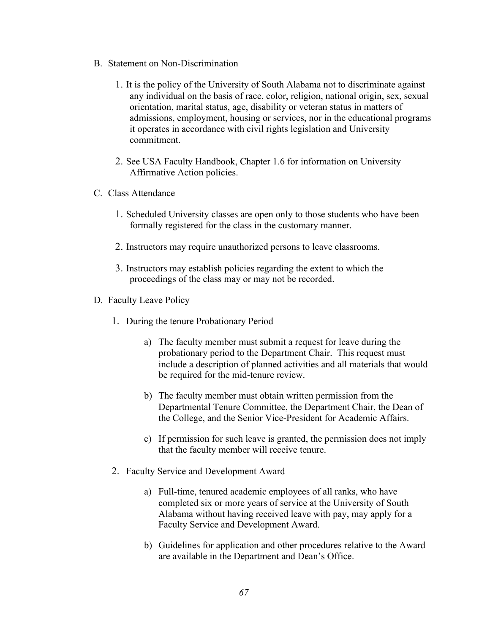- B. Statement on Non-Discrimination
	- 1. It is the policy of the University of South Alabama not to discriminate against any individual on the basis of race, color, religion, national origin, sex, sexual orientation, marital status, age, disability or veteran status in matters of admissions, employment, housing or services, nor in the educational programs it operates in accordance with civil rights legislation and University commitment.
- Affirmative Action policies.<br> **C.** Class Attendance 2. See USA Faculty Handbook, Chapter 1.6 for information on University
- - 1. Scheduled University classes are open only to those students who have been formally registered for the class in the customary manner.
	- 2. Instructors may require unauthorized persons to leave classrooms.
	- 3. Instructors may establish policies regarding the extent to which the proceedings of the class may or may not be recorded.
- D. Faculty Leave Policy
	- 1. During the tenure Probationary Period
		- a) The faculty member must submit a request for leave during the probationary period to the Department Chair. This request must include a description of planned activities and all materials that would be required for the mid-tenure review.
		- b) The faculty member must obtain written permission from the Departmental Tenure Committee, the Department Chair, the Dean of the College, and the Senior Vice-President for Academic Affairs.
		- c) If permission for such leave is granted, the permission does not imply that the faculty member will receive tenure.
	- 2. Faculty Service and Development Award
		- a) Full-time, tenured academic employees of all ranks, who have completed six or more years of service at the University of South Alabama without having received leave with pay, may apply for a Faculty Service and Development Award.
		- b) Guidelines for application and other procedures relative to the Award are available in the Department and Dean's Office.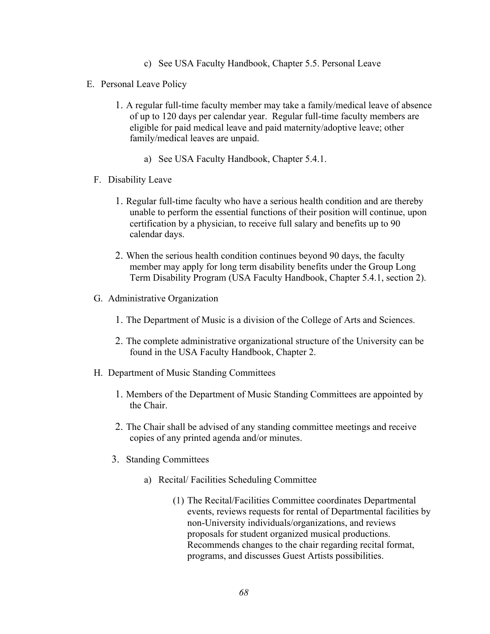- c) See USA Faculty Handbook, Chapter 5.5. Personal Leave
- E. Personal Leave Policy
	- 1. A regular full-time faculty member may take a family/medical leave of absence of up to 120 days per calendar year. Regular full-time faculty members are eligible for paid medical leave and paid maternity/adoptive leave; other family/medical leaves are unpaid.
		- a) See USA Faculty Handbook, Chapter 5.4.1.
	- F. Disability Leave
		- 1. Regular full-time faculty who have a serious health condition and are thereby unable to perform the essential functions of their position will continue, upon certification by a physician, to receive full salary and benefits up to 90 calendar days.
		- 2. When the serious health condition continues beyond 90 days, the faculty member may apply for long term disability benefits under the Group Long Term Disability Program (USA Faculty Handbook, Chapter 5.4.1, section 2).
	- G. Administrative Organization
		- 1. The Department of Music is a division of the College of Arts and Sciences.
		- 2. The complete administrative organizational structure of the University can be found in the USA Faculty Handbook, Chapter 2.
	- H. Department of Music Standing Committees
		- 1. Members of the Department of Music Standing Committees are appointed by the Chair.
		- 2. The Chair shall be advised of any standing committee meetings and receive copies of any printed agenda and/or minutes.
		- 3. Standing Committees
			- a) Recital/ Facilities Scheduling Committee
				- (1) The Recital/Facilities Committee coordinates Departmental events, reviews requests for rental of Departmental facilities by non-University individuals/organizations, and reviews proposals for student organized musical productions. Recommends changes to the chair regarding recital format, programs, and discusses Guest Artists possibilities.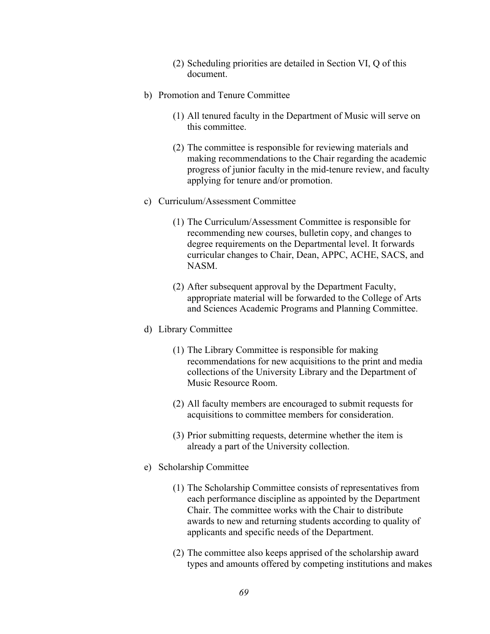- (2) Scheduling priorities are detailed in Section VI, Q of this document.
- b) Promotion and Tenure Committee
	- (1) All tenured faculty in the Department of Music will serve on this committee.
	- (2) The committee is responsible for reviewing materials and making recommendations to the Chair regarding the academic progress of junior faculty in the mid-tenure review, and faculty applying for tenure and/or promotion.
- c) Curriculum/Assessment Committee
	- (1) The Curriculum/Assessment Committee is responsible for recommending new courses, bulletin copy, and changes to degree requirements on the Departmental level. It forwards curricular changes to Chair, Dean, APPC, ACHE, SACS, and NASM.
	- (2) After subsequent approval by the Department Faculty, appropriate material will be forwarded to the College of Arts and Sciences Academic Programs and Planning Committee.
- d) Library Committee
	- (1) The Library Committee is responsible for making recommendations for new acquisitions to the print and media collections of the University Library and the Department of Music Resource Room.
	- (2) All faculty members are encouraged to submit requests for acquisitions to committee members for consideration.
	- (3) Prior submitting requests, determine whether the item is already a part of the University collection.
- e) Scholarship Committee
	- (1) The Scholarship Committee consists of representatives from each performance discipline as appointed by the Department Chair. The committee works with the Chair to distribute awards to new and returning students according to quality of applicants and specific needs of the Department.
	- (2) The committee also keeps apprised of the scholarship award types and amounts offered by competing institutions and makes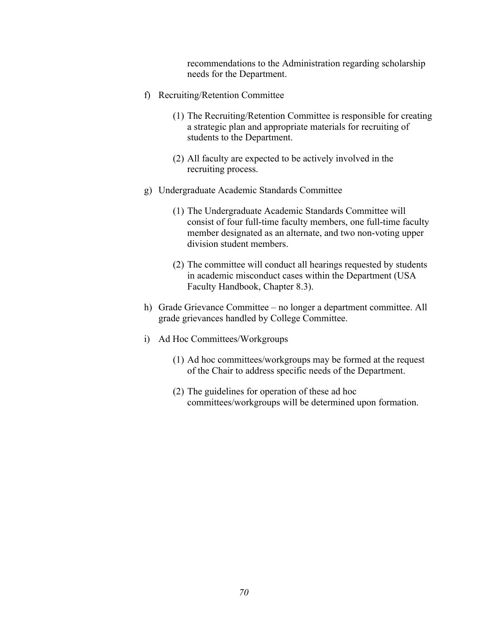recommendations to the Administration regarding scholarship needs for the Department.

- f) Recruiting/Retention Committee
	- (1) The Recruiting/Retention Committee is responsible for creating a strategic plan and appropriate materials for recruiting of students to the Department.
	- (2) All faculty are expected to be actively involved in the recruiting process.
- g) Undergraduate Academic Standards Committee
	- (1) The Undergraduate Academic Standards Committee will consist of four full-time faculty members, one full-time faculty member designated as an alternate, and two non-voting upper division student members.
	- (2) The committee will conduct all hearings requested by students in academic misconduct cases within the Department (USA Faculty Handbook, Chapter 8.3).
- h) Grade Grievance Committee no longer a department committee. All grade grievances handled by College Committee.
- i) Ad Hoc Committees/Workgroups
	- (1) Ad hoc committees/workgroups may be formed at the request of the Chair to address specific needs of the Department.
	- (2) The guidelines for operation of these ad hoc committees/workgroups will be determined upon formation.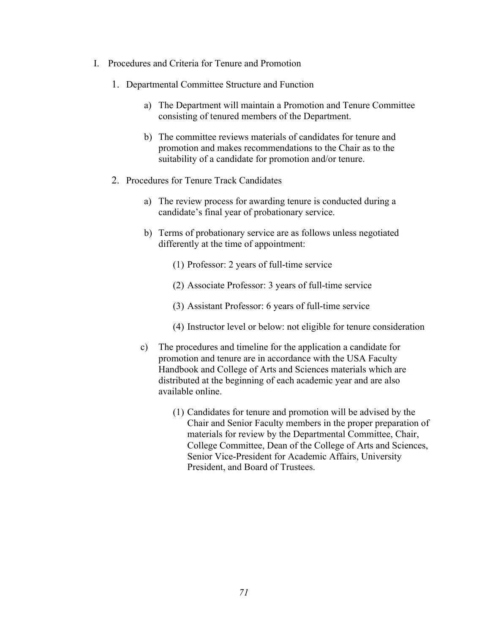- I. Procedures and Criteria for Tenure and Promotion
	- 1. Departmental Committee Structure and Function
		- a) The Department will maintain a Promotion and Tenure Committee consisting of tenured members of the Department.
		- b) The committee reviews materials of candidates for tenure and promotion and makes recommendations to the Chair as to the suitability of a candidate for promotion and/or tenure.
	- 2. Procedures for Tenure Track Candidates
		- a) The review process for awarding tenure is conducted during a candidate's final year of probationary service.
		- b) Terms of probationary service are as follows unless negotiated differently at the time of appointment:
			- (1) Professor: 2 years of full-time service
			- (2) Associate Professor: 3 years of full-time service
			- (3) Assistant Professor: 6 years of full-time service
			- (4) Instructor level or below: not eligible for tenure consideration
		- c) The procedures and timeline for the application a candidate for promotion and tenure are in accordance with the USA Faculty Handbook and College of Arts and Sciences materials which are distributed at the beginning of each academic year and are also available online.
			- (1) Candidates for tenure and promotion will be advised by the Chair and Senior Faculty members in the proper preparation of materials for review by the Departmental Committee, Chair, College Committee, Dean of the College of Arts and Sciences, Senior Vice-President for Academic Affairs, University President, and Board of Trustees.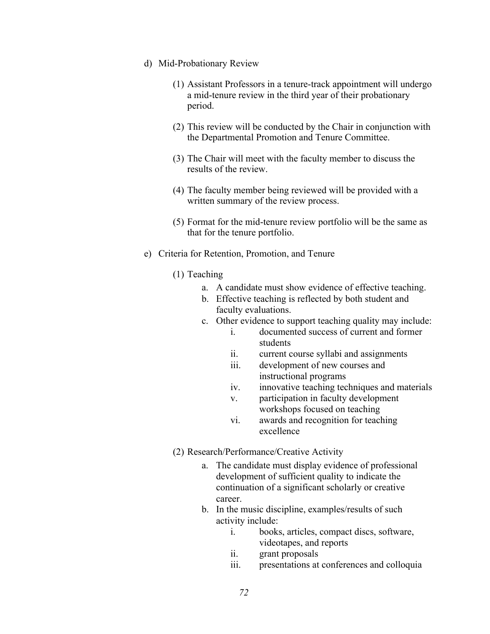- d) Mid-Probationary Review
	- (1) Assistant Professors in a tenure-track appointment will undergo a mid-tenure review in the third year of their probationary period.
	- (2) This review will be conducted by the Chair in conjunction with the Departmental Promotion and Tenure Committee.
	- (3) The Chair will meet with the faculty member to discuss the results of the review.
	- (4) The faculty member being reviewed will be provided with a written summary of the review process.
	- (5) Format for the mid-tenure review portfolio will be the same as that for the tenure portfolio.
- e) Criteria for Retention, Promotion, and Tenure
	- (1) Teaching
		- a. A candidate must show evidence of effective teaching.
		- b. Effective teaching is reflected by both student and faculty evaluations.
		- c. Other evidence to support teaching quality may include:
			- i. documented success of current and former students
			- ii. current course syllabi and assignments
			- iii. development of new courses and instructional programs
			- iv. innovative teaching techniques and materials
			- v. participation in faculty development workshops focused on teaching
			- vi. awards and recognition for teaching excellence
	- (2) Research/Performance/Creative Activity
		- a. The candidate must display evidence of professional development of sufficient quality to indicate the continuation of a significant scholarly or creative career.
		- b. In the music discipline, examples/results of such activity include:
			- i. books, articles, compact discs, software, videotapes, and reports
			- ii. grant proposals
			- iii. presentations at conferences and colloquia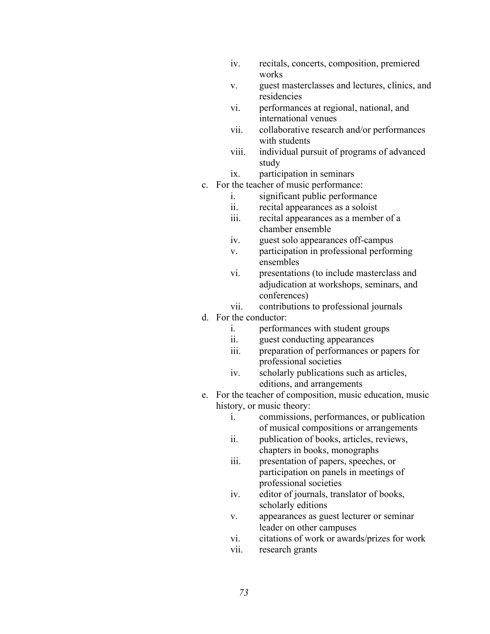- iv. recitals, concerts, composition, premiered works
- v. guest masterclasses and lectures, clinics, and residencies
- vi. performances at regional, national, and international venues
- vii. collaborative research and/or performances with students
- viii. individual pursuit of programs of advanced study
- ix. participation in seminars
- c. For the teacher of music performance:
	- i. significant public performance
	- ii. recital appearances as a soloist
	- iii. recital appearances as a member of a chamber ensemble
	- iv. guest solo appearances off-campus
	- v. participation in professional performing ensembles
	- vi. presentations (to include masterclass and adjudication at workshops, seminars, and conferences)
	- vii. contributions to professional journals
- d. For the conductor:
	- i. performances with student groups
	- ii. guest conducting appearances
	- iii. preparation of performances or papers for professional societies
	- iv. scholarly publications such as articles, editions, and arrangements
- e. For the teacher of composition, music education, music history, or music theory:
	- i. commissions, performances, or publication of musical compositions or arrangements
	- ii. publication of books, articles, reviews, chapters in books, monographs
	- professional societies iii. presentation of papers, speeches, or participation on panels in meetings of
	- iv. editor of journals, translator of books, scholarly editions
	- v. appearances as guest lecturer or seminar leader on other campuses
	- vi. citations of work or awards/prizes for work
	- vii. research grants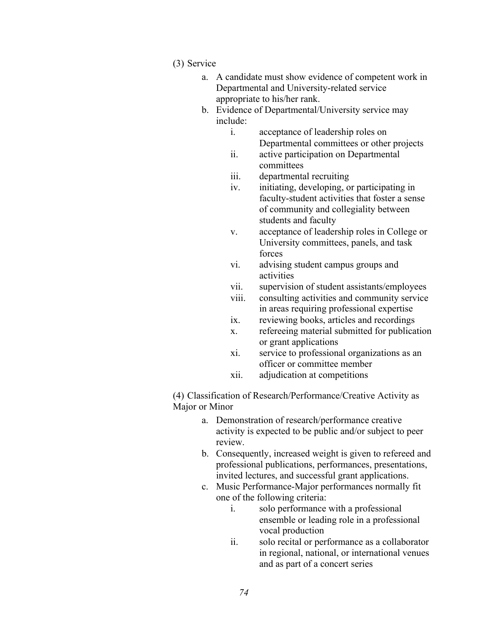- (3) Service
	- a. A candidate must show evidence of competent work in Departmental and University-related service appropriate to his/her rank.
	- b. Evidence of Departmental/University service may include:
		- i. acceptance of leadership roles on Departmental committees or other projects
		- ii. active participation on Departmental committees
		- iii. departmental recruiting
		- iv. initiating, developing, or participating in faculty-student activities that foster a sense of community and collegiality between students and faculty
		- v. acceptance of leadership roles in College or University committees, panels, and task forces
		- vi. advising student campus groups and activities
		- vii. supervision of student assistants/employees
		- viii. consulting activities and community service in areas requiring professional expertise
		- ix. reviewing books, articles and recordings
		- x. refereeing material submitted for publication or grant applications
		- xi. service to professional organizations as an officer or committee member
		- xii. adjudication at competitions

(4) Classification of Research/Performance/Creative Activity as Major or Minor

- a. Demonstration of research/performance creative activity is expected to be public and/or subject to peer review.
- b. Consequently, increased weight is given to refereed and professional publications, performances, presentations, invited lectures, and successful grant applications.
- c. Music Performance-Major performances normally fit one of the following criteria:
	- i. solo performance with a professional ensemble or leading role in a professional vocal production
	- ii. solo recital or performance as a collaborator in regional, national, or international venues and as part of a concert series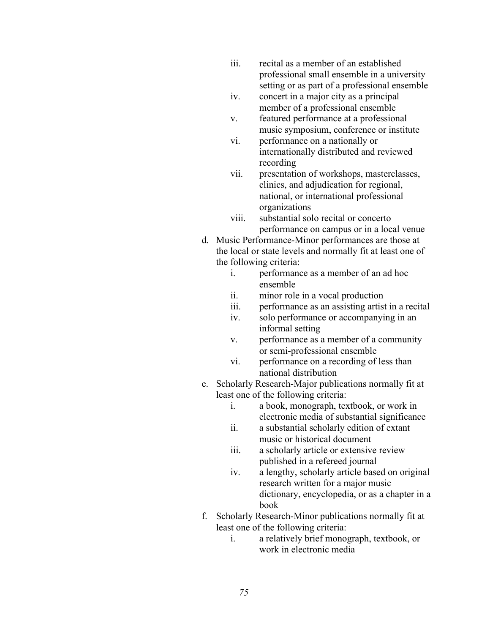- iii. recital as a member of an established professional small ensemble in a university setting or as part of a professional ensemble
- iv. concert in a major city as a principal member of a professional ensemble
- v. featured performance at a professional music symposium, conference or institute
- vi. performance on a nationally or internationally distributed and reviewed recording
- vii. presentation of workshops, masterclasses, clinics, and adjudication for regional, national, or international professional organizations
- viii. substantial solo recital or concerto performance on campus or in a local venue
- d. Music Performance-Minor performances are those at the local or state levels and normally fit at least one of the following criteria:
	- i. performance as a member of an ad hoc ensemble
	- ii. minor role in a vocal production
	- iii. performance as an assisting artist in a recital
	- iv. solo performance or accompanying in an informal setting
	- v. performance as a member of a community or semi-professional ensemble
	- vi. performance on a recording of less than national distribution
- e. Scholarly Research-Major publications normally fit at least one of the following criteria:
	- i. a book, monograph, textbook, or work in electronic media of substantial significance
	- ii. a substantial scholarly edition of extant music or historical document
	- iii. a scholarly article or extensive review published in a refereed journal
	- iv. a lengthy, scholarly article based on original research written for a major music dictionary, encyclopedia, or as a chapter in a book
- f. Scholarly Research-Minor publications normally fit at least one of the following criteria:
	- i. a relatively brief monograph, textbook, or work in electronic media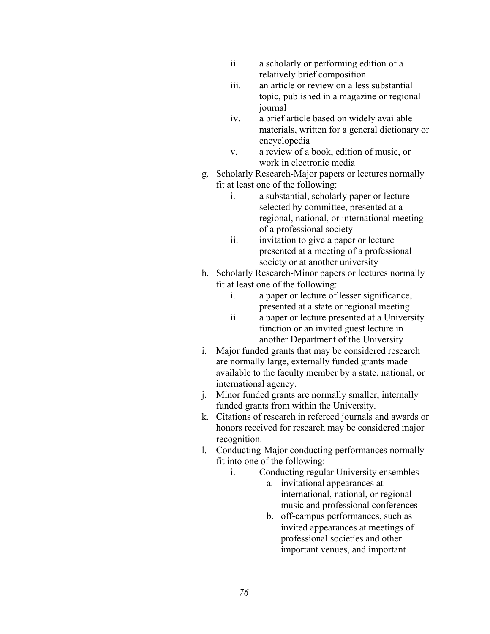- ii. a scholarly or performing edition of a relatively brief composition
- iii. an article or review on a less substantial topic, published in a magazine or regional journal
- iv. a brief article based on widely available materials, written for a general dictionary or encyclopedia
- v. a review of a book, edition of music, or work in electronic media
- g. Scholarly Research-Major papers or lectures normally fit at least one of the following:
	- i. a substantial, scholarly paper or lecture selected by committee, presented at a regional, national, or international meeting of a professional society
	- ii. invitation to give a paper or lecture presented at a meeting of a professional society or at another university
- h. Scholarly Research-Minor papers or lectures normally fit at least one of the following:
	- i. a paper or lecture of lesser significance, presented at a state or regional meeting
	- ii. a paper or lecture presented at a University function or an invited guest lecture in another Department of the University
- i. Major funded grants that may be considered research are normally large, externally funded grants made available to the faculty member by a state, national, or international agency.
- j. Minor funded grants are normally smaller, internally funded grants from within the University.
- k. Citations of research in refereed journals and awards or honors received for research may be considered major recognition.
- l. Conducting-Major conducting performances normally fit into one of the following:
	- i. Conducting regular University ensembles
		- a. invitational appearances at international, national, or regional music and professional conferences
		- b. off-campus performances, such as invited appearances at meetings of professional societies and other important venues, and important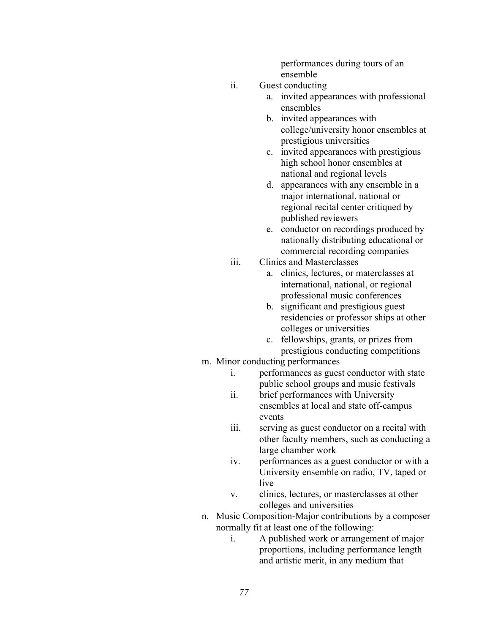performances during tours of an ensemble

- ii. Guest conducting
	- a. invited appearances with professional ensembles
	- b. invited appearances with college/university honor ensembles at prestigious universities
	- c. invited appearances with prestigious high school honor ensembles at national and regional levels
	- d. appearances with any ensemble in a major international, national or regional recital center critiqued by published reviewers
	- e. conductor on recordings produced by nationally distributing educational or commercial recording companies
- iii. Clinics and Masterclasses
	- a. clinics, lectures, or materclasses at international, national, or regional professional music conferences
	- b. significant and prestigious guest residencies or professor ships at other colleges or universities
	- c. fellowships, grants, or prizes from prestigious conducting competitions
- m. Minor conducting performances
	- i. performances as guest conductor with state public school groups and music festivals
	- ii. brief performances with University ensembles at local and state off-campus events
	- iii. serving as guest conductor on a recital with other faculty members, such as conducting a large chamber work
	- iv. performances as a guest conductor or with a University ensemble on radio, TV, taped or live
	- v. clinics, lectures, or masterclasses at other colleges and universities
- n. Music Composition-Major contributions by a composer normally fit at least one of the following:
	- i. A published work or arrangement of major proportions, including performance length and artistic merit, in any medium that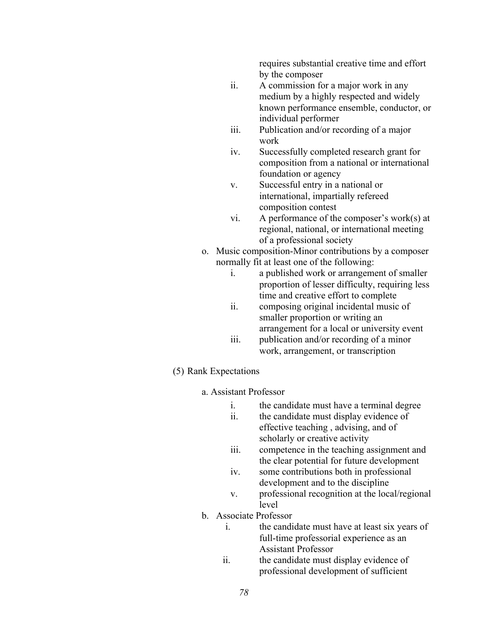requires substantial creative time and effort by the composer

- ii. A commission for a major work in any medium by a highly respected and widely known performance ensemble, conductor, or individual performer
- iii. Publication and/or recording of a major work
- iv. Successfully completed research grant for composition from a national or international foundation or agency
- v. Successful entry in a national or international, impartially refereed composition contest
- vi. A performance of the composer's work(s) at regional, national, or international meeting of a professional society
- o. Music composition-Minor contributions by a composer normally fit at least one of the following:
	- i. a published work or arrangement of smaller proportion of lesser difficulty, requiring less time and creative effort to complete
	- ii. composing original incidental music of smaller proportion or writing an arrangement for a local or university event
	- iii. publication and/or recording of a minor work, arrangement, or transcription
- (5) Rank Expectations
	- a. Assistant Professor
		- i. the candidate must have a terminal degree
		- ii. the candidate must display evidence of effective teaching , advising, and of scholarly or creative activity
		- iii. competence in the teaching assignment and the clear potential for future development
		- iv. some contributions both in professional development and to the discipline
		- v. professional recognition at the local/regional level
	- b. Associate Professor
		- i. the candidate must have at least six years of full-time professorial experience as an Assistant Professor
		- ii. the candidate must display evidence of professional development of sufficient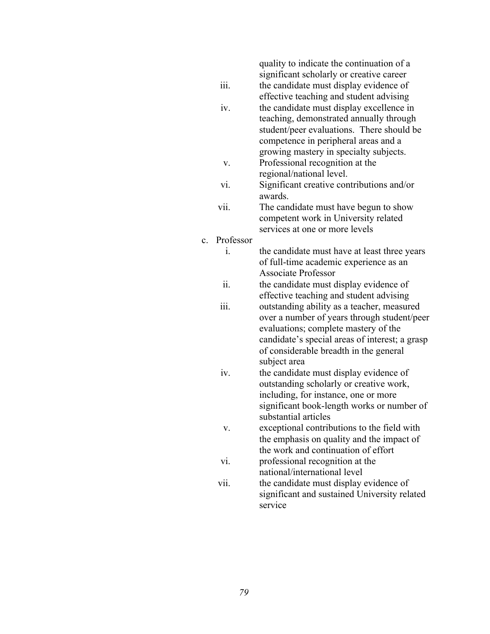quality to indicate the continuation of a significant scholarly or creative career

iii. the candidate must display evidence of

- effective teaching and student advising
- iv. the candidate must display excellence in teaching, demonstrated annually through student/peer evaluations. There should be competence in peripheral areas and a growing mastery in specialty subjects.
- v. Professional recognition at the regional/national level.
- vi. Significant creative contributions and/or awards.
- vii. The candidate must have begun to show competent work in University related services at one or more levels
- c. Professor i.

the candidate must have at least three years of full-time academic experience as an Associate Professor

- ii. the candidate must display evidence of effective teaching and student advising
- iii. outstanding ability as a teacher, measured over a number of years through student/peer evaluations; complete mastery of the candidate's special areas of interest; a grasp of considerable breadth in the general subject area
- including, for instance, one or more iv. the candidate must display evidence of outstanding scholarly or creative work, significant book-length works or number of substantial articles
- v. exceptional contributions to the field with the emphasis on quality and the impact of the work and continuation of effort
- vi. professional recognition at the national/international level
- vii. the candidate must display evidence of significant and sustained University related service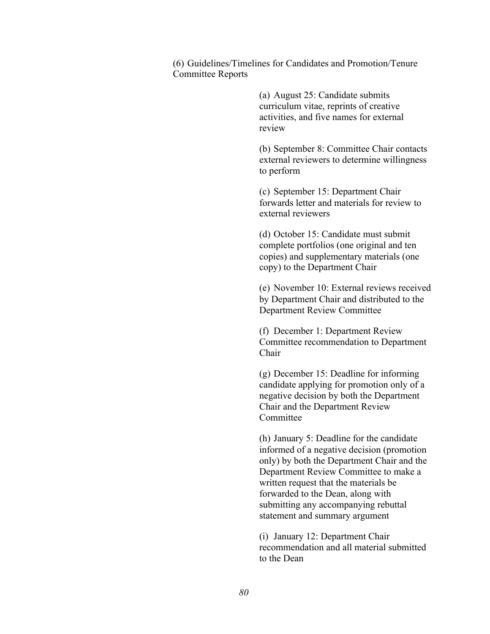(6) Guidelines/Timelines for Candidates and Promotion/Tenure Committee Reports

> (a) August 25: Candidate submits curriculum vitae, reprints of creative activities, and five names for external review

(b) September 8: Committee Chair contacts external reviewers to determine willingness to perform

(c) September 15: Department Chair forwards letter and materials for review to external reviewers

(d) October 15: Candidate must submit complete portfolios (one original and ten copies) and supplementary materials (one copy) to the Department Chair

(e) November 10: External reviews received by Department Chair and distributed to the Department Review Committee

(f) December 1: Department Review Committee recommendation to Department Chair

(g) December 15: Deadline for informing candidate applying for promotion only of a negative decision by both the Department Chair and the Department Review Committee

(h) January 5: Deadline for the candidate informed of a negative decision (promotion only) by both the Department Chair and the Department Review Committee to make a written request that the materials be forwarded to the Dean, along with submitting any accompanying rebuttal statement and summary argument

(i) January 12: Department Chair recommendation and all material submitted to the Dean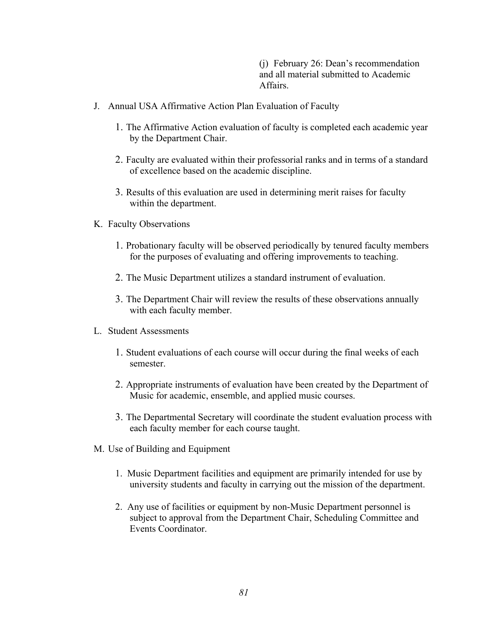(j) February 26: Dean's recommendation and all material submitted to Academic Affairs.

- J. Annual USA Affirmative Action Plan Evaluation of Faculty
	- 1. The Affirmative Action evaluation of faculty is completed each academic year by the Department Chair.
	- 2. Faculty are evaluated within their professorial ranks and in terms of a standard of excellence based on the academic discipline.
	- 3. Results of this evaluation are used in determining merit raises for faculty within the department.
- K. Faculty Observations
	- 1. Probationary faculty will be observed periodically by tenured faculty members for the purposes of evaluating and offering improvements to teaching.
	- 2. The Music Department utilizes a standard instrument of evaluation.
	- 3. The Department Chair will review the results of these observations annually with each faculty member.
- L. Student Assessments
	- 1. Student evaluations of each course will occur during the final weeks of each semester.
	- 2. Appropriate instruments of evaluation have been created by the Department of Music for academic, ensemble, and applied music courses.
	- 3. The Departmental Secretary will coordinate the student evaluation process with each faculty member for each course taught.
- M. Use of Building and Equipment
	- 1. Music Department facilities and equipment are primarily intended for use by university students and faculty in carrying out the mission of the department.
	- 2. Any use of facilities or equipment by non-Music Department personnel is subject to approval from the Department Chair, Scheduling Committee and Events Coordinator.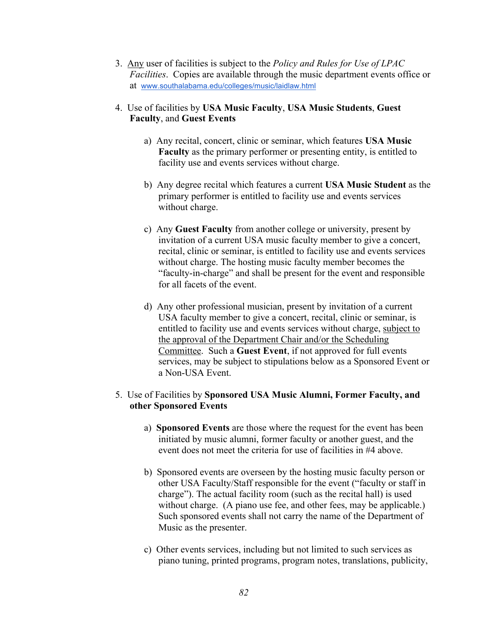- at www.southalabama.edu/colleges/music/laidlaw.html 3. Any user of facilities is subject to the *Policy and Rules for Use of LPAC Facilities*. Copies are available through the music department events office or
- 4. Use of facilities by **USA Music Faculty**, **USA Music Students**, **Guest Faculty**, and **Guest Events** 
	- a) Any recital, concert, clinic or seminar, which features **USA Music Faculty** as the primary performer or presenting entity, is entitled to facility use and events services without charge.
	- b) Any degree recital which features a current **USA Music Student** as the primary performer is entitled to facility use and events services without charge.
	- c) Any **Guest Faculty** from another college or university, present by invitation of a current USA music faculty member to give a concert, recital, clinic or seminar, is entitled to facility use and events services without charge. The hosting music faculty member becomes the "faculty-in-charge" and shall be present for the event and responsible for all facets of the event.
	- d) Any other professional musician, present by invitation of a current USA faculty member to give a concert, recital, clinic or seminar, is entitled to facility use and events services without charge, subject to the approval of the Department Chair and/or the Scheduling Committee. Such a **Guest Event**, if not approved for full events services, may be subject to stipulations below as a Sponsored Event or a Non-USA Event.

#### 5. Use of Facilities by **Sponsored USA Music Alumni, Former Faculty, and other Sponsored Events**

- a) **Sponsored Events** are those where the request for the event has been initiated by music alumni, former faculty or another guest, and the event does not meet the criteria for use of facilities in #4 above.
- b) Sponsored events are overseen by the hosting music faculty person or other USA Faculty/Staff responsible for the event ("faculty or staff in charge"). The actual facility room (such as the recital hall) is used without charge. (A piano use fee, and other fees, may be applicable.) Such sponsored events shall not carry the name of the Department of Music as the presenter.
- c) Other events services, including but not limited to such services as piano tuning, printed programs, program notes, translations, publicity,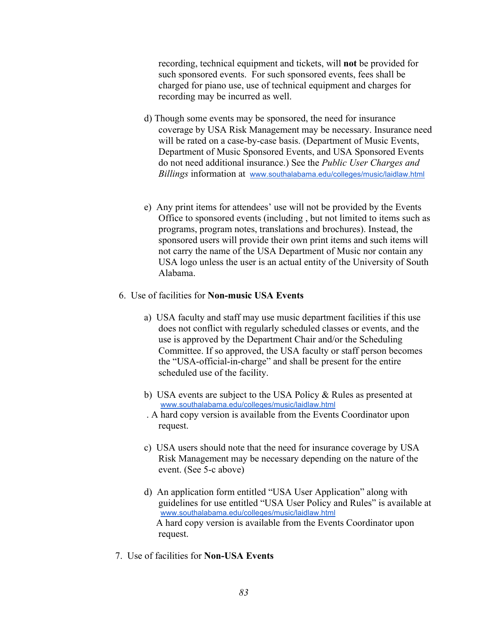recording, technical equipment and tickets, will **not** be provided for such sponsored events. For such sponsored events, fees shall be charged for piano use, use of technical equipment and charges for recording may be incurred as well.

- *Billings* information at www.southalabama.edu/colleges/music/laidlaw.html d) Though some events may be sponsored, the need for insurance coverage by USA Risk Management may be necessary. Insurance need will be rated on a case-by-case basis. (Department of Music Events, Department of Music Sponsored Events, and USA Sponsored Events do not need additional insurance.) See the *Public User Charges and*
- e) Any print items for attendees' use will not be provided by the Events Office to sponsored events (including , but not limited to items such as programs, program notes, translations and brochures). Instead, the sponsored users will provide their own print items and such items will not carry the name of the USA Department of Music nor contain any USA logo unless the user is an actual entity of the University of South Alabama.
- 6. Use of facilities for **Non-music USA Events** 
	- a) USA faculty and staff may use music department facilities if this use does not conflict with regularly scheduled classes or events, and the use is approved by the Department Chair and/or the Scheduling Committee. If so approved, the USA faculty or staff person becomes the "USA-official-in-charge" and shall be present for the entire scheduled use of the facility.
	- www.southalabama.edu/colleges/music/laidlaw.html b) USA events are subject to the USA Policy & Rules as presented at
	- . A hard copy version is available from the Events Coordinator upon request.
	- c) USA users should note that the need for insurance coverage by USA Risk Management may be necessary depending on the nature of the event. (See 5-c above)
	- www.southalabama.edu/colleges/music/laidlaw.html d) An application form entitled "USA User Application" along with guidelines for use entitled "USA User Policy and Rules" is available at A hard copy version is available from the Events Coordinator upon request.
- 7. Use of facilities for **Non-USA Events**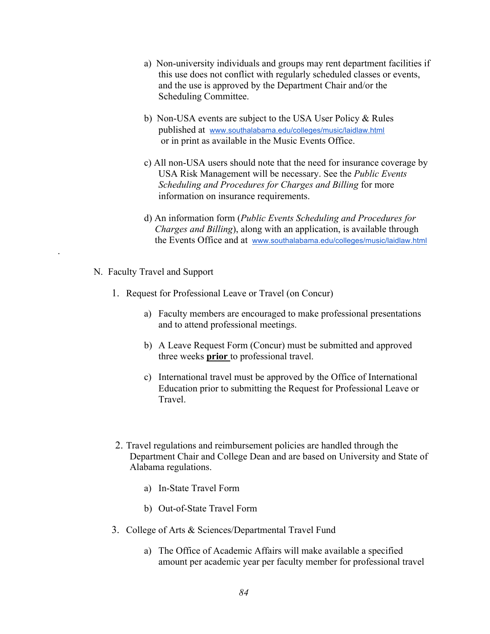- a) Non-university individuals and groups may rent department facilities if this use does not conflict with regularly scheduled classes or events, and the use is approved by the Department Chair and/or the Scheduling Committee.
- published at www.southalabama.edu/colleges/music/laidlaw.html b) Non-USA events are subject to the USA User Policy & Rules or in print as available in the Music Events Office.
- c) All non-USA users should note that the need for insurance coverage by USA Risk Management will be necessary. See the *Public Events Scheduling and Procedures for Charges and Billing* for more information on insurance requirements.
- the Events Office and at www.southalabama.edu/colleges/music/laidlaw.html d) An information form (*Public Events Scheduling and Procedures for Charges and Billing*), along with an application, is available through
- N. Faculty Travel and Support

.

- 1. Request for Professional Leave or Travel (on Concur)
	- a) Faculty members are encouraged to make professional presentations and to attend professional meetings.
	- b) A Leave Request Form (Concur) must be submitted and approved three weeks **prior** to professional travel.
	- c) International travel must be approved by the Office of International Education prior to submitting the Request for Professional Leave or **Travel**
- 2. Travel regulations and reimbursement policies are handled through the Department Chair and College Dean and are based on University and State of Alabama regulations.
	- a) In-State Travel Form
	- b) Out-of-State Travel Form
- 3. College of Arts & Sciences/Departmental Travel Fund
	- a) The Office of Academic Affairs will make available a specified amount per academic year per faculty member for professional travel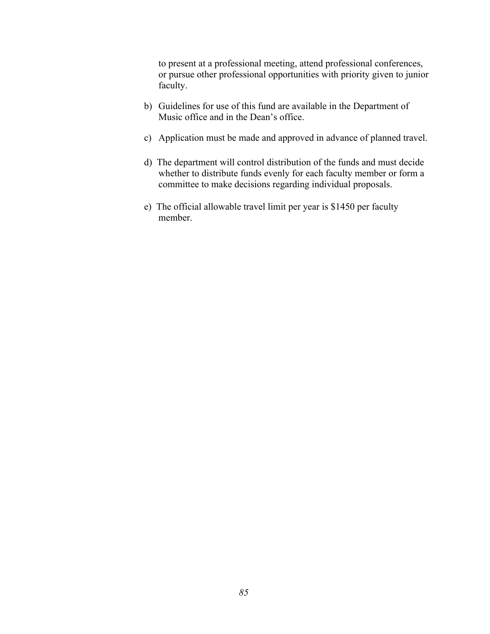to present at a professional meeting, attend professional conferences, or pursue other professional opportunities with priority given to junior faculty.

- b) Guidelines for use of this fund are available in the Department of Music office and in the Dean's office.
- c) Application must be made and approved in advance of planned travel.
- d) The department will control distribution of the funds and must decide whether to distribute funds evenly for each faculty member or form a committee to make decisions regarding individual proposals.
- e) The official allowable travel limit per year is \$1450 per faculty member.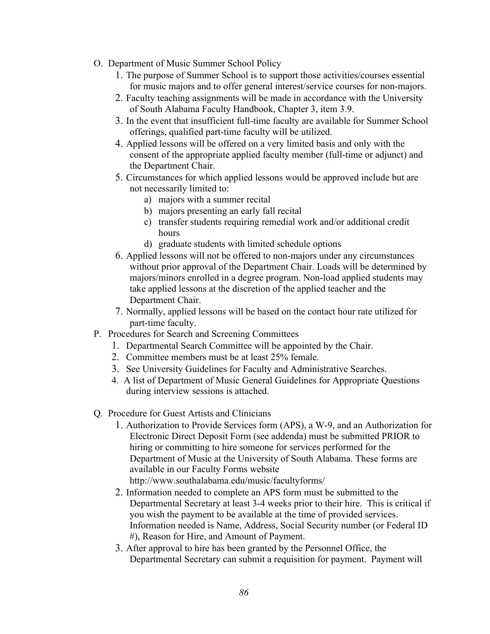- O. Department of Music Summer School Policy
	- 1. The purpose of Summer School is to support those activities/courses essential for music majors and to offer general interest/service courses for non-majors.
	- 2. Faculty teaching assignments will be made in accordance with the University of South Alabama Faculty Handbook, Chapter 3, item 3.9.
	- 3. In the event that insufficient full-time faculty are available for Summer School offerings, qualified part-time faculty will be utilized.
	- 4. Applied lessons will be offered on a very limited basis and only with the consent of the appropriate applied faculty member (full-time or adjunct) and the Department Chair.
	- 5. Circumstances for which applied lessons would be approved include but are not necessarily limited to:
		- a) majors with a summer recital
		- b) majors presenting an early fall recital
		- hours c) transfer students requiring remedial work and/or additional credit
		- d) graduate students with limited schedule options
	- 6. Applied lessons will not be offered to non-majors under any circumstances without prior approval of the Department Chair. Loads will be determined by majors/minors enrolled in a degree program. Non-load applied students may take applied lessons at the discretion of the applied teacher and the Department Chair.
	- 7. Normally, applied lessons will be based on the contact hour rate utilized for part-time faculty.
- P. Procedures for Search and Screening Committees
	- 1. Departmental Search Committee will be appointed by the Chair.
	- 2. Committee members must be at least 25% female.
	- 3. See University Guidelines for Faculty and Administrative Searches.
	- 4. A list of Department of Music General Guidelines for Appropriate Questions during interview sessions is attached.
- Q. Procedure for Guest Artists and Clinicians
	- http://www.southalabama.edu/music/facultyforms/ 1. Authorization to Provide Services form (APS), a W-9, and an Authorization for Electronic Direct Deposit Form (see addenda) must be submitted PRIOR to hiring or committing to hire someone for services performed for the Department of Music at the University of South Alabama. These forms are available in our Faculty Forms website
	- 2. Information needed to complete an APS form must be submitted to the Departmental Secretary at least 3-4 weeks prior to their hire. This is critical if you wish the payment to be available at the time of provided services. Information needed is Name, Address, Social Security number (or Federal ID #), Reason for Hire, and Amount of Payment.
	- 3. After approval to hire has been granted by the Personnel Office, the Departmental Secretary can submit a requisition for payment. Payment will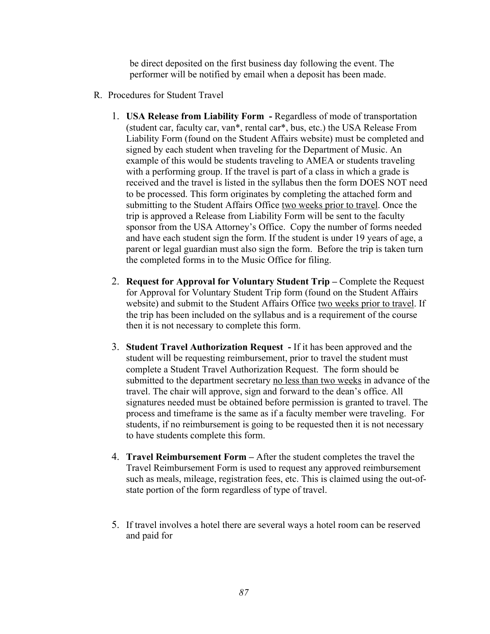be direct deposited on the first business day following the event. The performer will be notified by email when a deposit has been made.

- R. Procedures for Student Travel
	- 1. **USA Release from Liability Form -** Regardless of mode of transportation (student car, faculty car, van\*, rental car\*, bus, etc.) the USA Release From Liability Form (found on the Student Affairs website) must be completed and signed by each student when traveling for the Department of Music. An example of this would be students traveling to AMEA or students traveling with a performing group. If the travel is part of a class in which a grade is received and the travel is listed in the syllabus then the form DOES NOT need to be processed. This form originates by completing the attached form and submitting to the Student Affairs Office two weeks prior to travel. Once the trip is approved a Release from Liability Form will be sent to the faculty sponsor from the USA Attorney's Office. Copy the number of forms needed and have each student sign the form. If the student is under 19 years of age, a parent or legal guardian must also sign the form. Before the trip is taken turn the completed forms in to the Music Office for filing.
	- 2. **Request for Approval for Voluntary Student Trip** Complete the Request for Approval for Voluntary Student Trip form (found on the Student Affairs website) and submit to the Student Affairs Office two weeks prior to travel. If the trip has been included on the syllabus and is a requirement of the course then it is not necessary to complete this form.
	- 3. **Student Travel Authorization Request -** If it has been approved and the student will be requesting reimbursement, prior to travel the student must complete a Student Travel Authorization Request. The form should be submitted to the department secretary no less than two weeks in advance of the travel. The chair will approve, sign and forward to the dean's office. All signatures needed must be obtained before permission is granted to travel. The process and timeframe is the same as if a faculty member were traveling. For students, if no reimbursement is going to be requested then it is not necessary to have students complete this form.
	- 4. **Travel Reimbursement Form** After the student completes the travel the Travel Reimbursement Form is used to request any approved reimbursement such as meals, mileage, registration fees, etc. This is claimed using the out-ofstate portion of the form regardless of type of travel.
	- 5. If travel involves a hotel there are several ways a hotel room can be reserved and paid for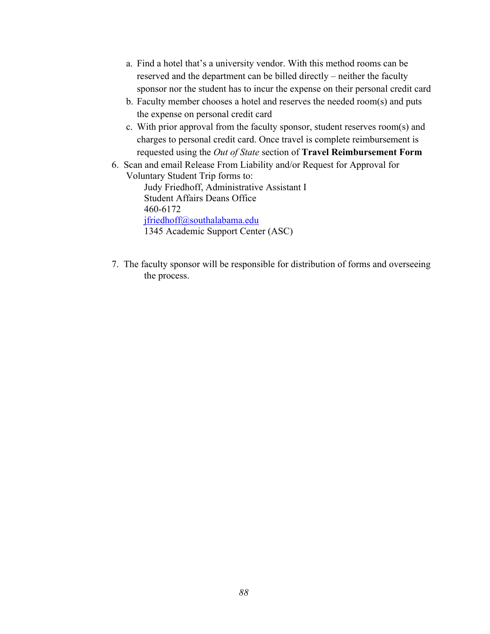- a. Find a hotel that's a university vendor. With this method rooms can be reserved and the department can be billed directly – neither the faculty sponsor nor the student has to incur the expense on their personal credit card
- b. Faculty member chooses a hotel and reserves the needed room(s) and puts the expense on personal credit card
- c. With prior approval from the faculty sponsor, student reserves room(s) and charges to personal credit card. Once travel is complete reimbursement is requested using the *Out of State* section of **Travel Reimbursement Form**
- 6. Scan and email Release From Liability and/or Request for Approval for Voluntary Student Trip forms to: Judy Friedhoff, Administrative Assistant I Student Affairs Deans Office 460-6172 jfriedhoff@southalabama.edu 1345 Academic Support Center (ASC)
- 7. The faculty sponsor will be responsible for distribution of forms and overseeing the process.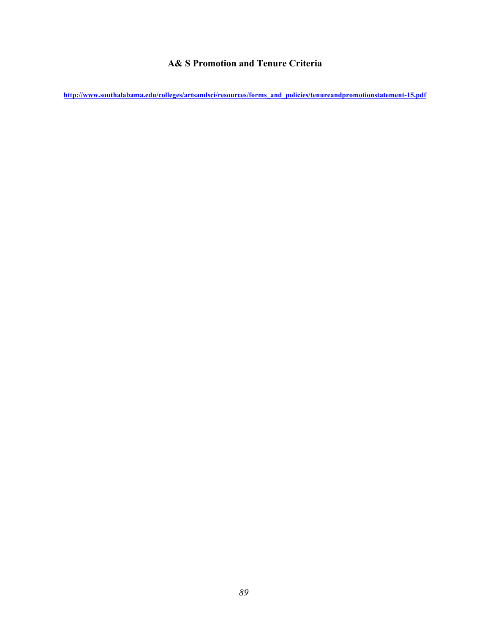# **A& S Promotion and Tenure Criteria**

**http://www.southalabama.edu/colleges/artsandsci/resources/forms\_and\_policies/tenureandpromotionstatement-15.pdf**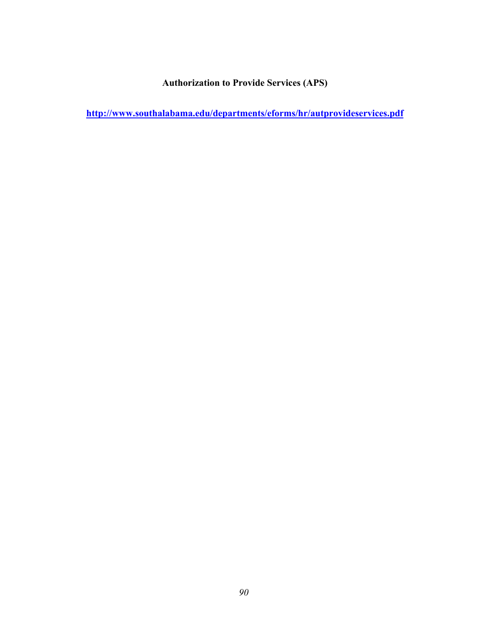**Authorization to Provide Services (APS)** 

**http://www.southalabama.edu/departments/eforms/hr/autprovideservices.pdf**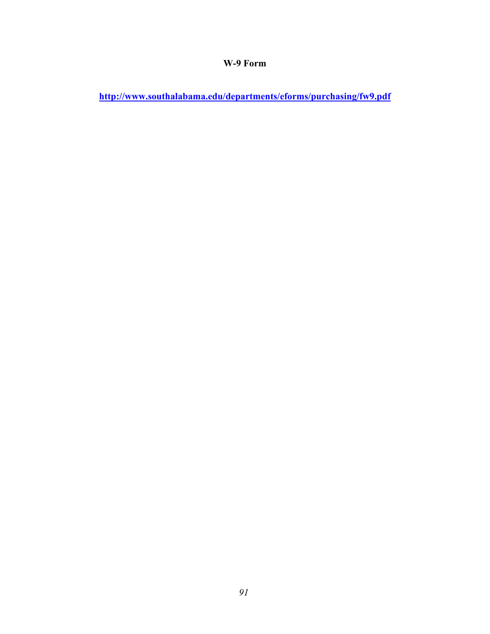# **W-9 Form**

**http://www.southalabama.edu/departments/eforms/purchasing/fw9.pdf**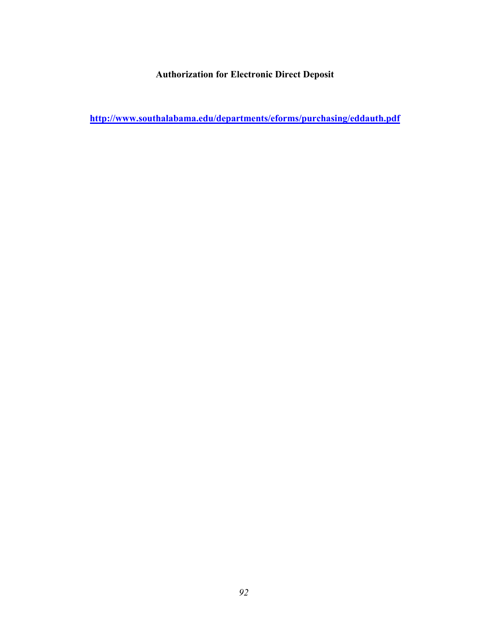**Authorization for Electronic Direct Deposit** 

**http://www.southalabama.edu/departments/eforms/purchasing/eddauth.pdf**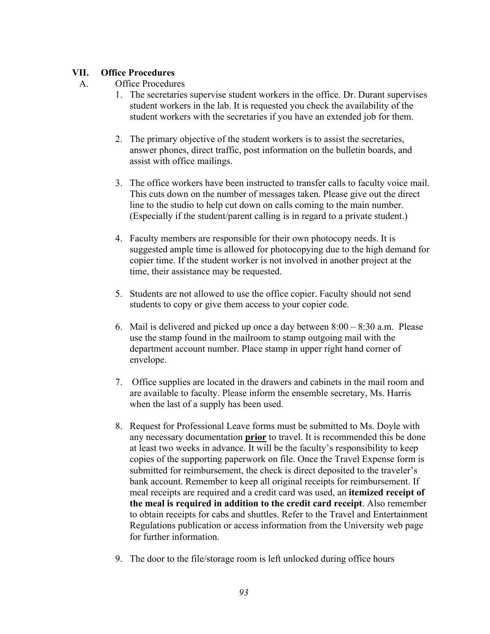### **VII. Office Procedures**

### A. Office Procedures

- 1. The secretaries supervise student workers in the office. Dr. Durant supervises student workers in the lab. It is requested you check the availability of the student workers with the secretaries if you have an extended job for them.
- 2. The primary objective of the student workers is to assist the secretaries, answer phones, direct traffic, post information on the bulletin boards, and assist with office mailings.
- 3. The office workers have been instructed to transfer calls to faculty voice mail. This cuts down on the number of messages taken. Please give out the direct line to the studio to help cut down on calls coming to the main number. (Especially if the student/parent calling is in regard to a private student.)
- 4. Faculty members are responsible for their own photocopy needs. It is suggested ample time is allowed for photocopying due to the high demand for copier time. If the student worker is not involved in another project at the time, their assistance may be requested.
- 5. Students are not allowed to use the office copier. Faculty should not send students to copy or give them access to your copier code.
- 6. Mail is delivered and picked up once a day between  $8:00 8:30$  a.m. Please use the stamp found in the mailroom to stamp outgoing mail with the department account number. Place stamp in upper right hand corner of envelope.
- 7. Office supplies are located in the drawers and cabinets in the mail room and are available to faculty. Please inform the ensemble secretary, Ms. Harris when the last of a supply has been used.
- 8. Request for Professional Leave forms must be submitted to Ms. Doyle with any necessary documentation **prior** to travel. It is recommended this be done at least two weeks in advance. It will be the faculty's responsibility to keep copies of the supporting paperwork on file. Once the Travel Expense form is submitted for reimbursement, the check is direct deposited to the traveler's bank account. Remember to keep all original receipts for reimbursement. If meal receipts are required and a credit card was used, an **itemized receipt of the meal is required in addition to the credit card receipt**. Also remember to obtain receipts for cabs and shuttles. Refer to the Travel and Entertainment Regulations publication or access information from the University web page for further information.
- 9. The door to the file/storage room is left unlocked during office hours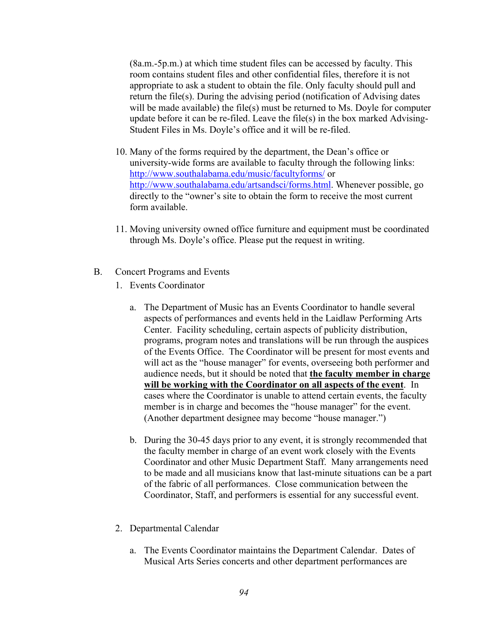(8a.m.-5p.m.) at which time student files can be accessed by faculty. This room contains student files and other confidential files, therefore it is not appropriate to ask a student to obtain the file. Only faculty should pull and return the file(s). During the advising period (notification of Advising dates will be made available) the file(s) must be returned to Ms. Doyle for computer update before it can be re-filed. Leave the file(s) in the box marked Advising-Student Files in Ms. Doyle's office and it will be re-filed.

- 10. Many of the forms required by the department, the Dean's office or university-wide forms are available to faculty through the following links: http://www.southalabama.edu/music/facultyforms/ or http://www.southalabama.edu/artsandsci/forms.html. Whenever possible, go directly to the "owner's site to obtain the form to receive the most current form available.
- 11. Moving university owned office furniture and equipment must be coordinated through Ms. Doyle's office. Please put the request in writing.
- $B<sub>r</sub>$ Concert Programs and Events
	- 1. Events Coordinator
		- (Another department designee may become "house manager.") a. The Department of Music has an Events Coordinator to handle several aspects of performances and events held in the Laidlaw Performing Arts Center. Facility scheduling, certain aspects of publicity distribution, programs, program notes and translations will be run through the auspices of the Events Office. The Coordinator will be present for most events and will act as the "house manager" for events, overseeing both performer and audience needs, but it should be noted that **the faculty member in charge will be working with the Coordinator on all aspects of the event**. In cases where the Coordinator is unable to attend certain events, the faculty member is in charge and becomes the "house manager" for the event.
		- b. During the 30-45 days prior to any event, it is strongly recommended that the faculty member in charge of an event work closely with the Events Coordinator and other Music Department Staff. Many arrangements need to be made and all musicians know that last-minute situations can be a part of the fabric of all performances. Close communication between the Coordinator, Staff, and performers is essential for any successful event.
	- 2. Departmental Calendar
		- a. The Events Coordinator maintains the Department Calendar. Dates of Musical Arts Series concerts and other department performances are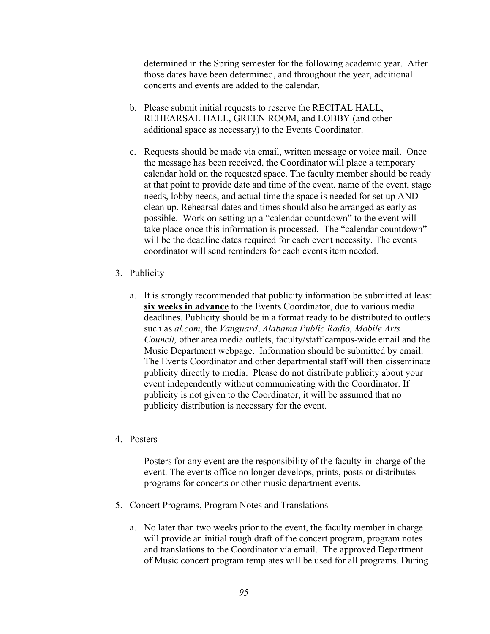determined in the Spring semester for the following academic year. After those dates have been determined, and throughout the year, additional concerts and events are added to the calendar.

- b. Please submit initial requests to reserve the RECITAL HALL, REHEARSAL HALL, GREEN ROOM, and LOBBY (and other additional space as necessary) to the Events Coordinator.
- c. Requests should be made via email, written message or voice mail. Once the message has been received, the Coordinator will place a temporary calendar hold on the requested space. The faculty member should be ready at that point to provide date and time of the event, name of the event, stage needs, lobby needs, and actual time the space is needed for set up AND clean up. Rehearsal dates and times should also be arranged as early as possible. Work on setting up a "calendar countdown" to the event will take place once this information is processed. The "calendar countdown" will be the deadline dates required for each event necessity. The events coordinator will send reminders for each events item needed.
- 3. Publicity
	- such as *al.com*, the *Vanguard*, *Alabama Public Radio, Mobile Arts Council,* other area media outlets, faculty/staff campus-wide email and the a. It is strongly recommended that publicity information be submitted at least **six weeks in advance** to the Events Coordinator, due to various media deadlines. Publicity should be in a format ready to be distributed to outlets Music Department webpage. Information should be submitted by email. The Events Coordinator and other departmental staff will then disseminate publicity directly to media. Please do not distribute publicity about your event independently without communicating with the Coordinator. If publicity is not given to the Coordinator, it will be assumed that no publicity distribution is necessary for the event.
- 4. Posters

Posters for any event are the responsibility of the faculty-in-charge of the event. The events office no longer develops, prints, posts or distributes programs for concerts or other music department events.

- 5. Concert Programs, Program Notes and Translations
	- a. No later than two weeks prior to the event, the faculty member in charge will provide an initial rough draft of the concert program, program notes and translations to the Coordinator via email. The approved Department of Music concert program templates will be used for all programs. During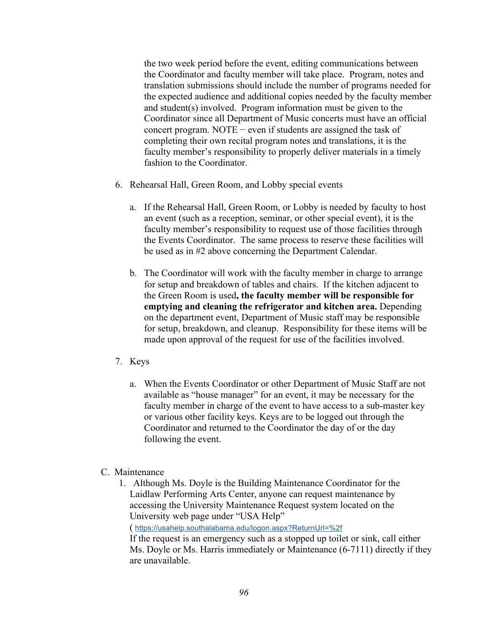completing their own recital program notes and translations, it is the the two week period before the event, editing communications between the Coordinator and faculty member will take place. Program, notes and translation submissions should include the number of programs needed for the expected audience and additional copies needed by the faculty member and student(s) involved. Program information must be given to the Coordinator since all Department of Music concerts must have an official concert program. NOTE − even if students are assigned the task of faculty member's responsibility to properly deliver materials in a timely fashion to the Coordinator.

- 6. Rehearsal Hall, Green Room, and Lobby special events
	- be used as in #2 above concerning the Department Calendar. a. If the Rehearsal Hall, Green Room, or Lobby is needed by faculty to host an event (such as a reception, seminar, or other special event), it is the faculty member's responsibility to request use of those facilities through the Events Coordinator. The same process to reserve these facilities will
	- b. The Coordinator will work with the faculty member in charge to arrange for setup and breakdown of tables and chairs. If the kitchen adjacent to the Green Room is used**, the faculty member will be responsible for emptying and cleaning the refrigerator and kitchen area.** Depending on the department event, Department of Music staff may be responsible for setup, breakdown, and cleanup. Responsibility for these items will be made upon approval of the request for use of the facilities involved.
- 7. Keys
	- a. When the Events Coordinator or other Department of Music Staff are not available as "house manager" for an event, it may be necessary for the faculty member in charge of the event to have access to a sub-master key or various other facility keys. Keys are to be logged out through the Coordinator and returned to the Coordinator the day of or the day following the event.
- C. Maintenance
	- 1. Although Ms. Doyle is the Building Maintenance Coordinator for the Laidlaw Performing Arts Center, anyone can request maintenance by accessing the University Maintenance Request system located on the University web page under "USA Help"

( https://usahelp.southalabama.edu/logon.aspx?ReturnUrl=%2f

If the request is an emergency such as a stopped up toilet or sink, call either Ms. Doyle or Ms. Harris immediately or Maintenance (6-7111) directly if they are unavailable.